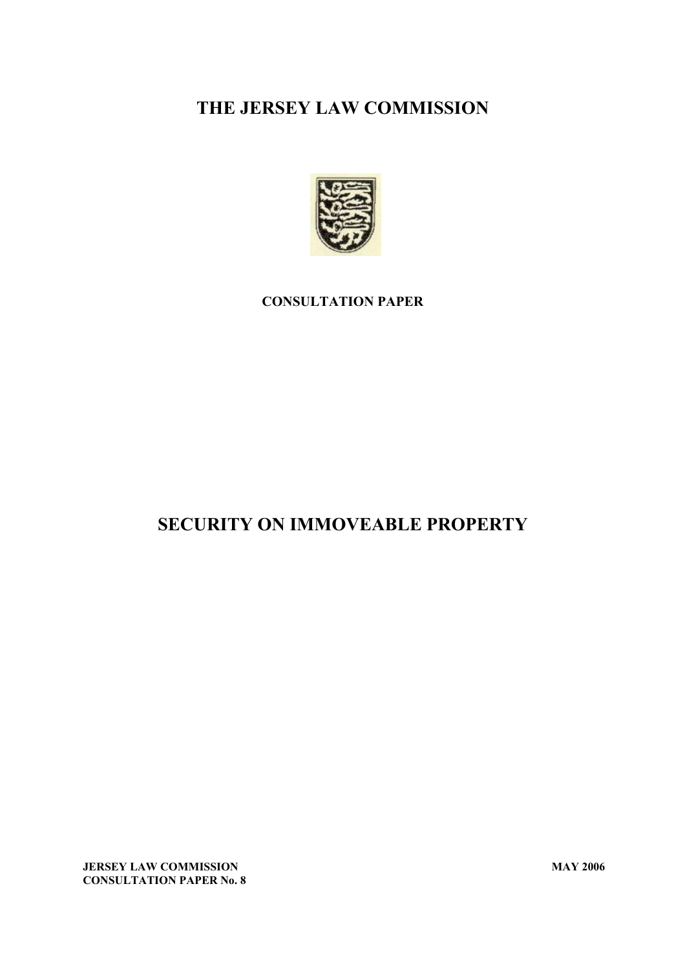# **THE JERSEY LAW COMMISSION**



## **CONSULTATION PAPER**

# **SECURITY ON IMMOVEABLE PROPERTY**

**JERSEY LAW COMMISSION MAY 2006 CONSULTATION PAPER No. 8**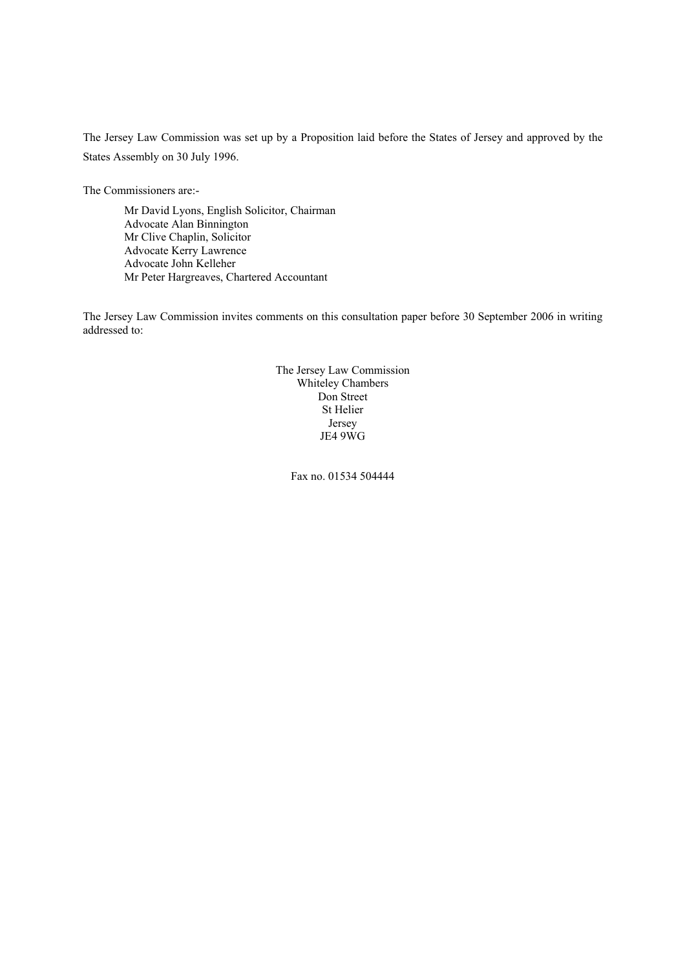The Jersey Law Commission was set up by a Proposition laid before the States of Jersey and approved by the States Assembly on 30 July 1996.

The Commissioners are:-

Mr David Lyons, English Solicitor, Chairman Advocate Alan Binnington Mr Clive Chaplin, Solicitor Advocate Kerry Lawrence Advocate John Kelleher Mr Peter Hargreaves, Chartered Accountant

The Jersey Law Commission invites comments on this consultation paper before 30 September 2006 in writing addressed to:

> The Jersey Law Commission Whiteley Chambers Don Street St Helier Jersey JE4 9WG

> > Fax no. 01534 504444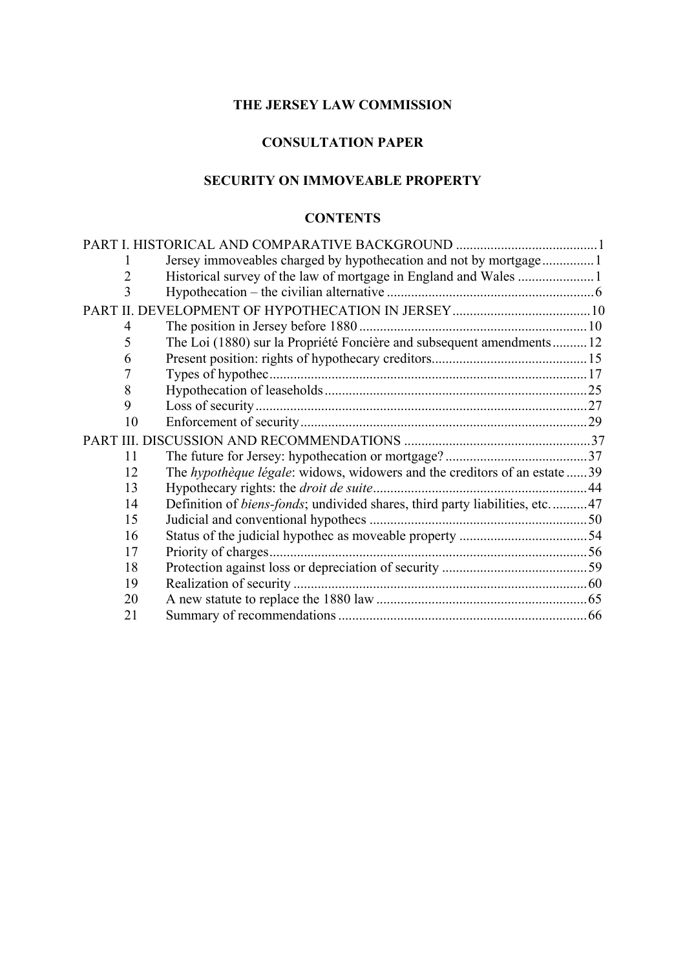## **THE JERSEY LAW COMMISSION**

## **CONSULTATION PAPER**

## **SECURITY ON IMMOVEABLE PROPERTY**

## **CONTENTS**

| 1    | Jersey immoveables charged by hypothecation and not by mortgage1                    |  |
|------|-------------------------------------------------------------------------------------|--|
| 2    |                                                                                     |  |
| 3    |                                                                                     |  |
| PART |                                                                                     |  |
| 4    |                                                                                     |  |
| 5    | The Loi (1880) sur la Propriété Foncière and subsequent amendments12                |  |
| 6    |                                                                                     |  |
| 7    |                                                                                     |  |
| 8    |                                                                                     |  |
| 9    |                                                                                     |  |
| 10   |                                                                                     |  |
|      |                                                                                     |  |
| 11   |                                                                                     |  |
| 12   | The hypothèque légale: widows, widowers and the creditors of an estate 39           |  |
| 13   |                                                                                     |  |
| 14   | Definition of <i>biens-fonds</i> ; undivided shares, third party liabilities, etc47 |  |
| 15   |                                                                                     |  |
| 16   |                                                                                     |  |
| 17   |                                                                                     |  |
| 18   |                                                                                     |  |
| 19   |                                                                                     |  |
| 20   |                                                                                     |  |
| 21   |                                                                                     |  |
|      |                                                                                     |  |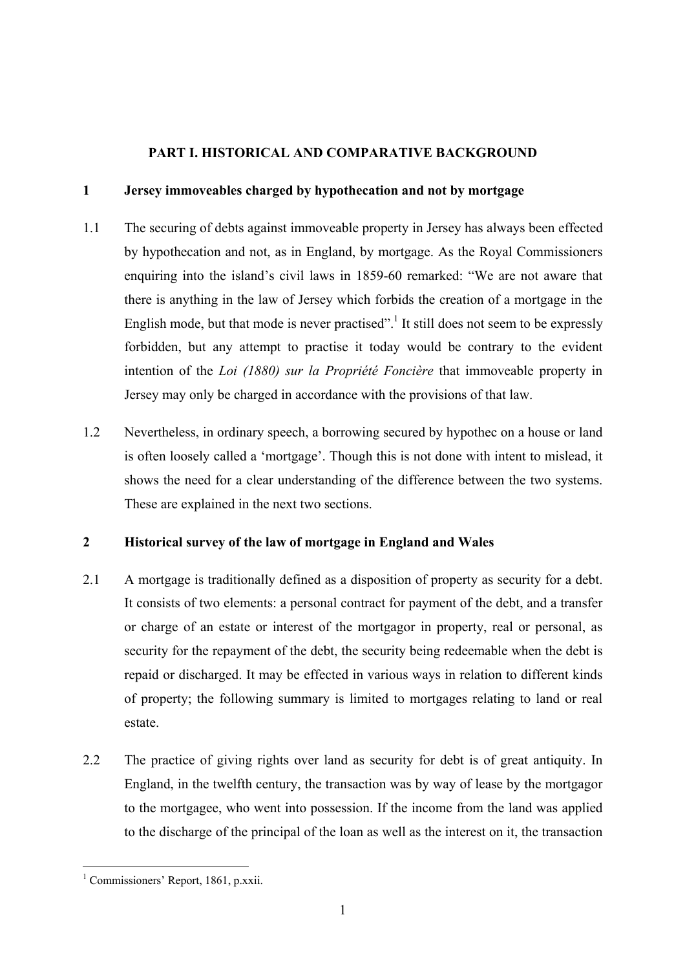## **PART I. HISTORICAL AND COMPARATIVE BACKGROUND**

## **1 Jersey immoveables charged by hypothecation and not by mortgage**

- 1.1 The securing of debts against immoveable property in Jersey has always been effected by hypothecation and not, as in England, by mortgage. As the Royal Commissioners enquiring into the island's civil laws in 1859-60 remarked: "We are not aware that there is anything in the law of Jersey which forbids the creation of a mortgage in the English mode, but that mode is never practised".<sup>1</sup> It still does not seem to be expressly forbidden, but any attempt to practise it today would be contrary to the evident intention of the *Loi (1880) sur la Propriété Foncière* that immoveable property in Jersey may only be charged in accordance with the provisions of that law.
- 1.2 Nevertheless, in ordinary speech, a borrowing secured by hypothec on a house or land is often loosely called a 'mortgage'. Though this is not done with intent to mislead, it shows the need for a clear understanding of the difference between the two systems. These are explained in the next two sections.

## **2 Historical survey of the law of mortgage in England and Wales**

- 2.1 A mortgage is traditionally defined as a disposition of property as security for a debt. It consists of two elements: a personal contract for payment of the debt, and a transfer or charge of an estate or interest of the mortgagor in property, real or personal, as security for the repayment of the debt, the security being redeemable when the debt is repaid or discharged. It may be effected in various ways in relation to different kinds of property; the following summary is limited to mortgages relating to land or real estate.
- 2.2 The practice of giving rights over land as security for debt is of great antiquity. In England, in the twelfth century, the transaction was by way of lease by the mortgagor to the mortgagee, who went into possession. If the income from the land was applied to the discharge of the principal of the loan as well as the interest on it, the transaction

 $\overline{a}$ 1 Commissioners' Report, 1861, p.xxii.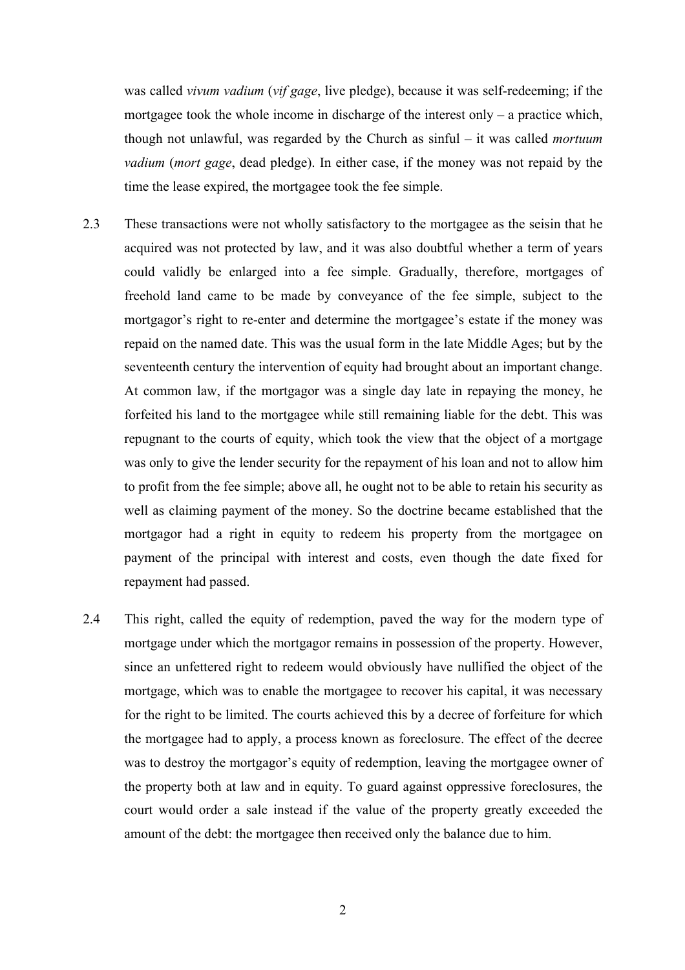was called *vivum vadium* (*vif gage*, live pledge), because it was self-redeeming; if the mortgagee took the whole income in discharge of the interest only  $-$  a practice which, though not unlawful, was regarded by the Church as sinful – it was called *mortuum vadium* (*mort gage*, dead pledge). In either case, if the money was not repaid by the time the lease expired, the mortgagee took the fee simple.

- 2.3 These transactions were not wholly satisfactory to the mortgagee as the seisin that he acquired was not protected by law, and it was also doubtful whether a term of years could validly be enlarged into a fee simple. Gradually, therefore, mortgages of freehold land came to be made by conveyance of the fee simple, subject to the mortgagor's right to re-enter and determine the mortgagee's estate if the money was repaid on the named date. This was the usual form in the late Middle Ages; but by the seventeenth century the intervention of equity had brought about an important change. At common law, if the mortgagor was a single day late in repaying the money, he forfeited his land to the mortgagee while still remaining liable for the debt. This was repugnant to the courts of equity, which took the view that the object of a mortgage was only to give the lender security for the repayment of his loan and not to allow him to profit from the fee simple; above all, he ought not to be able to retain his security as well as claiming payment of the money. So the doctrine became established that the mortgagor had a right in equity to redeem his property from the mortgagee on payment of the principal with interest and costs, even though the date fixed for repayment had passed.
- 2.4 This right, called the equity of redemption, paved the way for the modern type of mortgage under which the mortgagor remains in possession of the property. However, since an unfettered right to redeem would obviously have nullified the object of the mortgage, which was to enable the mortgagee to recover his capital, it was necessary for the right to be limited. The courts achieved this by a decree of forfeiture for which the mortgagee had to apply, a process known as foreclosure. The effect of the decree was to destroy the mortgagor's equity of redemption, leaving the mortgagee owner of the property both at law and in equity. To guard against oppressive foreclosures, the court would order a sale instead if the value of the property greatly exceeded the amount of the debt: the mortgagee then received only the balance due to him.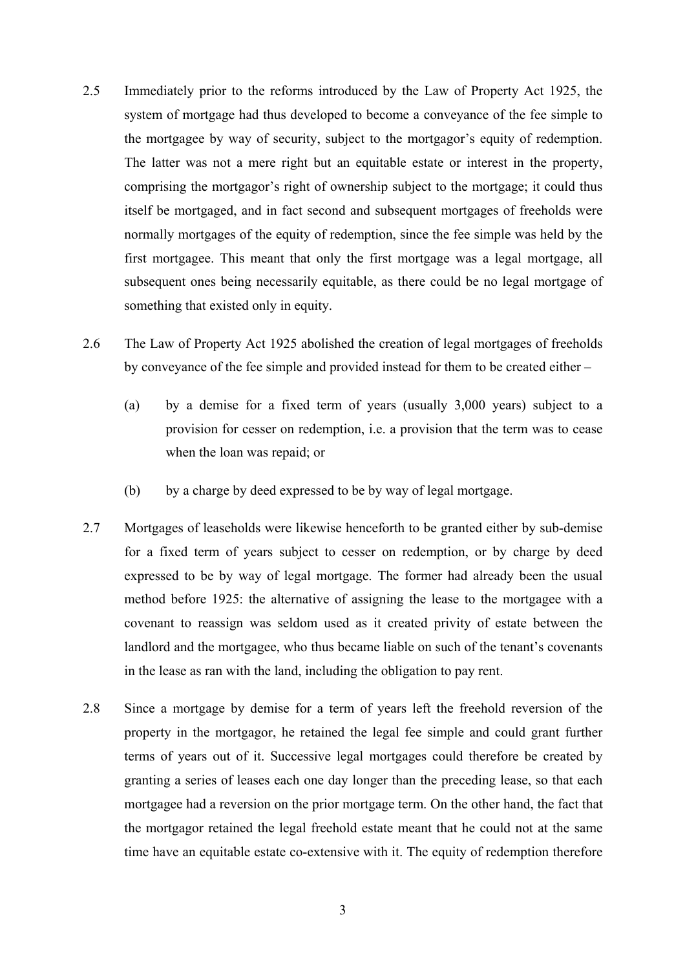- 2.5 Immediately prior to the reforms introduced by the Law of Property Act 1925, the system of mortgage had thus developed to become a conveyance of the fee simple to the mortgagee by way of security, subject to the mortgagor's equity of redemption. The latter was not a mere right but an equitable estate or interest in the property, comprising the mortgagor's right of ownership subject to the mortgage; it could thus itself be mortgaged, and in fact second and subsequent mortgages of freeholds were normally mortgages of the equity of redemption, since the fee simple was held by the first mortgagee. This meant that only the first mortgage was a legal mortgage, all subsequent ones being necessarily equitable, as there could be no legal mortgage of something that existed only in equity.
- 2.6 The Law of Property Act 1925 abolished the creation of legal mortgages of freeholds by conveyance of the fee simple and provided instead for them to be created either –
	- (a) by a demise for a fixed term of years (usually 3,000 years) subject to a provision for cesser on redemption, i.e. a provision that the term was to cease when the loan was repaid; or
	- (b) by a charge by deed expressed to be by way of legal mortgage.
- 2.7 Mortgages of leaseholds were likewise henceforth to be granted either by sub-demise for a fixed term of years subject to cesser on redemption, or by charge by deed expressed to be by way of legal mortgage. The former had already been the usual method before 1925: the alternative of assigning the lease to the mortgagee with a covenant to reassign was seldom used as it created privity of estate between the landlord and the mortgagee, who thus became liable on such of the tenant's covenants in the lease as ran with the land, including the obligation to pay rent.
- 2.8 Since a mortgage by demise for a term of years left the freehold reversion of the property in the mortgagor, he retained the legal fee simple and could grant further terms of years out of it. Successive legal mortgages could therefore be created by granting a series of leases each one day longer than the preceding lease, so that each mortgagee had a reversion on the prior mortgage term. On the other hand, the fact that the mortgagor retained the legal freehold estate meant that he could not at the same time have an equitable estate co-extensive with it. The equity of redemption therefore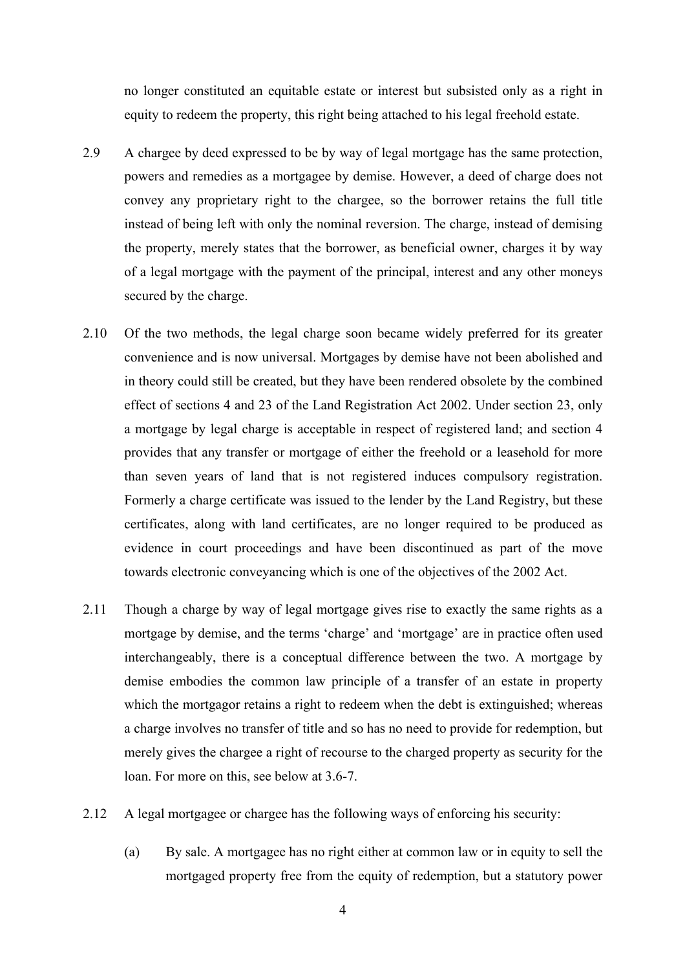no longer constituted an equitable estate or interest but subsisted only as a right in equity to redeem the property, this right being attached to his legal freehold estate.

- 2.9 A chargee by deed expressed to be by way of legal mortgage has the same protection, powers and remedies as a mortgagee by demise. However, a deed of charge does not convey any proprietary right to the chargee, so the borrower retains the full title instead of being left with only the nominal reversion. The charge, instead of demising the property, merely states that the borrower, as beneficial owner, charges it by way of a legal mortgage with the payment of the principal, interest and any other moneys secured by the charge.
- 2.10 Of the two methods, the legal charge soon became widely preferred for its greater convenience and is now universal. Mortgages by demise have not been abolished and in theory could still be created, but they have been rendered obsolete by the combined effect of sections 4 and 23 of the Land Registration Act 2002. Under section 23, only a mortgage by legal charge is acceptable in respect of registered land; and section 4 provides that any transfer or mortgage of either the freehold or a leasehold for more than seven years of land that is not registered induces compulsory registration. Formerly a charge certificate was issued to the lender by the Land Registry, but these certificates, along with land certificates, are no longer required to be produced as evidence in court proceedings and have been discontinued as part of the move towards electronic conveyancing which is one of the objectives of the 2002 Act.
- 2.11 Though a charge by way of legal mortgage gives rise to exactly the same rights as a mortgage by demise, and the terms 'charge' and 'mortgage' are in practice often used interchangeably, there is a conceptual difference between the two. A mortgage by demise embodies the common law principle of a transfer of an estate in property which the mortgagor retains a right to redeem when the debt is extinguished; whereas a charge involves no transfer of title and so has no need to provide for redemption, but merely gives the chargee a right of recourse to the charged property as security for the loan. For more on this, see below at 3.6-7.
- 2.12 A legal mortgagee or chargee has the following ways of enforcing his security:
	- (a) By sale. A mortgagee has no right either at common law or in equity to sell the mortgaged property free from the equity of redemption, but a statutory power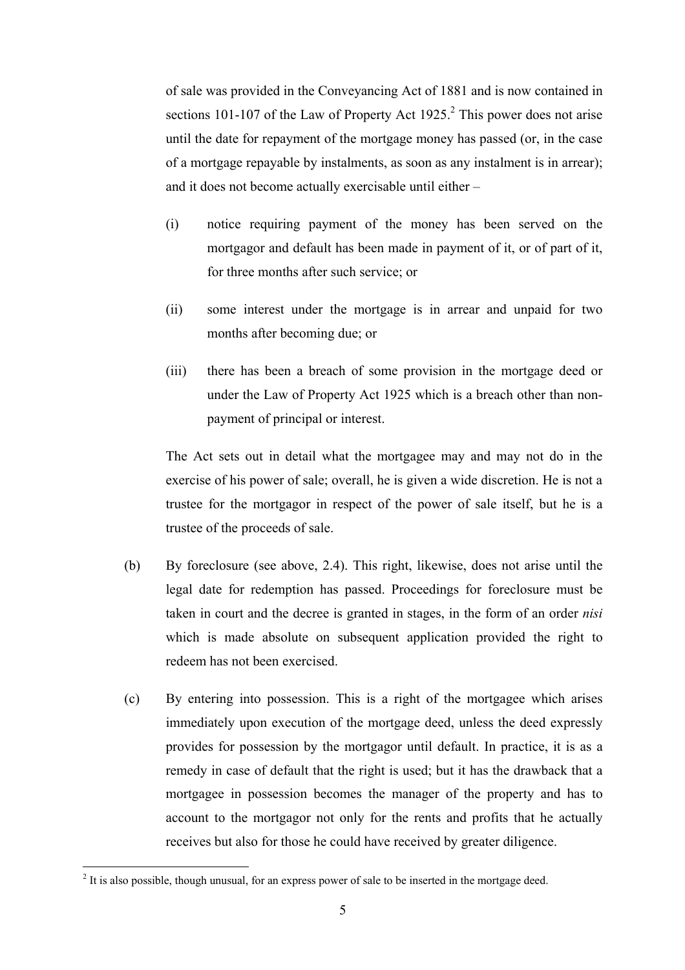of sale was provided in the Conveyancing Act of 1881 and is now contained in sections 101-107 of the Law of Property Act 1925.<sup>2</sup> This power does not arise until the date for repayment of the mortgage money has passed (or, in the case of a mortgage repayable by instalments, as soon as any instalment is in arrear); and it does not become actually exercisable until either –

- (i) notice requiring payment of the money has been served on the mortgagor and default has been made in payment of it, or of part of it, for three months after such service; or
- (ii) some interest under the mortgage is in arrear and unpaid for two months after becoming due; or
- (iii) there has been a breach of some provision in the mortgage deed or under the Law of Property Act 1925 which is a breach other than nonpayment of principal or interest.

The Act sets out in detail what the mortgagee may and may not do in the exercise of his power of sale; overall, he is given a wide discretion. He is not a trustee for the mortgagor in respect of the power of sale itself, but he is a trustee of the proceeds of sale.

- (b) By foreclosure (see above, 2.4). This right, likewise, does not arise until the legal date for redemption has passed. Proceedings for foreclosure must be taken in court and the decree is granted in stages, in the form of an order *nisi* which is made absolute on subsequent application provided the right to redeem has not been exercised.
- (c) By entering into possession. This is a right of the mortgagee which arises immediately upon execution of the mortgage deed, unless the deed expressly provides for possession by the mortgagor until default. In practice, it is as a remedy in case of default that the right is used; but it has the drawback that a mortgagee in possession becomes the manager of the property and has to account to the mortgagor not only for the rents and profits that he actually receives but also for those he could have received by greater diligence.

<sup>&</sup>lt;sup>2</sup> It is also possible, though unusual, for an express power of sale to be inserted in the mortgage deed.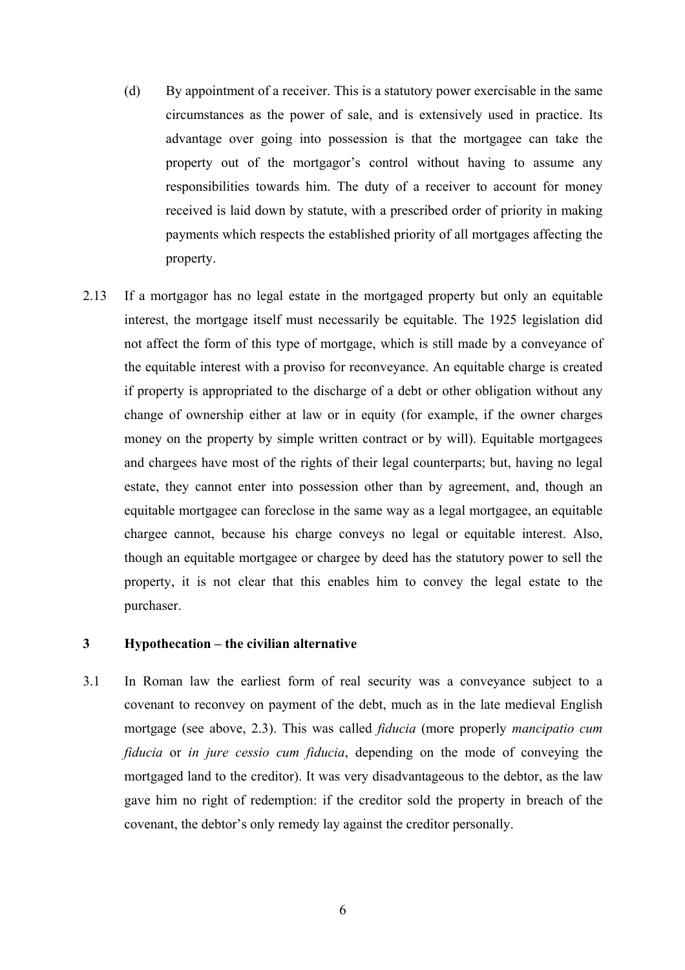- (d) By appointment of a receiver. This is a statutory power exercisable in the same circumstances as the power of sale, and is extensively used in practice. Its advantage over going into possession is that the mortgagee can take the property out of the mortgagor's control without having to assume any responsibilities towards him. The duty of a receiver to account for money received is laid down by statute, with a prescribed order of priority in making payments which respects the established priority of all mortgages affecting the property.
- 2.13 If a mortgagor has no legal estate in the mortgaged property but only an equitable interest, the mortgage itself must necessarily be equitable. The 1925 legislation did not affect the form of this type of mortgage, which is still made by a conveyance of the equitable interest with a proviso for reconveyance. An equitable charge is created if property is appropriated to the discharge of a debt or other obligation without any change of ownership either at law or in equity (for example, if the owner charges money on the property by simple written contract or by will). Equitable mortgagees and chargees have most of the rights of their legal counterparts; but, having no legal estate, they cannot enter into possession other than by agreement, and, though an equitable mortgagee can foreclose in the same way as a legal mortgagee, an equitable chargee cannot, because his charge conveys no legal or equitable interest. Also, though an equitable mortgagee or chargee by deed has the statutory power to sell the property, it is not clear that this enables him to convey the legal estate to the purchaser.

## **3 Hypothecation – the civilian alternative**

3.1 In Roman law the earliest form of real security was a conveyance subject to a covenant to reconvey on payment of the debt, much as in the late medieval English mortgage (see above, 2.3). This was called *fiducia* (more properly *mancipatio cum fiducia* or *in jure cessio cum fiducia*, depending on the mode of conveying the mortgaged land to the creditor). It was very disadvantageous to the debtor, as the law gave him no right of redemption: if the creditor sold the property in breach of the covenant, the debtor's only remedy lay against the creditor personally.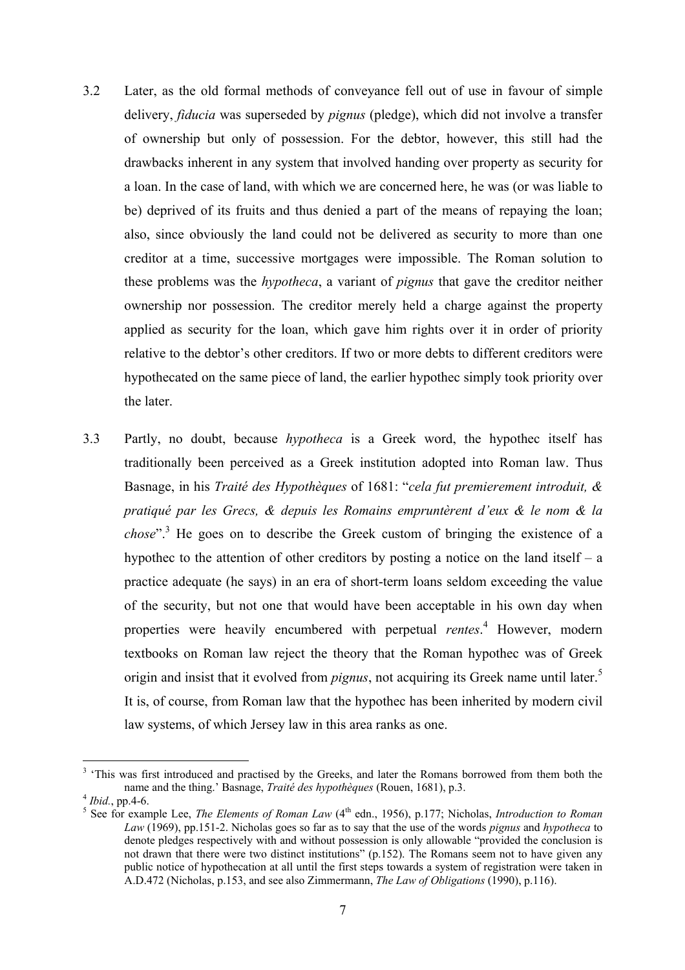- 3.2 Later, as the old formal methods of conveyance fell out of use in favour of simple delivery, *fiducia* was superseded by *pignus* (pledge), which did not involve a transfer of ownership but only of possession. For the debtor, however, this still had the drawbacks inherent in any system that involved handing over property as security for a loan. In the case of land, with which we are concerned here, he was (or was liable to be) deprived of its fruits and thus denied a part of the means of repaying the loan; also, since obviously the land could not be delivered as security to more than one creditor at a time, successive mortgages were impossible. The Roman solution to these problems was the *hypotheca*, a variant of *pignus* that gave the creditor neither ownership nor possession. The creditor merely held a charge against the property applied as security for the loan, which gave him rights over it in order of priority relative to the debtor's other creditors. If two or more debts to different creditors were hypothecated on the same piece of land, the earlier hypothec simply took priority over the later.
- 3.3 Partly, no doubt, because *hypotheca* is a Greek word, the hypothec itself has traditionally been perceived as a Greek institution adopted into Roman law. Thus Basnage, in his *Traité des Hypothèques* of 1681: "*cela fut premierement introduit, & pratiqué par les Grecs, & depuis les Romains empruntèrent d'eux & le nom & la chose*".3 He goes on to describe the Greek custom of bringing the existence of a hypothec to the attention of other creditors by posting a notice on the land itself – a practice adequate (he says) in an era of short-term loans seldom exceeding the value of the security, but not one that would have been acceptable in his own day when properties were heavily encumbered with perpetual *rentes*. 4 However, modern textbooks on Roman law reject the theory that the Roman hypothec was of Greek origin and insist that it evolved from *pignus*, not acquiring its Greek name until later.<sup>5</sup> It is, of course, from Roman law that the hypothec has been inherited by modern civil law systems, of which Jersey law in this area ranks as one.

<sup>&</sup>lt;sup>3</sup> 'This was first introduced and practised by the Greeks, and later the Romans borrowed from them both the name and the thing.' Basnage, *Traité des hypothèques* (Rouen, 1681), p.3. <sup>4</sup> *Ibid.*, pp.4-6.

<sup>&</sup>lt;sup>5</sup> See for example Lee, *The Elements of Roman Law* (4<sup>th</sup> edn., 1956), p.177; Nicholas, *Introduction to Roman Law* (1969), pp.151-2. Nicholas goes so far as to say that the use of the words *pignus* and *hypotheca* to denote pledges respectively with and without possession is only allowable "provided the conclusion is not drawn that there were two distinct institutions" (p.152). The Romans seem not to have given any public notice of hypothecation at all until the first steps towards a system of registration were taken in A.D.472 (Nicholas, p.153, and see also Zimmermann, *The Law of Obligations* (1990), p.116).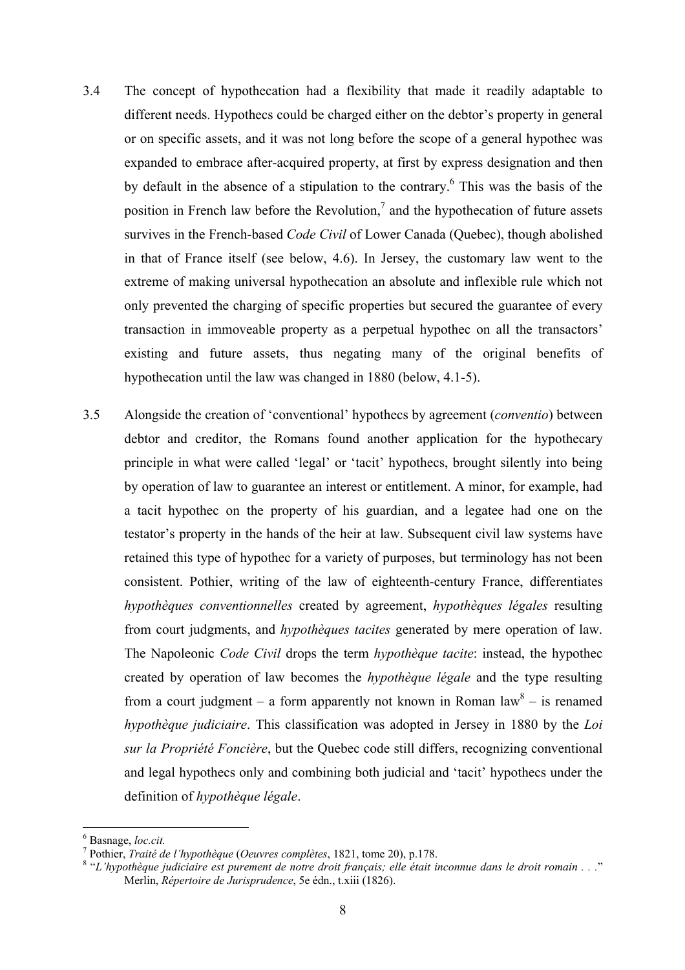- 3.4 The concept of hypothecation had a flexibility that made it readily adaptable to different needs. Hypothecs could be charged either on the debtor's property in general or on specific assets, and it was not long before the scope of a general hypothec was expanded to embrace after-acquired property, at first by express designation and then by default in the absence of a stipulation to the contrary.<sup>6</sup> This was the basis of the position in French law before the Revolution,<sup>7</sup> and the hypothecation of future assets survives in the French-based *Code Civil* of Lower Canada (Quebec), though abolished in that of France itself (see below, 4.6). In Jersey, the customary law went to the extreme of making universal hypothecation an absolute and inflexible rule which not only prevented the charging of specific properties but secured the guarantee of every transaction in immoveable property as a perpetual hypothec on all the transactors' existing and future assets, thus negating many of the original benefits of hypothecation until the law was changed in 1880 (below, 4.1-5).
- 3.5 Alongside the creation of 'conventional' hypothecs by agreement (*conventio*) between debtor and creditor, the Romans found another application for the hypothecary principle in what were called 'legal' or 'tacit' hypothecs, brought silently into being by operation of law to guarantee an interest or entitlement. A minor, for example, had a tacit hypothec on the property of his guardian, and a legatee had one on the testator's property in the hands of the heir at law. Subsequent civil law systems have retained this type of hypothec for a variety of purposes, but terminology has not been consistent. Pothier, writing of the law of eighteenth-century France, differentiates *hypothèques conventionnelles* created by agreement, *hypothèques légales* resulting from court judgments, and *hypothèques tacites* generated by mere operation of law. The Napoleonic *Code Civil* drops the term *hypothèque tacite*: instead, the hypothec created by operation of law becomes the *hypothèque légale* and the type resulting from a court judgment – a form apparently not known in Roman  $law<sup>8</sup> -$  is renamed *hypothèque judiciaire*. This classification was adopted in Jersey in 1880 by the *Loi sur la Propriété Foncière*, but the Quebec code still differs, recognizing conventional and legal hypothecs only and combining both judicial and 'tacit' hypothecs under the definition of *hypothèque légale*.

 6 Basnage, *loc.cit.* <sup>7</sup>

<sup>&</sup>lt;sup>7</sup> Pothier, *Traité de l'hypothèque* (*Oeuvres complètes*, 1821, tome 20), p.178.<br><sup>8</sup> "*L'hypothèque judiciaire est purement de notre droit français; elle était inconnue dans le droit romain . . ."* Merlin, *Répertoire de Jurisprudence*, 5e édn., t.xiii (1826).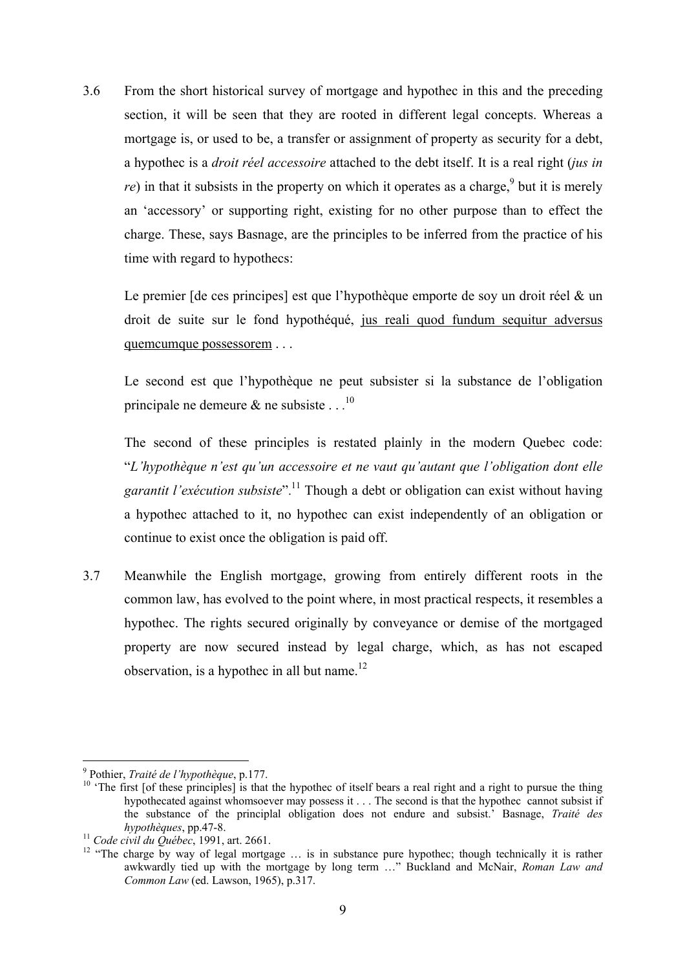3.6 From the short historical survey of mortgage and hypothec in this and the preceding section, it will be seen that they are rooted in different legal concepts. Whereas a mortgage is, or used to be, a transfer or assignment of property as security for a debt, a hypothec is a *droit réel accessoire* attached to the debt itself. It is a real right (*jus in*   $re)$  in that it subsists in the property on which it operates as a charge,  $9$  but it is merely an 'accessory' or supporting right, existing for no other purpose than to effect the charge. These, says Basnage, are the principles to be inferred from the practice of his time with regard to hypothecs:

Le premier [de ces principes] est que l'hypothèque emporte de soy un droit réel & un droit de suite sur le fond hypothéqué, jus reali quod fundum sequitur adversus quemcumque possessorem . . .

Le second est que l'hypothèque ne peut subsister si la substance de l'obligation principale ne demeure  $\&$  ne subsiste . . .<sup>10</sup>

The second of these principles is restated plainly in the modern Quebec code: "*L'hypothèque n'est qu'un accessoire et ne vaut qu'autant que l'obligation dont elle garantit l'exécution subsiste*". 11 Though a debt or obligation can exist without having a hypothec attached to it, no hypothec can exist independently of an obligation or continue to exist once the obligation is paid off.

3.7 Meanwhile the English mortgage, growing from entirely different roots in the common law, has evolved to the point where, in most practical respects, it resembles a hypothec. The rights secured originally by conveyance or demise of the mortgaged property are now secured instead by legal charge, which, as has not escaped observation, is a hypothec in all but name.<sup>12</sup>

<sup>&</sup>lt;sup>9</sup> Pothier, Traité de l'hypothèque, p.177.

<sup>&</sup>lt;sup>10</sup> 'The first [of these principles] is that the hypothec of itself bears a real right and a right to pursue the thing hypothecated against whomsoever may possess it . . . The second is that the hypothec cannot subsist if the substance of the principlal obligation does not endure and subsist.' Basnage, *Traité des* 

<sup>&</sup>lt;sup>11</sup> *Code civil du Québec*, 1991, art. 2661.<br><sup>12</sup> "The charge by way of legal mortgage ... is in substance pure hypothec; though technically it is rather awkwardly tied up with the mortgage by long term …" Buckland and McNair, *Roman Law and Common Law* (ed. Lawson, 1965), p.317.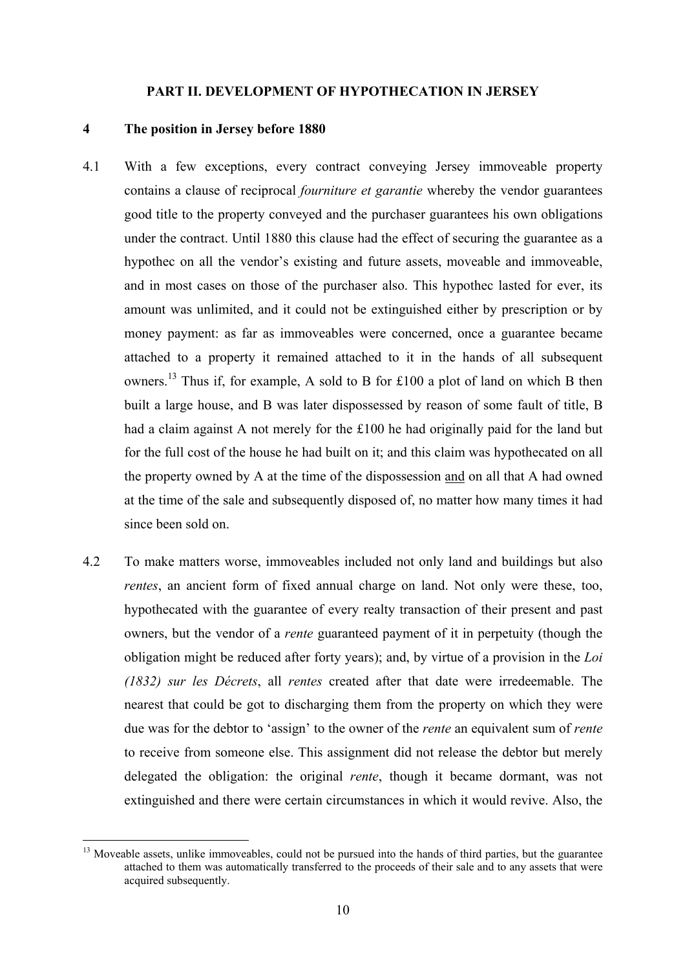#### **PART II. DEVELOPMENT OF HYPOTHECATION IN JERSEY**

#### **4 The position in Jersey before 1880**

- 4.1 With a few exceptions, every contract conveying Jersey immoveable property contains a clause of reciprocal *fourniture et garantie* whereby the vendor guarantees good title to the property conveyed and the purchaser guarantees his own obligations under the contract. Until 1880 this clause had the effect of securing the guarantee as a hypothec on all the vendor's existing and future assets, moveable and immoveable, and in most cases on those of the purchaser also. This hypothec lasted for ever, its amount was unlimited, and it could not be extinguished either by prescription or by money payment: as far as immoveables were concerned, once a guarantee became attached to a property it remained attached to it in the hands of all subsequent owners.13 Thus if, for example, A sold to B for £100 a plot of land on which B then built a large house, and B was later dispossessed by reason of some fault of title, B had a claim against A not merely for the £100 he had originally paid for the land but for the full cost of the house he had built on it; and this claim was hypothecated on all the property owned by A at the time of the dispossession and on all that A had owned at the time of the sale and subsequently disposed of, no matter how many times it had since been sold on.
- 4.2 To make matters worse, immoveables included not only land and buildings but also *rentes*, an ancient form of fixed annual charge on land. Not only were these, too, hypothecated with the guarantee of every realty transaction of their present and past owners, but the vendor of a *rente* guaranteed payment of it in perpetuity (though the obligation might be reduced after forty years); and, by virtue of a provision in the *Loi (1832) sur les Décrets*, all *rentes* created after that date were irredeemable. The nearest that could be got to discharging them from the property on which they were due was for the debtor to 'assign' to the owner of the *rente* an equivalent sum of *rente* to receive from someone else. This assignment did not release the debtor but merely delegated the obligation: the original *rente*, though it became dormant, was not extinguished and there were certain circumstances in which it would revive. Also, the

<sup>&</sup>lt;sup>13</sup> Moveable assets, unlike immoveables, could not be pursued into the hands of third parties, but the guarantee attached to them was automatically transferred to the proceeds of their sale and to any assets that were acquired subsequently.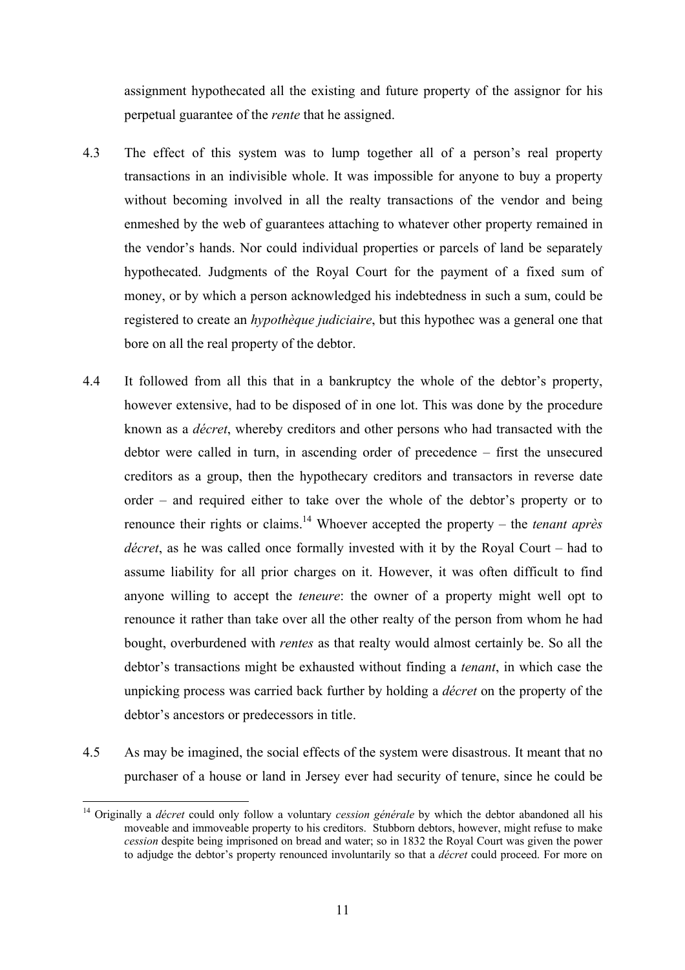assignment hypothecated all the existing and future property of the assignor for his perpetual guarantee of the *rente* that he assigned.

- 4.3 The effect of this system was to lump together all of a person's real property transactions in an indivisible whole. It was impossible for anyone to buy a property without becoming involved in all the realty transactions of the vendor and being enmeshed by the web of guarantees attaching to whatever other property remained in the vendor's hands. Nor could individual properties or parcels of land be separately hypothecated. Judgments of the Royal Court for the payment of a fixed sum of money, or by which a person acknowledged his indebtedness in such a sum, could be registered to create an *hypothèque judiciaire*, but this hypothec was a general one that bore on all the real property of the debtor.
- 4.4 It followed from all this that in a bankruptcy the whole of the debtor's property, however extensive, had to be disposed of in one lot. This was done by the procedure known as a *décret*, whereby creditors and other persons who had transacted with the debtor were called in turn, in ascending order of precedence – first the unsecured creditors as a group, then the hypothecary creditors and transactors in reverse date order – and required either to take over the whole of the debtor's property or to renounce their rights or claims.14 Whoever accepted the property – the *tenant après décret*, as he was called once formally invested with it by the Royal Court – had to assume liability for all prior charges on it. However, it was often difficult to find anyone willing to accept the *teneure*: the owner of a property might well opt to renounce it rather than take over all the other realty of the person from whom he had bought, overburdened with *rentes* as that realty would almost certainly be. So all the debtor's transactions might be exhausted without finding a *tenant*, in which case the unpicking process was carried back further by holding a *décret* on the property of the debtor's ancestors or predecessors in title.
- 4.5 As may be imagined, the social effects of the system were disastrous. It meant that no purchaser of a house or land in Jersey ever had security of tenure, since he could be

<sup>14</sup> Originally a *décret* could only follow a voluntary *cession générale* by which the debtor abandoned all his moveable and immoveable property to his creditors. Stubborn debtors, however, might refuse to make *cession* despite being imprisoned on bread and water; so in 1832 the Royal Court was given the power to adjudge the debtor's property renounced involuntarily so that a *décret* could proceed. For more on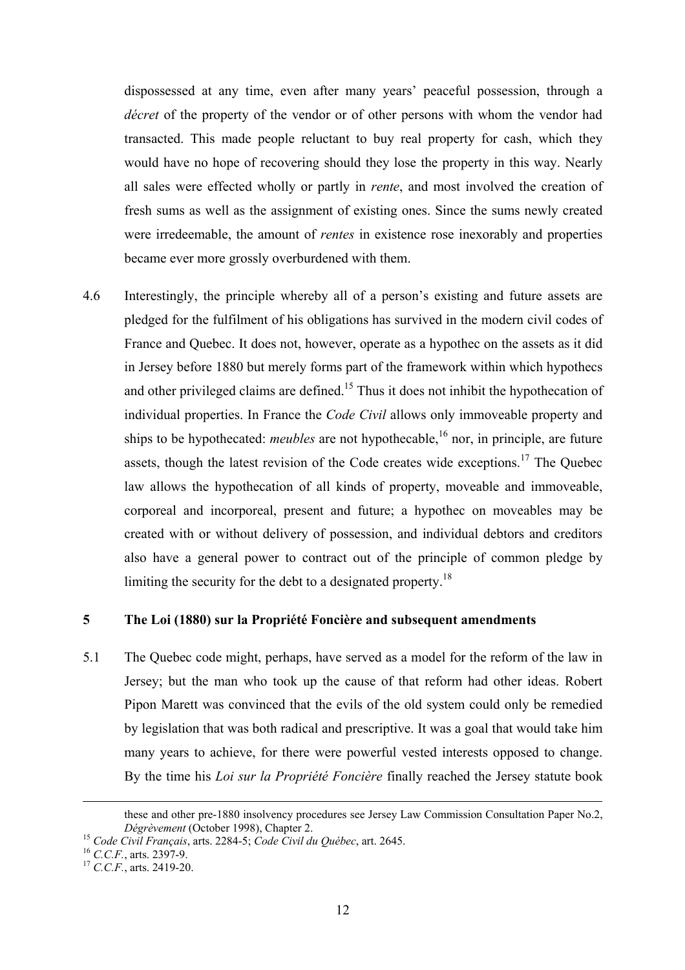dispossessed at any time, even after many years' peaceful possession, through a *décret* of the property of the vendor or of other persons with whom the vendor had transacted. This made people reluctant to buy real property for cash, which they would have no hope of recovering should they lose the property in this way. Nearly all sales were effected wholly or partly in *rente*, and most involved the creation of fresh sums as well as the assignment of existing ones. Since the sums newly created were irredeemable, the amount of *rentes* in existence rose inexorably and properties became ever more grossly overburdened with them.

4.6 Interestingly, the principle whereby all of a person's existing and future assets are pledged for the fulfilment of his obligations has survived in the modern civil codes of France and Quebec. It does not, however, operate as a hypothec on the assets as it did in Jersey before 1880 but merely forms part of the framework within which hypothecs and other privileged claims are defined.<sup>15</sup> Thus it does not inhibit the hypothecation of individual properties. In France the *Code Civil* allows only immoveable property and ships to be hypothecated: *meubles* are not hypothecable, <sup>16</sup> nor, in principle, are future assets, though the latest revision of the Code creates wide exceptions.<sup>17</sup> The Ouebec law allows the hypothecation of all kinds of property, moveable and immoveable, corporeal and incorporeal, present and future; a hypothec on moveables may be created with or without delivery of possession, and individual debtors and creditors also have a general power to contract out of the principle of common pledge by limiting the security for the debt to a designated property.<sup>18</sup>

## **5 The Loi (1880) sur la Propriété Foncière and subsequent amendments**

5.1 The Quebec code might, perhaps, have served as a model for the reform of the law in Jersey; but the man who took up the cause of that reform had other ideas. Robert Pipon Marett was convinced that the evils of the old system could only be remedied by legislation that was both radical and prescriptive. It was a goal that would take him many years to achieve, for there were powerful vested interests opposed to change. By the time his *Loi sur la Propriété Foncière* finally reached the Jersey statute book

these and other pre-1880 insolvency procedures see Jersey Law Commission Consultation Paper No.2, *Dégrèvement* (October 1998), Chapter 2.<br><sup>15</sup> *Code Civil Français*, arts. 2284-5; *Code Civil du Québec*, art. 2645.<br><sup>16</sup> *C.C.F.*, arts. 2397-9.<br><sup>17</sup> *C.C.F.*, arts. 2419-20.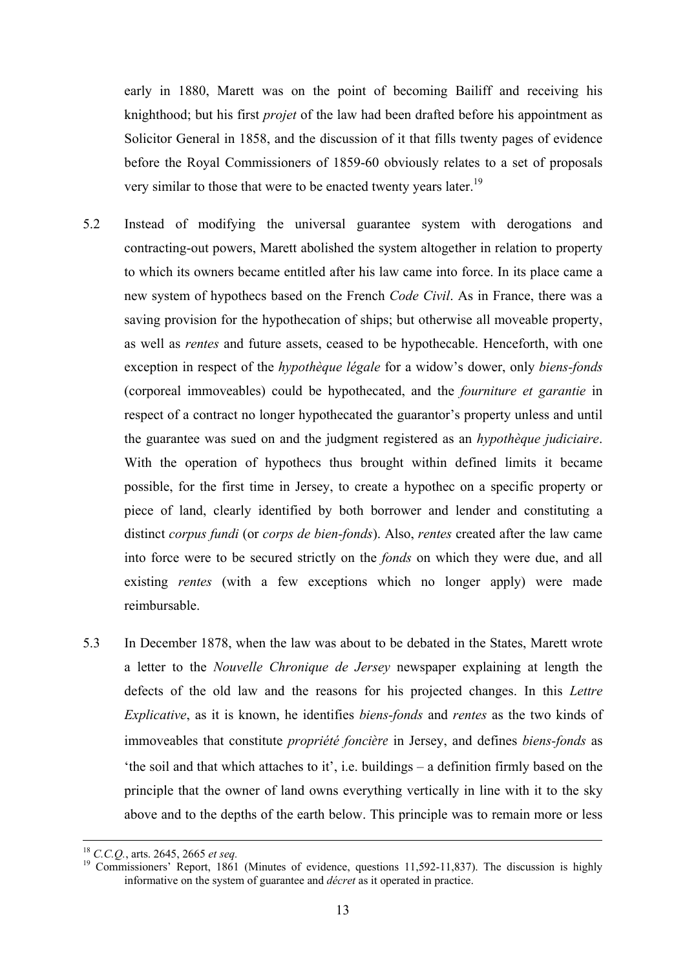early in 1880, Marett was on the point of becoming Bailiff and receiving his knighthood; but his first *projet* of the law had been drafted before his appointment as Solicitor General in 1858, and the discussion of it that fills twenty pages of evidence before the Royal Commissioners of 1859-60 obviously relates to a set of proposals very similar to those that were to be enacted twenty years later.<sup>19</sup>

- 5.2 Instead of modifying the universal guarantee system with derogations and contracting-out powers, Marett abolished the system altogether in relation to property to which its owners became entitled after his law came into force. In its place came a new system of hypothecs based on the French *Code Civil*. As in France, there was a saving provision for the hypothecation of ships; but otherwise all moveable property, as well as *rentes* and future assets, ceased to be hypothecable. Henceforth, with one exception in respect of the *hypothèque légale* for a widow's dower, only *biens-fonds* (corporeal immoveables) could be hypothecated, and the *fourniture et garantie* in respect of a contract no longer hypothecated the guarantor's property unless and until the guarantee was sued on and the judgment registered as an *hypothèque judiciaire*. With the operation of hypothecs thus brought within defined limits it became possible, for the first time in Jersey, to create a hypothec on a specific property or piece of land, clearly identified by both borrower and lender and constituting a distinct *corpus fundi* (or *corps de bien-fonds*). Also, *rentes* created after the law came into force were to be secured strictly on the *fonds* on which they were due, and all existing *rentes* (with a few exceptions which no longer apply) were made reimbursable.
- 5.3 In December 1878, when the law was about to be debated in the States, Marett wrote a letter to the *Nouvelle Chronique de Jersey* newspaper explaining at length the defects of the old law and the reasons for his projected changes. In this *Lettre Explicative*, as it is known, he identifies *biens-fonds* and *rentes* as the two kinds of immoveables that constitute *propriété foncière* in Jersey, and defines *biens-fonds* as 'the soil and that which attaches to it', i.e. buildings – a definition firmly based on the principle that the owner of land owns everything vertically in line with it to the sky above and to the depths of the earth below. This principle was to remain more or less

<sup>&</sup>lt;sup>18</sup> *C.C.Q.*, arts. 2645, 2665 *et seq.* **(2014)** Commissioners' Report, 1861 (Minutes of evidence, questions 11,592-11,837). The discussion is highly informative on the system of guarantee and *décret* as it operated in practice.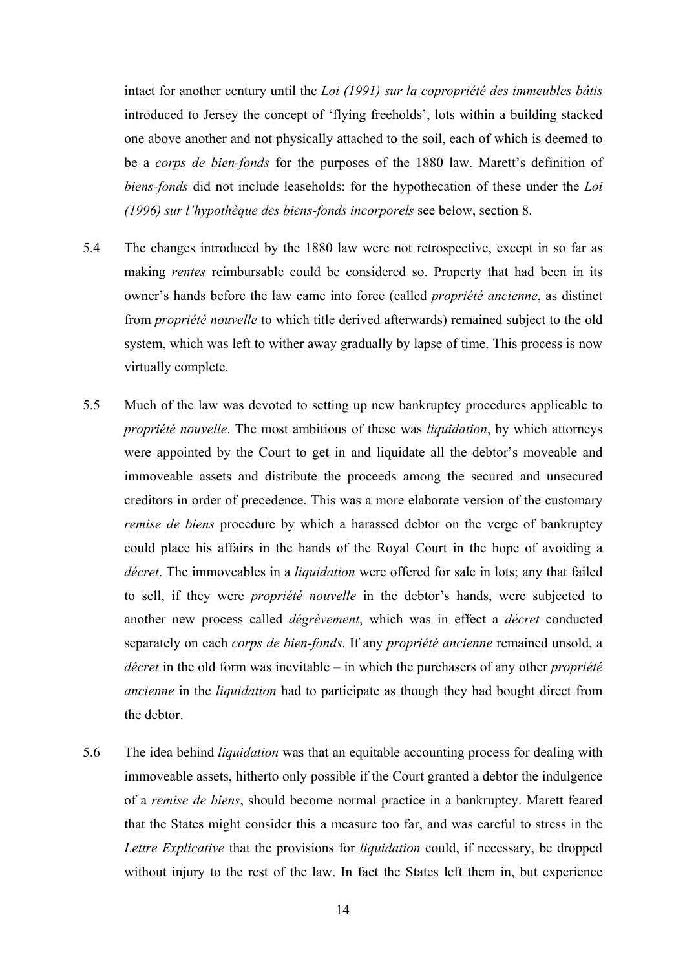intact for another century until the *Loi (1991) sur la copropriété des immeubles bâtis* introduced to Jersey the concept of 'flying freeholds', lots within a building stacked one above another and not physically attached to the soil, each of which is deemed to be a *corps de bien-fonds* for the purposes of the 1880 law. Marett's definition of *biens-fonds* did not include leaseholds: for the hypothecation of these under the *Loi (1996) sur l'hypothèque des biens-fonds incorporels* see below, section 8.

- 5.4 The changes introduced by the 1880 law were not retrospective, except in so far as making *rentes* reimbursable could be considered so. Property that had been in its owner's hands before the law came into force (called *propriété ancienne*, as distinct from *propriété nouvelle* to which title derived afterwards) remained subject to the old system, which was left to wither away gradually by lapse of time. This process is now virtually complete.
- 5.5 Much of the law was devoted to setting up new bankruptcy procedures applicable to *propriété nouvelle*. The most ambitious of these was *liquidation*, by which attorneys were appointed by the Court to get in and liquidate all the debtor's moveable and immoveable assets and distribute the proceeds among the secured and unsecured creditors in order of precedence. This was a more elaborate version of the customary *remise de biens* procedure by which a harassed debtor on the verge of bankruptcy could place his affairs in the hands of the Royal Court in the hope of avoiding a *décret*. The immoveables in a *liquidation* were offered for sale in lots; any that failed to sell, if they were *propriété nouvelle* in the debtor's hands, were subjected to another new process called *dégrèvement*, which was in effect a *décret* conducted separately on each *corps de bien-fonds*. If any *propriété ancienne* remained unsold, a *décret* in the old form was inevitable – in which the purchasers of any other *propriété ancienne* in the *liquidation* had to participate as though they had bought direct from the debtor.
- 5.6 The idea behind *liquidation* was that an equitable accounting process for dealing with immoveable assets, hitherto only possible if the Court granted a debtor the indulgence of a *remise de biens*, should become normal practice in a bankruptcy. Marett feared that the States might consider this a measure too far, and was careful to stress in the *Lettre Explicative* that the provisions for *liquidation* could, if necessary, be dropped without injury to the rest of the law. In fact the States left them in, but experience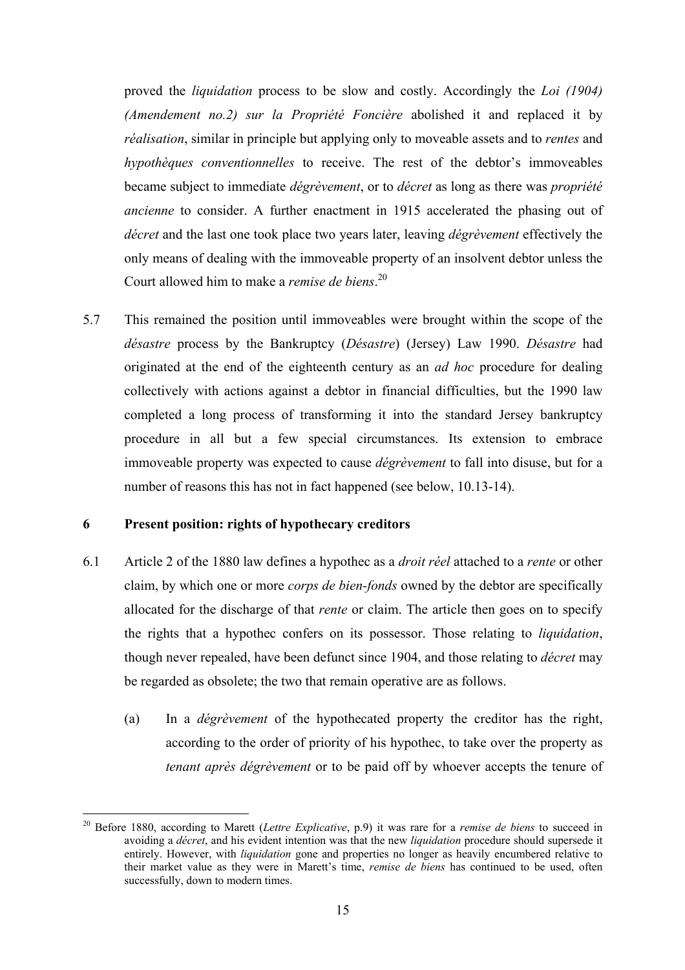proved the *liquidation* process to be slow and costly. Accordingly the *Loi (1904) (Amendement no.2) sur la Propriété Foncière* abolished it and replaced it by *réalisation*, similar in principle but applying only to moveable assets and to *rentes* and *hypothèques conventionnelles* to receive. The rest of the debtor's immoveables became subject to immediate *dégrèvement*, or to *décret* as long as there was *propriété ancienne* to consider. A further enactment in 1915 accelerated the phasing out of *décret* and the last one took place two years later, leaving *dégrèvement* effectively the only means of dealing with the immoveable property of an insolvent debtor unless the Court allowed him to make a *remise de biens*. 20

5.7 This remained the position until immoveables were brought within the scope of the *désastre* process by the Bankruptcy (*Désastre*) (Jersey) Law 1990. *Désastre* had originated at the end of the eighteenth century as an *ad hoc* procedure for dealing collectively with actions against a debtor in financial difficulties, but the 1990 law completed a long process of transforming it into the standard Jersey bankruptcy procedure in all but a few special circumstances. Its extension to embrace immoveable property was expected to cause *dégrèvement* to fall into disuse, but for a number of reasons this has not in fact happened (see below, 10.13-14).

## **6 Present position: rights of hypothecary creditors**

- 6.1 Article 2 of the 1880 law defines a hypothec as a *droit réel* attached to a *rente* or other claim, by which one or more *corps de bien-fonds* owned by the debtor are specifically allocated for the discharge of that *rente* or claim. The article then goes on to specify the rights that a hypothec confers on its possessor. Those relating to *liquidation*, though never repealed, have been defunct since 1904, and those relating to *décret* may be regarded as obsolete; the two that remain operative are as follows.
	- (a) In a *dégrèvement* of the hypothecated property the creditor has the right, according to the order of priority of his hypothec, to take over the property as *tenant après dégrèvement* or to be paid off by whoever accepts the tenure of

<sup>20</sup> Before 1880, according to Marett (*Lettre Explicative*, p.9) it was rare for a *remise de biens* to succeed in avoiding a *décret*, and his evident intention was that the new *liquidation* procedure should supersede it entirely. However, with *liquidation* gone and properties no longer as heavily encumbered relative to their market value as they were in Marett's time, *remise de biens* has continued to be used, often successfully, down to modern times.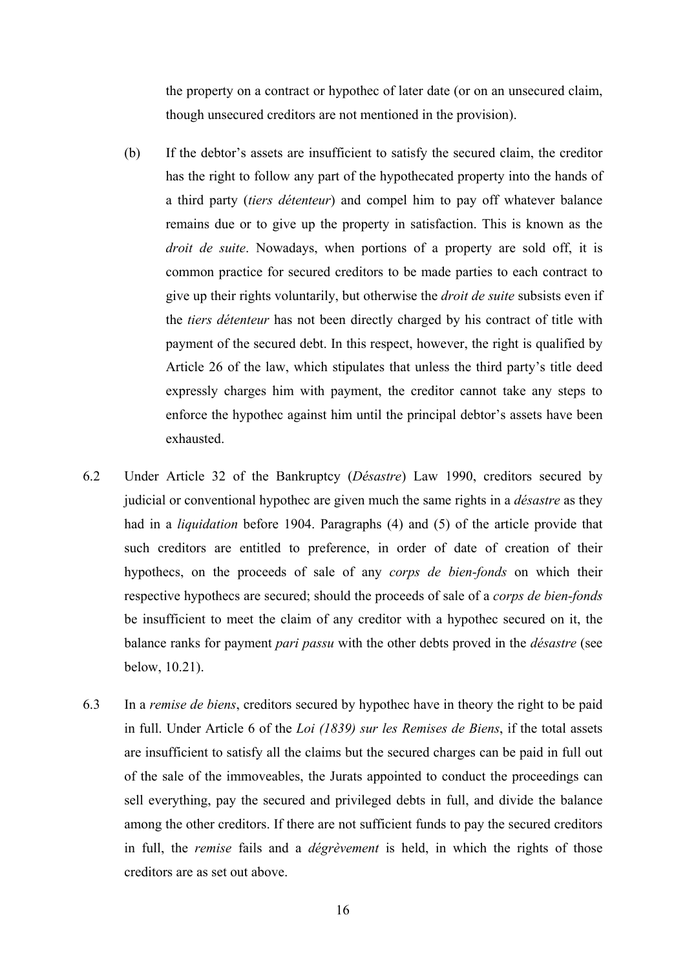the property on a contract or hypothec of later date (or on an unsecured claim, though unsecured creditors are not mentioned in the provision).

- (b) If the debtor's assets are insufficient to satisfy the secured claim, the creditor has the right to follow any part of the hypothecated property into the hands of a third party (*tiers détenteur*) and compel him to pay off whatever balance remains due or to give up the property in satisfaction. This is known as the *droit de suite*. Nowadays, when portions of a property are sold off, it is common practice for secured creditors to be made parties to each contract to give up their rights voluntarily, but otherwise the *droit de suite* subsists even if the *tiers détenteur* has not been directly charged by his contract of title with payment of the secured debt. In this respect, however, the right is qualified by Article 26 of the law, which stipulates that unless the third party's title deed expressly charges him with payment, the creditor cannot take any steps to enforce the hypothec against him until the principal debtor's assets have been exhausted.
- 6.2 Under Article 32 of the Bankruptcy (*Désastre*) Law 1990, creditors secured by judicial or conventional hypothec are given much the same rights in a *désastre* as they had in a *liquidation* before 1904. Paragraphs (4) and (5) of the article provide that such creditors are entitled to preference, in order of date of creation of their hypothecs, on the proceeds of sale of any *corps de bien-fonds* on which their respective hypothecs are secured; should the proceeds of sale of a *corps de bien-fonds* be insufficient to meet the claim of any creditor with a hypothec secured on it, the balance ranks for payment *pari passu* with the other debts proved in the *désastre* (see below, 10.21).
- 6.3 In a *remise de biens*, creditors secured by hypothec have in theory the right to be paid in full. Under Article 6 of the *Loi (1839) sur les Remises de Biens*, if the total assets are insufficient to satisfy all the claims but the secured charges can be paid in full out of the sale of the immoveables, the Jurats appointed to conduct the proceedings can sell everything, pay the secured and privileged debts in full, and divide the balance among the other creditors. If there are not sufficient funds to pay the secured creditors in full, the *remise* fails and a *dégrèvement* is held, in which the rights of those creditors are as set out above.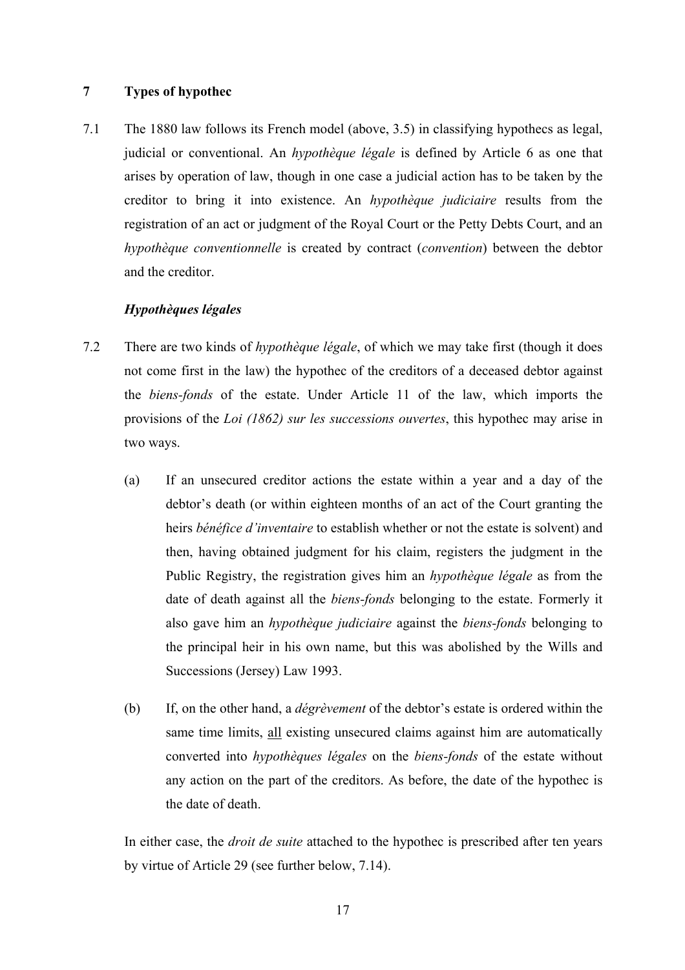## **7 Types of hypothec**

7.1 The 1880 law follows its French model (above, 3.5) in classifying hypothecs as legal, judicial or conventional. An *hypothèque légale* is defined by Article 6 as one that arises by operation of law, though in one case a judicial action has to be taken by the creditor to bring it into existence. An *hypothèque judiciaire* results from the registration of an act or judgment of the Royal Court or the Petty Debts Court, and an *hypothèque conventionnelle* is created by contract (*convention*) between the debtor and the creditor.

## *Hypothèques légales*

- 7.2 There are two kinds of *hypothèque légale*, of which we may take first (though it does not come first in the law) the hypothec of the creditors of a deceased debtor against the *biens-fonds* of the estate. Under Article 11 of the law, which imports the provisions of the *Loi (1862) sur les successions ouvertes*, this hypothec may arise in two ways.
	- (a) If an unsecured creditor actions the estate within a year and a day of the debtor's death (or within eighteen months of an act of the Court granting the heirs *bénéfice d'inventaire* to establish whether or not the estate is solvent) and then, having obtained judgment for his claim, registers the judgment in the Public Registry, the registration gives him an *hypothèque légale* as from the date of death against all the *biens-fonds* belonging to the estate. Formerly it also gave him an *hypothèque judiciaire* against the *biens-fonds* belonging to the principal heir in his own name, but this was abolished by the Wills and Successions (Jersey) Law 1993.
	- (b) If, on the other hand, a *dégrèvement* of the debtor's estate is ordered within the same time limits, all existing unsecured claims against him are automatically converted into *hypothèques légales* on the *biens-fonds* of the estate without any action on the part of the creditors. As before, the date of the hypothec is the date of death.

In either case, the *droit de suite* attached to the hypothec is prescribed after ten years by virtue of Article 29 (see further below, 7.14).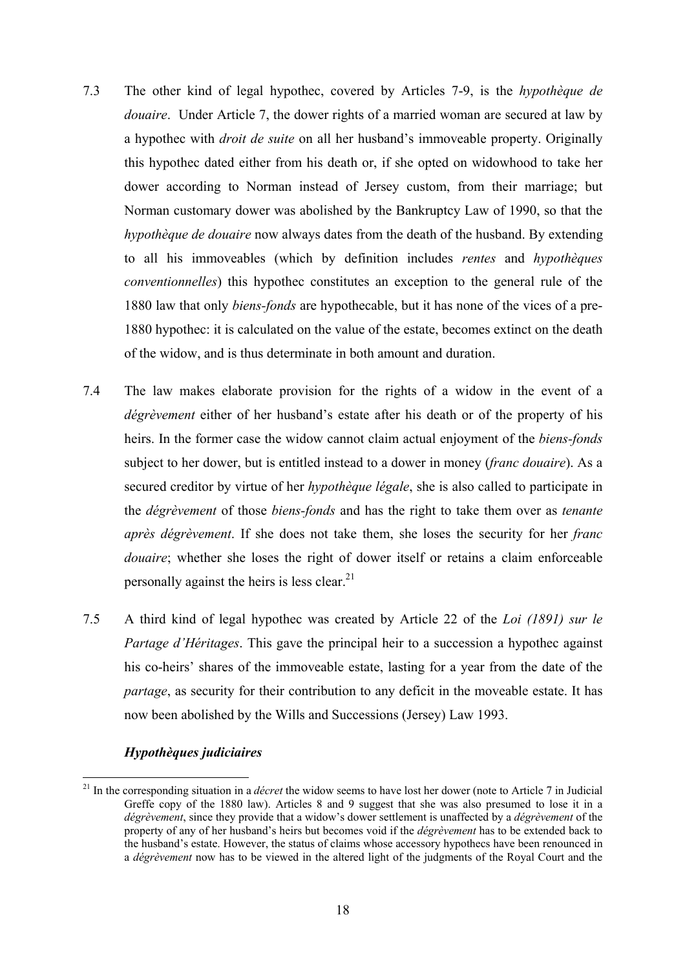- 7.3 The other kind of legal hypothec, covered by Articles 7-9, is the *hypothèque de douaire*. Under Article 7, the dower rights of a married woman are secured at law by a hypothec with *droit de suite* on all her husband's immoveable property. Originally this hypothec dated either from his death or, if she opted on widowhood to take her dower according to Norman instead of Jersey custom, from their marriage; but Norman customary dower was abolished by the Bankruptcy Law of 1990, so that the *hypothèque de douaire* now always dates from the death of the husband. By extending to all his immoveables (which by definition includes *rentes* and *hypothèques conventionnelles*) this hypothec constitutes an exception to the general rule of the 1880 law that only *biens-fonds* are hypothecable, but it has none of the vices of a pre-1880 hypothec: it is calculated on the value of the estate, becomes extinct on the death of the widow, and is thus determinate in both amount and duration.
- 7.4 The law makes elaborate provision for the rights of a widow in the event of a *dégrèvement* either of her husband's estate after his death or of the property of his heirs. In the former case the widow cannot claim actual enjoyment of the *biens-fonds* subject to her dower, but is entitled instead to a dower in money (*franc douaire*). As a secured creditor by virtue of her *hypothèque légale*, she is also called to participate in the *dégrèvement* of those *biens-fonds* and has the right to take them over as *tenante après dégrèvement*. If she does not take them, she loses the security for her *franc douaire*; whether she loses the right of dower itself or retains a claim enforceable personally against the heirs is less clear. $^{21}$
- 7.5 A third kind of legal hypothec was created by Article 22 of the *Loi (1891) sur le Partage d'Héritages*. This gave the principal heir to a succession a hypothec against his co-heirs' shares of the immoveable estate, lasting for a year from the date of the *partage*, as security for their contribution to any deficit in the moveable estate. It has now been abolished by the Wills and Successions (Jersey) Law 1993.

## *Hypothèques judiciaires*

<sup>&</sup>lt;sup>21</sup> In the corresponding situation in a *décret* the widow seems to have lost her dower (note to Article 7 in Judicial Greffe copy of the 1880 law). Articles 8 and 9 suggest that she was also presumed to lose it in a *dégrèvement*, since they provide that a widow's dower settlement is unaffected by a *dégrèvement* of the property of any of her husband's heirs but becomes void if the *dégrèvement* has to be extended back to the husband's estate. However, the status of claims whose accessory hypothecs have been renounced in a *dégrèvement* now has to be viewed in the altered light of the judgments of the Royal Court and the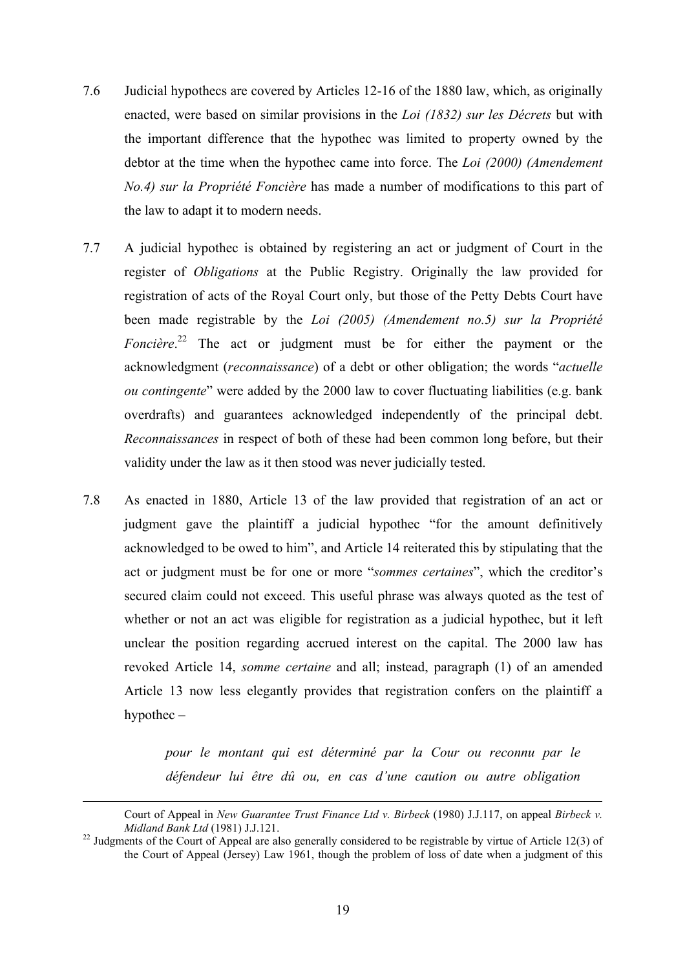- 7.6 Judicial hypothecs are covered by Articles 12-16 of the 1880 law, which, as originally enacted, were based on similar provisions in the *Loi (1832) sur les Décrets* but with the important difference that the hypothec was limited to property owned by the debtor at the time when the hypothec came into force. The *Loi (2000) (Amendement No.4) sur la Propriété Foncière* has made a number of modifications to this part of the law to adapt it to modern needs.
- 7.7 A judicial hypothec is obtained by registering an act or judgment of Court in the register of *Obligations* at the Public Registry. Originally the law provided for registration of acts of the Royal Court only, but those of the Petty Debts Court have been made registrable by the *Loi (2005) (Amendement no.5) sur la Propriété*  Foncière.<sup>22</sup> The act or judgment must be for either the payment or the acknowledgment (*reconnaissance*) of a debt or other obligation; the words "*actuelle ou contingente*" were added by the 2000 law to cover fluctuating liabilities (e.g. bank overdrafts) and guarantees acknowledged independently of the principal debt. *Reconnaissances* in respect of both of these had been common long before, but their validity under the law as it then stood was never judicially tested.
- 7.8 As enacted in 1880, Article 13 of the law provided that registration of an act or judgment gave the plaintiff a judicial hypothec "for the amount definitively acknowledged to be owed to him", and Article 14 reiterated this by stipulating that the act or judgment must be for one or more "*sommes certaines*", which the creditor's secured claim could not exceed. This useful phrase was always quoted as the test of whether or not an act was eligible for registration as a judicial hypothec, but it left unclear the position regarding accrued interest on the capital. The 2000 law has revoked Article 14, *somme certaine* and all; instead, paragraph (1) of an amended Article 13 now less elegantly provides that registration confers on the plaintiff a hypothec –

*pour le montant qui est déterminé par la Cour ou reconnu par le défendeur lui être dû ou, en cas d'une caution ou autre obligation* 

Court of Appeal in *New Guarantee Trust Finance Ltd v. Birbeck* (1980) J.J.117, on appeal *Birbeck v. Midland Bank Ltd* (1981) J.J.121.<br><sup>22</sup> Judgments of the Court of Appeal are also generally considered to be registrable by virtue of Article 12(3) of

the Court of Appeal (Jersey) Law 1961, though the problem of loss of date when a judgment of this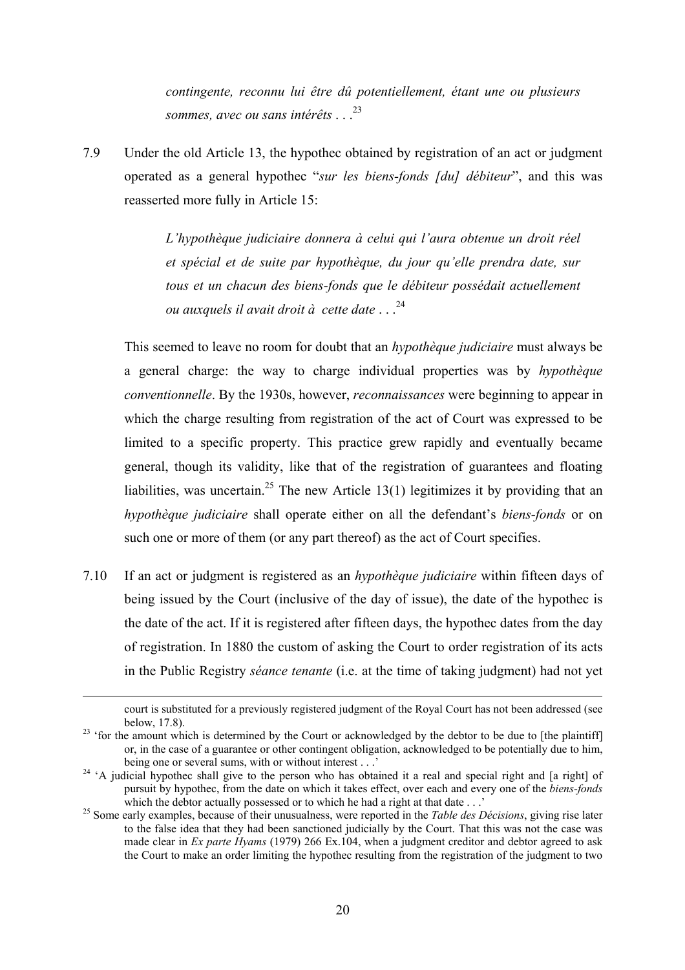*contingente, reconnu lui être dû potentiellement, étant une ou plusieurs sommes, avec ou sans intérêts* . . .23

7.9 Under the old Article 13, the hypothec obtained by registration of an act or judgment operated as a general hypothec "*sur les biens-fonds [du] débiteur*", and this was reasserted more fully in Article 15:

> *L'hypothèque judiciaire donnera à celui qui l'aura obtenue un droit réel et spécial et de suite par hypothèque, du jour qu'elle prendra date, sur tous et un chacun des biens-fonds que le débiteur possédait actuellement ou auxquels il avait droit à cette date* . . .24

This seemed to leave no room for doubt that an *hypothèque judiciaire* must always be a general charge: the way to charge individual properties was by *hypothèque conventionnelle*. By the 1930s, however, *reconnaissances* were beginning to appear in which the charge resulting from registration of the act of Court was expressed to be limited to a specific property. This practice grew rapidly and eventually became general, though its validity, like that of the registration of guarantees and floating liabilities, was uncertain.<sup>25</sup> The new Article 13(1) legitimizes it by providing that an *hypothèque judiciaire* shall operate either on all the defendant's *biens-fonds* or on such one or more of them (or any part thereof) as the act of Court specifies.

7.10 If an act or judgment is registered as an *hypothèque judiciaire* within fifteen days of being issued by the Court (inclusive of the day of issue), the date of the hypothec is the date of the act. If it is registered after fifteen days, the hypothec dates from the day of registration. In 1880 the custom of asking the Court to order registration of its acts in the Public Registry *séance tenante* (i.e. at the time of taking judgment) had not yet

court is substituted for a previously registered judgment of the Royal Court has not been addressed (see below, 17.8).<br><sup>23</sup> 'for the amount which is determined by the Court or acknowledged by the debtor to be due to [the plaintiff]

or, in the case of a guarantee or other contingent obligation, acknowledged to be potentially due to him, being one or several sums, with or without interest . . .'

 $\frac{24}{4}$  'A judicial hypothec shall give to the person who has obtained it a real and special right and [a right] of pursuit by hypothec, from the date on which it takes effect, over each and every one of the *biens-fonds*

<sup>&</sup>lt;sup>25</sup> Some early examples, because of their unusualness, were reported in the *Table des Décisions*, giving rise later to the false idea that they had been sanctioned judicially by the Court. That this was not the case was made clear in *Ex parte Hyams* (1979) 266 Ex.104, when a judgment creditor and debtor agreed to ask the Court to make an order limiting the hypothec resulting from the registration of the judgment to two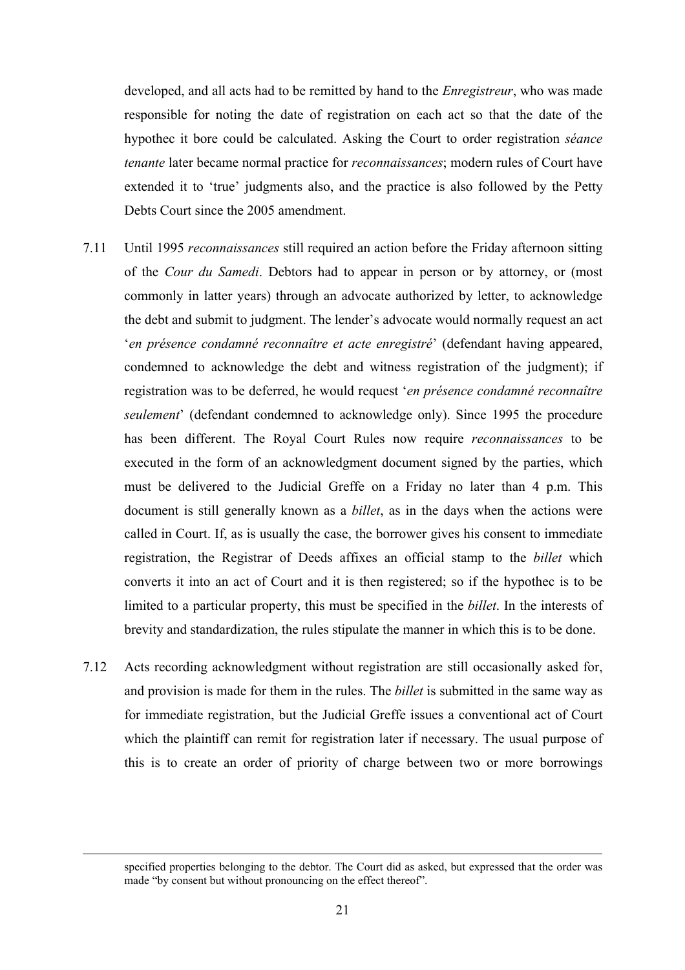developed, and all acts had to be remitted by hand to the *Enregistreur*, who was made responsible for noting the date of registration on each act so that the date of the hypothec it bore could be calculated. Asking the Court to order registration *séance tenante* later became normal practice for *reconnaissances*; modern rules of Court have extended it to 'true' judgments also, and the practice is also followed by the Petty Debts Court since the 2005 amendment.

- 7.11 Until 1995 *reconnaissances* still required an action before the Friday afternoon sitting of the *Cour du Samedi*. Debtors had to appear in person or by attorney, or (most commonly in latter years) through an advocate authorized by letter, to acknowledge the debt and submit to judgment. The lender's advocate would normally request an act '*en présence condamné reconnaître et acte enregistré*' (defendant having appeared, condemned to acknowledge the debt and witness registration of the judgment); if registration was to be deferred, he would request '*en présence condamné reconnaître seulement*' (defendant condemned to acknowledge only). Since 1995 the procedure has been different. The Royal Court Rules now require *reconnaissances* to be executed in the form of an acknowledgment document signed by the parties, which must be delivered to the Judicial Greffe on a Friday no later than 4 p.m. This document is still generally known as a *billet*, as in the days when the actions were called in Court. If, as is usually the case, the borrower gives his consent to immediate registration, the Registrar of Deeds affixes an official stamp to the *billet* which converts it into an act of Court and it is then registered; so if the hypothec is to be limited to a particular property, this must be specified in the *billet*. In the interests of brevity and standardization, the rules stipulate the manner in which this is to be done.
- 7.12 Acts recording acknowledgment without registration are still occasionally asked for, and provision is made for them in the rules. The *billet* is submitted in the same way as for immediate registration, but the Judicial Greffe issues a conventional act of Court which the plaintiff can remit for registration later if necessary. The usual purpose of this is to create an order of priority of charge between two or more borrowings

specified properties belonging to the debtor. The Court did as asked, but expressed that the order was made "by consent but without pronouncing on the effect thereof".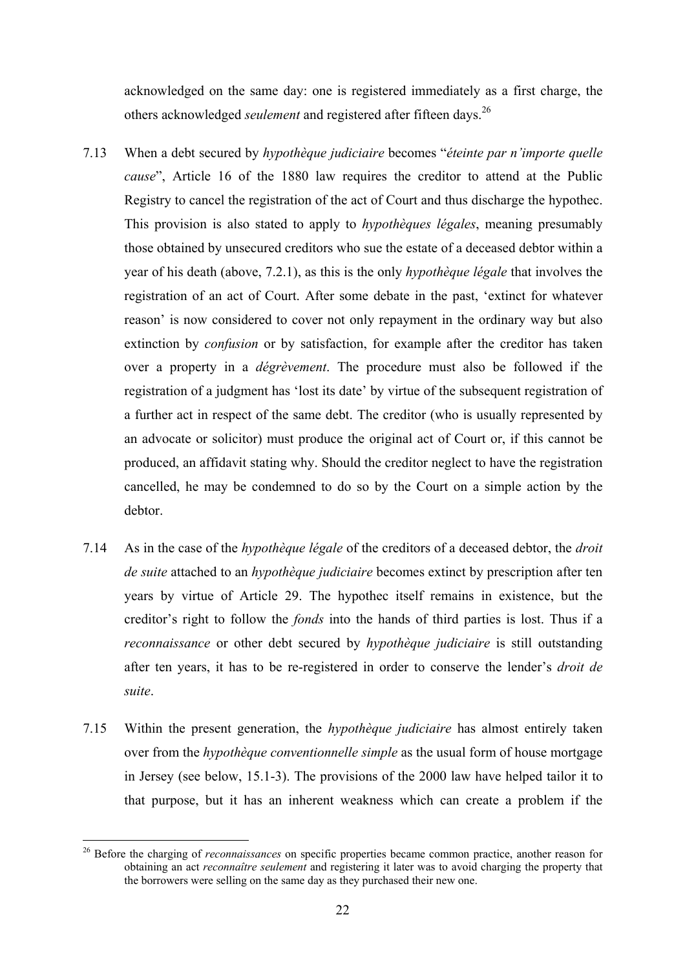acknowledged on the same day: one is registered immediately as a first charge, the others acknowledged *seulement* and registered after fifteen days.26

- 7.13 When a debt secured by *hypothèque judiciaire* becomes "*éteinte par n'importe quelle cause*", Article 16 of the 1880 law requires the creditor to attend at the Public Registry to cancel the registration of the act of Court and thus discharge the hypothec. This provision is also stated to apply to *hypothèques légales*, meaning presumably those obtained by unsecured creditors who sue the estate of a deceased debtor within a year of his death (above, 7.2.1), as this is the only *hypothèque légale* that involves the registration of an act of Court. After some debate in the past, 'extinct for whatever reason' is now considered to cover not only repayment in the ordinary way but also extinction by *confusion* or by satisfaction, for example after the creditor has taken over a property in a *dégrèvement*. The procedure must also be followed if the registration of a judgment has 'lost its date' by virtue of the subsequent registration of a further act in respect of the same debt. The creditor (who is usually represented by an advocate or solicitor) must produce the original act of Court or, if this cannot be produced, an affidavit stating why. Should the creditor neglect to have the registration cancelled, he may be condemned to do so by the Court on a simple action by the debtor.
- 7.14 As in the case of the *hypothèque légale* of the creditors of a deceased debtor, the *droit de suite* attached to an *hypothèque judiciaire* becomes extinct by prescription after ten years by virtue of Article 29. The hypothec itself remains in existence, but the creditor's right to follow the *fonds* into the hands of third parties is lost. Thus if a *reconnaissance* or other debt secured by *hypothèque judiciaire* is still outstanding after ten years, it has to be re-registered in order to conserve the lender's *droit de suite*.
- 7.15 Within the present generation, the *hypothèque judiciaire* has almost entirely taken over from the *hypothèque conventionnelle simple* as the usual form of house mortgage in Jersey (see below, 15.1-3). The provisions of the 2000 law have helped tailor it to that purpose, but it has an inherent weakness which can create a problem if the

 $\overline{a}$ 26 Before the charging of *reconnaissances* on specific properties became common practice, another reason for obtaining an act *reconnaître seulement* and registering it later was to avoid charging the property that the borrowers were selling on the same day as they purchased their new one.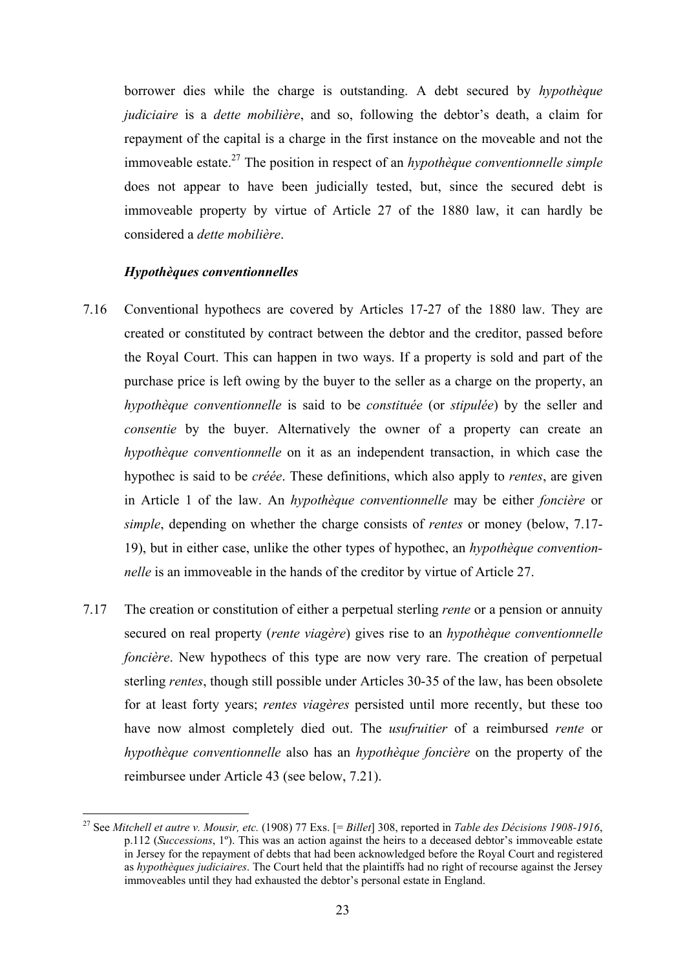borrower dies while the charge is outstanding. A debt secured by *hypothèque judiciaire* is a *dette mobilière*, and so, following the debtor's death, a claim for repayment of the capital is a charge in the first instance on the moveable and not the immoveable estate.27 The position in respect of an *hypothèque conventionnelle simple* does not appear to have been judicially tested, but, since the secured debt is immoveable property by virtue of Article 27 of the 1880 law, it can hardly be considered a *dette mobilière*.

### *Hypothèques conventionnelles*

- 7.16 Conventional hypothecs are covered by Articles 17-27 of the 1880 law. They are created or constituted by contract between the debtor and the creditor, passed before the Royal Court. This can happen in two ways. If a property is sold and part of the purchase price is left owing by the buyer to the seller as a charge on the property, an *hypothèque conventionnelle* is said to be *constituée* (or *stipulée*) by the seller and *consentie* by the buyer. Alternatively the owner of a property can create an *hypothèque conventionnelle* on it as an independent transaction, in which case the hypothec is said to be *créée*. These definitions, which also apply to *rentes*, are given in Article 1 of the law. An *hypothèque conventionnelle* may be either *foncière* or *simple*, depending on whether the charge consists of *rentes* or money (below, 7.17- 19), but in either case, unlike the other types of hypothec, an *hypothèque conventionnelle* is an immoveable in the hands of the creditor by virtue of Article 27.
- 7.17 The creation or constitution of either a perpetual sterling *rente* or a pension or annuity secured on real property (*rente viagère*) gives rise to an *hypothèque conventionnelle foncière*. New hypothecs of this type are now very rare. The creation of perpetual sterling *rentes*, though still possible under Articles 30-35 of the law, has been obsolete for at least forty years; *rentes viagères* persisted until more recently, but these too have now almost completely died out. The *usufruitier* of a reimbursed *rente* or *hypothèque conventionnelle* also has an *hypothèque foncière* on the property of the reimbursee under Article 43 (see below, 7.21).

<sup>27</sup> See *Mitchell et autre v. Mousir, etc.* (1908) 77 Exs. [= *Billet*] 308, reported in *Table des Décisions 1908-1916*, p.112 (*Successions*, 1º). This was an action against the heirs to a deceased debtor's immoveable estate in Jersey for the repayment of debts that had been acknowledged before the Royal Court and registered as *hypothèques judiciaires*. The Court held that the plaintiffs had no right of recourse against the Jersey immoveables until they had exhausted the debtor's personal estate in England.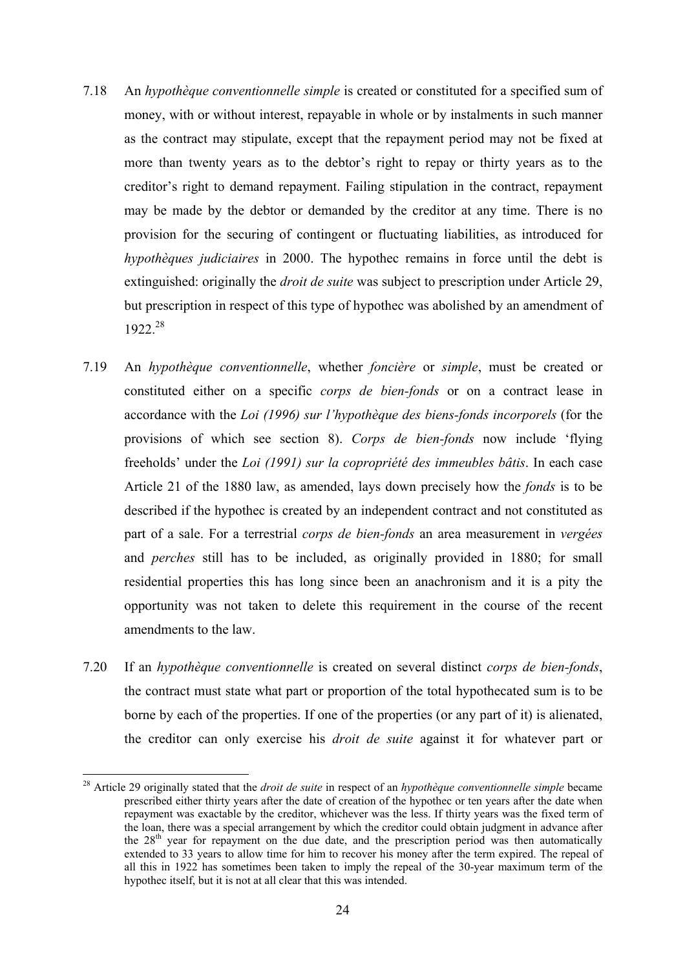- 7.18 An *hypothèque conventionnelle simple* is created or constituted for a specified sum of money, with or without interest, repayable in whole or by instalments in such manner as the contract may stipulate, except that the repayment period may not be fixed at more than twenty years as to the debtor's right to repay or thirty years as to the creditor's right to demand repayment. Failing stipulation in the contract, repayment may be made by the debtor or demanded by the creditor at any time. There is no provision for the securing of contingent or fluctuating liabilities, as introduced for *hypothèques judiciaires* in 2000. The hypothec remains in force until the debt is extinguished: originally the *droit de suite* was subject to prescription under Article 29, but prescription in respect of this type of hypothec was abolished by an amendment of 1922.28
- 7.19 An *hypothèque conventionnelle*, whether *foncière* or *simple*, must be created or constituted either on a specific *corps de bien-fonds* or on a contract lease in accordance with the *Loi (1996) sur l'hypothèque des biens-fonds incorporels* (for the provisions of which see section 8). *Corps de bien-fonds* now include 'flying freeholds' under the *Loi (1991) sur la copropriété des immeubles bâtis*. In each case Article 21 of the 1880 law, as amended, lays down precisely how the *fonds* is to be described if the hypothec is created by an independent contract and not constituted as part of a sale. For a terrestrial *corps de bien-fonds* an area measurement in *vergées* and *perches* still has to be included, as originally provided in 1880; for small residential properties this has long since been an anachronism and it is a pity the opportunity was not taken to delete this requirement in the course of the recent amendments to the law.
- 7.20 If an *hypothèque conventionnelle* is created on several distinct *corps de bien-fonds*, the contract must state what part or proportion of the total hypothecated sum is to be borne by each of the properties. If one of the properties (or any part of it) is alienated, the creditor can only exercise his *droit de suite* against it for whatever part or

<sup>28</sup> Article 29 originally stated that the *droit de suite* in respect of an *hypothèque conventionnelle simple* became prescribed either thirty years after the date of creation of the hypothec or ten years after the date when repayment was exactable by the creditor, whichever was the less. If thirty years was the fixed term of the loan, there was a special arrangement by which the creditor could obtain judgment in advance after the  $28<sup>th</sup>$  year for repayment on the due date, and the prescription period was then automatically extended to 33 years to allow time for him to recover his money after the term expired. The repeal of all this in 1922 has sometimes been taken to imply the repeal of the 30-year maximum term of the hypothec itself, but it is not at all clear that this was intended.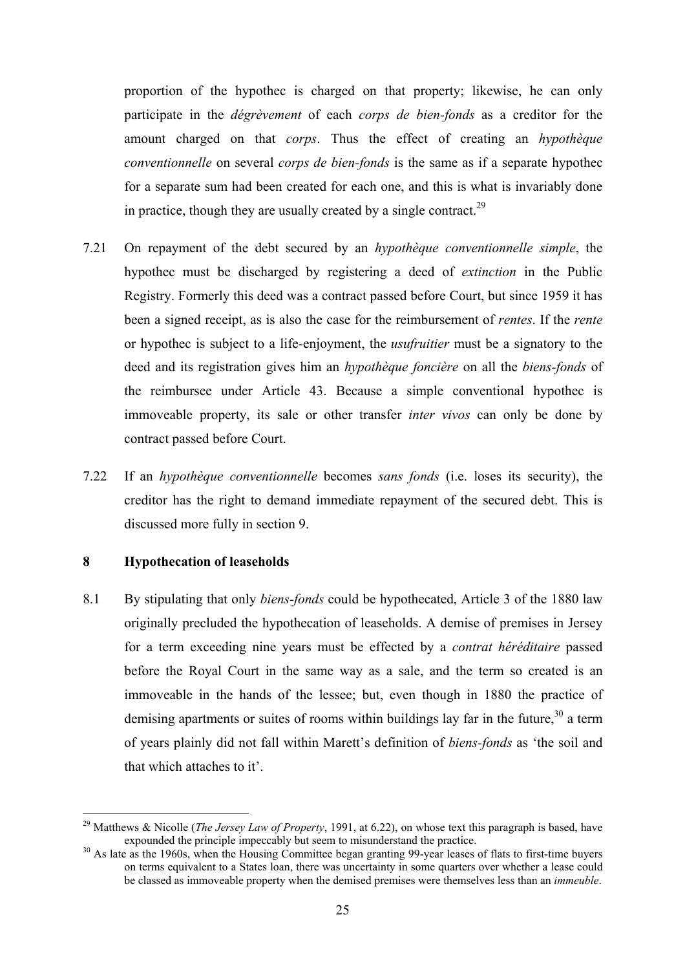proportion of the hypothec is charged on that property; likewise, he can only participate in the *dégrèvement* of each *corps de bien-fonds* as a creditor for the amount charged on that *corps*. Thus the effect of creating an *hypothèque conventionnelle* on several *corps de bien-fonds* is the same as if a separate hypothec for a separate sum had been created for each one, and this is what is invariably done in practice, though they are usually created by a single contract.<sup>29</sup>

- 7.21 On repayment of the debt secured by an *hypothèque conventionnelle simple*, the hypothec must be discharged by registering a deed of *extinction* in the Public Registry. Formerly this deed was a contract passed before Court, but since 1959 it has been a signed receipt, as is also the case for the reimbursement of *rentes*. If the *rente* or hypothec is subject to a life-enjoyment, the *usufruitier* must be a signatory to the deed and its registration gives him an *hypothèque foncière* on all the *biens-fonds* of the reimbursee under Article 43. Because a simple conventional hypothec is immoveable property, its sale or other transfer *inter vivos* can only be done by contract passed before Court.
- 7.22 If an *hypothèque conventionnelle* becomes *sans fonds* (i.e. loses its security), the creditor has the right to demand immediate repayment of the secured debt. This is discussed more fully in section 9.

## **8 Hypothecation of leaseholds**

 $\overline{a}$ 

8.1 By stipulating that only *biens-fonds* could be hypothecated, Article 3 of the 1880 law originally precluded the hypothecation of leaseholds. A demise of premises in Jersey for a term exceeding nine years must be effected by a *contrat héréditaire* passed before the Royal Court in the same way as a sale, and the term so created is an immoveable in the hands of the lessee; but, even though in 1880 the practice of demising apartments or suites of rooms within buildings lay far in the future.<sup>30</sup> a term of years plainly did not fall within Marett's definition of *biens-fonds* as 'the soil and that which attaches to it'.

<sup>&</sup>lt;sup>29</sup> Matthews & Nicolle (*The Jersey Law of Property*, 1991, at 6.22), on whose text this paragraph is based, have expounded the principle impeccably but seem to misunderstand the practice.

 $^{30}$  As late as the 1960s, when the Housing Committee began granting 99-year leases of flats to first-time buyers on terms equivalent to a States loan, there was uncertainty in some quarters over whether a lease could be classed as immoveable property when the demised premises were themselves less than an *immeuble*.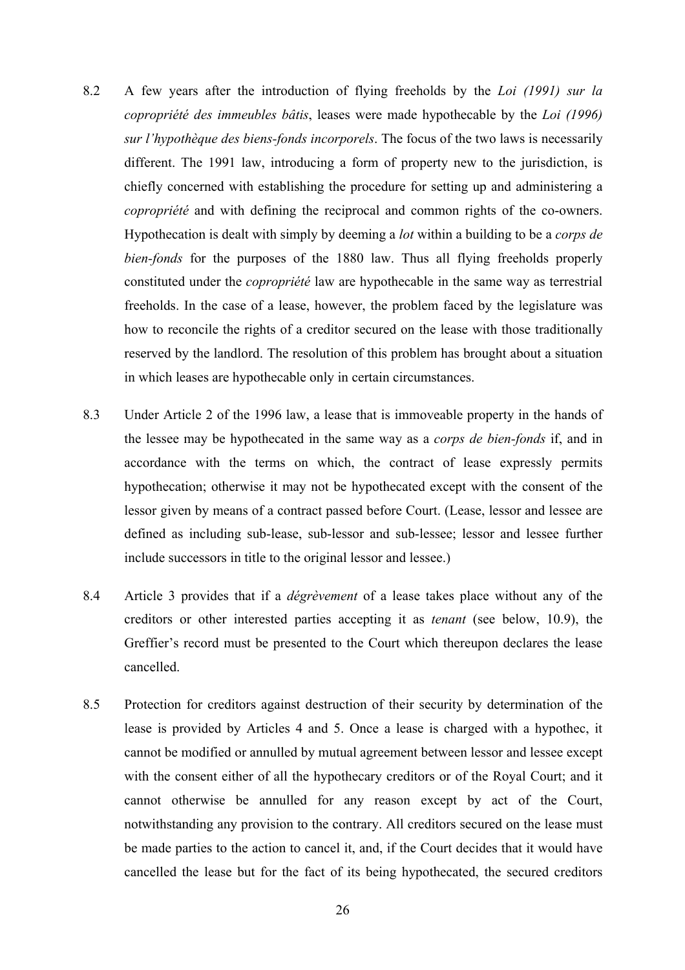- 8.2 A few years after the introduction of flying freeholds by the *Loi (1991) sur la copropriété des immeubles bâtis*, leases were made hypothecable by the *Loi (1996) sur l'hypothèque des biens-fonds incorporels*. The focus of the two laws is necessarily different. The 1991 law, introducing a form of property new to the jurisdiction, is chiefly concerned with establishing the procedure for setting up and administering a *copropriété* and with defining the reciprocal and common rights of the co-owners. Hypothecation is dealt with simply by deeming a *lot* within a building to be a *corps de bien-fonds* for the purposes of the 1880 law. Thus all flying freeholds properly constituted under the *copropriété* law are hypothecable in the same way as terrestrial freeholds. In the case of a lease, however, the problem faced by the legislature was how to reconcile the rights of a creditor secured on the lease with those traditionally reserved by the landlord. The resolution of this problem has brought about a situation in which leases are hypothecable only in certain circumstances.
- 8.3 Under Article 2 of the 1996 law, a lease that is immoveable property in the hands of the lessee may be hypothecated in the same way as a *corps de bien-fonds* if, and in accordance with the terms on which, the contract of lease expressly permits hypothecation; otherwise it may not be hypothecated except with the consent of the lessor given by means of a contract passed before Court. (Lease, lessor and lessee are defined as including sub-lease, sub-lessor and sub-lessee; lessor and lessee further include successors in title to the original lessor and lessee.)
- 8.4 Article 3 provides that if a *dégrèvement* of a lease takes place without any of the creditors or other interested parties accepting it as *tenant* (see below, 10.9), the Greffier's record must be presented to the Court which thereupon declares the lease cancelled.
- 8.5 Protection for creditors against destruction of their security by determination of the lease is provided by Articles 4 and 5. Once a lease is charged with a hypothec, it cannot be modified or annulled by mutual agreement between lessor and lessee except with the consent either of all the hypothecary creditors or of the Royal Court; and it cannot otherwise be annulled for any reason except by act of the Court, notwithstanding any provision to the contrary. All creditors secured on the lease must be made parties to the action to cancel it, and, if the Court decides that it would have cancelled the lease but for the fact of its being hypothecated, the secured creditors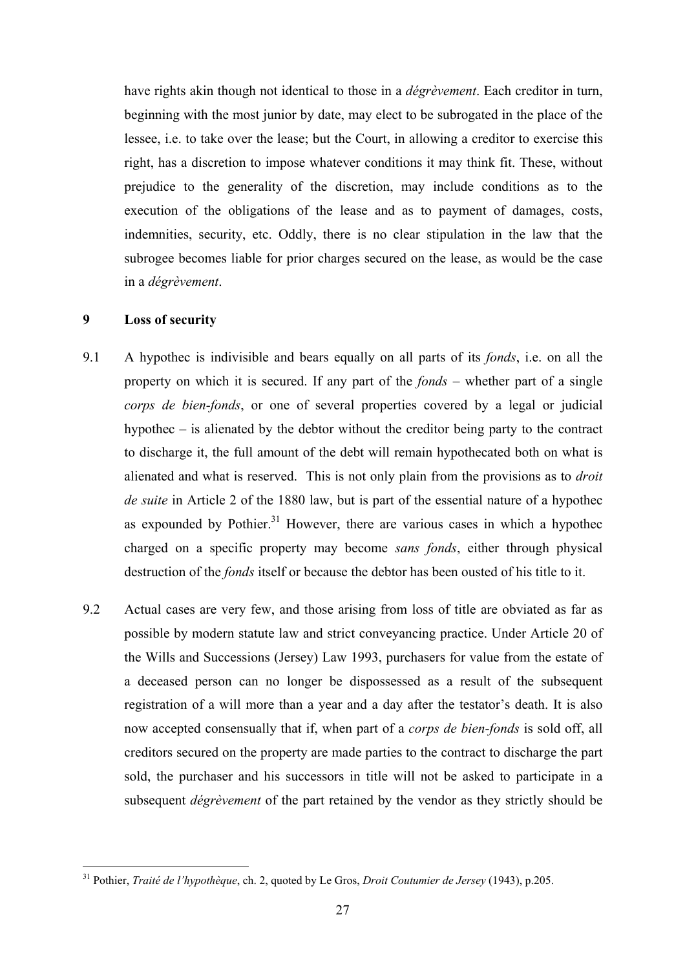have rights akin though not identical to those in a *dégrèvement*. Each creditor in turn, beginning with the most junior by date, may elect to be subrogated in the place of the lessee, i.e. to take over the lease; but the Court, in allowing a creditor to exercise this right, has a discretion to impose whatever conditions it may think fit. These, without prejudice to the generality of the discretion, may include conditions as to the execution of the obligations of the lease and as to payment of damages, costs, indemnities, security, etc. Oddly, there is no clear stipulation in the law that the subrogee becomes liable for prior charges secured on the lease, as would be the case in a *dégrèvement*.

## **9 Loss of security**

- 9.1 A hypothec is indivisible and bears equally on all parts of its *fonds*, i.e. on all the property on which it is secured. If any part of the *fonds* – whether part of a single *corps de bien-fonds*, or one of several properties covered by a legal or judicial hypothec – is alienated by the debtor without the creditor being party to the contract to discharge it, the full amount of the debt will remain hypothecated both on what is alienated and what is reserved. This is not only plain from the provisions as to *droit de suite* in Article 2 of the 1880 law, but is part of the essential nature of a hypothec as expounded by Pothier. $31$  However, there are various cases in which a hypothec charged on a specific property may become *sans fonds*, either through physical destruction of the *fonds* itself or because the debtor has been ousted of his title to it.
- 9.2 Actual cases are very few, and those arising from loss of title are obviated as far as possible by modern statute law and strict conveyancing practice. Under Article 20 of the Wills and Successions (Jersey) Law 1993, purchasers for value from the estate of a deceased person can no longer be dispossessed as a result of the subsequent registration of a will more than a year and a day after the testator's death. It is also now accepted consensually that if, when part of a *corps de bien-fonds* is sold off, all creditors secured on the property are made parties to the contract to discharge the part sold, the purchaser and his successors in title will not be asked to participate in a subsequent *dégrèvement* of the part retained by the vendor as they strictly should be

<sup>31</sup> Pothier, *Traité de l'hypothèque*, ch. 2, quoted by Le Gros, *Droit Coutumier de Jersey* (1943), p.205.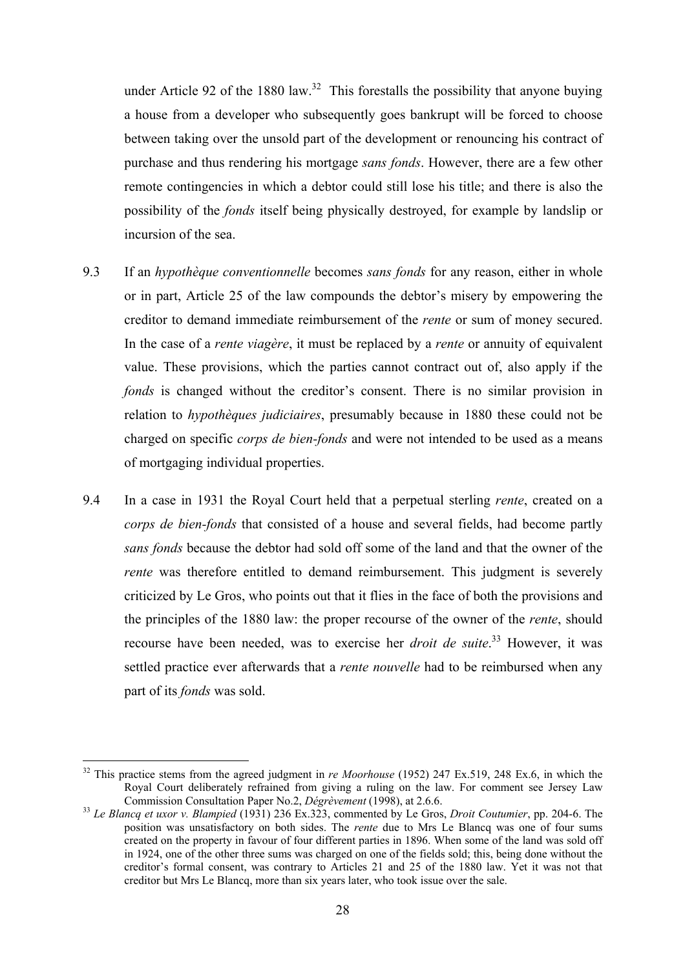under Article 92 of the 1880 law.<sup>32</sup> This forestalls the possibility that anyone buying a house from a developer who subsequently goes bankrupt will be forced to choose between taking over the unsold part of the development or renouncing his contract of purchase and thus rendering his mortgage *sans fonds*. However, there are a few other remote contingencies in which a debtor could still lose his title; and there is also the possibility of the *fonds* itself being physically destroyed, for example by landslip or incursion of the sea.

- 9.3 If an *hypothèque conventionnelle* becomes *sans fonds* for any reason, either in whole or in part, Article 25 of the law compounds the debtor's misery by empowering the creditor to demand immediate reimbursement of the *rente* or sum of money secured. In the case of a *rente viagère*, it must be replaced by a *rente* or annuity of equivalent value. These provisions, which the parties cannot contract out of, also apply if the *fonds* is changed without the creditor's consent. There is no similar provision in relation to *hypothèques judiciaires*, presumably because in 1880 these could not be charged on specific *corps de bien-fonds* and were not intended to be used as a means of mortgaging individual properties.
- 9.4 In a case in 1931 the Royal Court held that a perpetual sterling *rente*, created on a *corps de bien-fonds* that consisted of a house and several fields, had become partly *sans fonds* because the debtor had sold off some of the land and that the owner of the *rente* was therefore entitled to demand reimbursement. This judgment is severely criticized by Le Gros, who points out that it flies in the face of both the provisions and the principles of the 1880 law: the proper recourse of the owner of the *rente*, should recourse have been needed, was to exercise her *droit de suite*. 33 However, it was settled practice ever afterwards that a *rente nouvelle* had to be reimbursed when any part of its *fonds* was sold.

<sup>&</sup>lt;sup>32</sup> This practice stems from the agreed judgment in *re Moorhouse* (1952) 247 Ex.519, 248 Ex.6, in which the Royal Court deliberately refrained from giving a ruling on the law. For comment see Jersey Law Commission Consultation Paper No.2, *Dégrèvement* (1998), at 2.6.6.

<sup>&</sup>lt;sup>33</sup> Le Blancq et uxor v. Blampied (1931) 236 Ex.323, commented by Le Gros, *Droit Coutumier*, pp. 204-6. The position was unsatisfactory on both sides. The *rente* due to Mrs Le Blancq was one of four sums created on the property in favour of four different parties in 1896. When some of the land was sold off in 1924, one of the other three sums was charged on one of the fields sold; this, being done without the creditor's formal consent, was contrary to Articles 21 and 25 of the 1880 law. Yet it was not that creditor but Mrs Le Blancq, more than six years later, who took issue over the sale.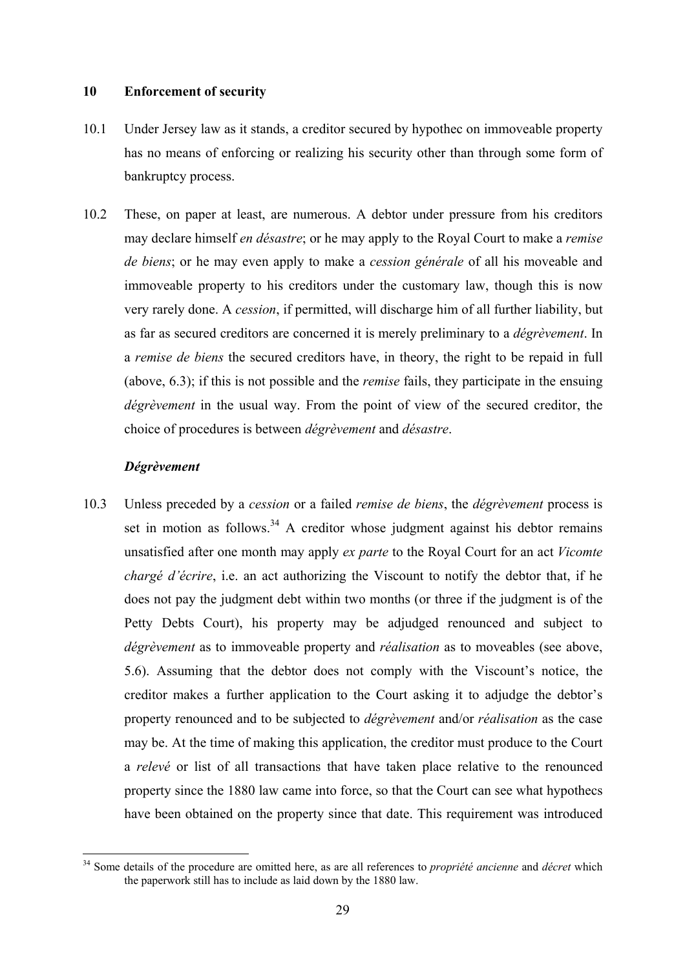## **10 Enforcement of security**

- 10.1 Under Jersey law as it stands, a creditor secured by hypothec on immoveable property has no means of enforcing or realizing his security other than through some form of bankruptcy process.
- 10.2 These, on paper at least, are numerous. A debtor under pressure from his creditors may declare himself *en désastre*; or he may apply to the Royal Court to make a *remise de biens*; or he may even apply to make a *cession générale* of all his moveable and immoveable property to his creditors under the customary law, though this is now very rarely done. A *cession*, if permitted, will discharge him of all further liability, but as far as secured creditors are concerned it is merely preliminary to a *dégrèvement*. In a *remise de biens* the secured creditors have, in theory, the right to be repaid in full (above, 6.3); if this is not possible and the *remise* fails, they participate in the ensuing *dégrèvement* in the usual way. From the point of view of the secured creditor, the choice of procedures is between *dégrèvement* and *désastre*.

## *Dégrèvement*

10.3 Unless preceded by a *cession* or a failed *remise de biens*, the *dégrèvement* process is set in motion as follows.<sup>34</sup> A creditor whose judgment against his debtor remains unsatisfied after one month may apply *ex parte* to the Royal Court for an act *Vicomte chargé d'écrire*, i.e. an act authorizing the Viscount to notify the debtor that, if he does not pay the judgment debt within two months (or three if the judgment is of the Petty Debts Court), his property may be adjudged renounced and subject to *dégrèvement* as to immoveable property and *réalisation* as to moveables (see above, 5.6). Assuming that the debtor does not comply with the Viscount's notice, the creditor makes a further application to the Court asking it to adjudge the debtor's property renounced and to be subjected to *dégrèvement* and/or *réalisation* as the case may be. At the time of making this application, the creditor must produce to the Court a *relevé* or list of all transactions that have taken place relative to the renounced property since the 1880 law came into force, so that the Court can see what hypothecs have been obtained on the property since that date. This requirement was introduced

 $\overline{a}$ 34 Some details of the procedure are omitted here, as are all references to *propriété ancienne* and *décret* which the paperwork still has to include as laid down by the 1880 law.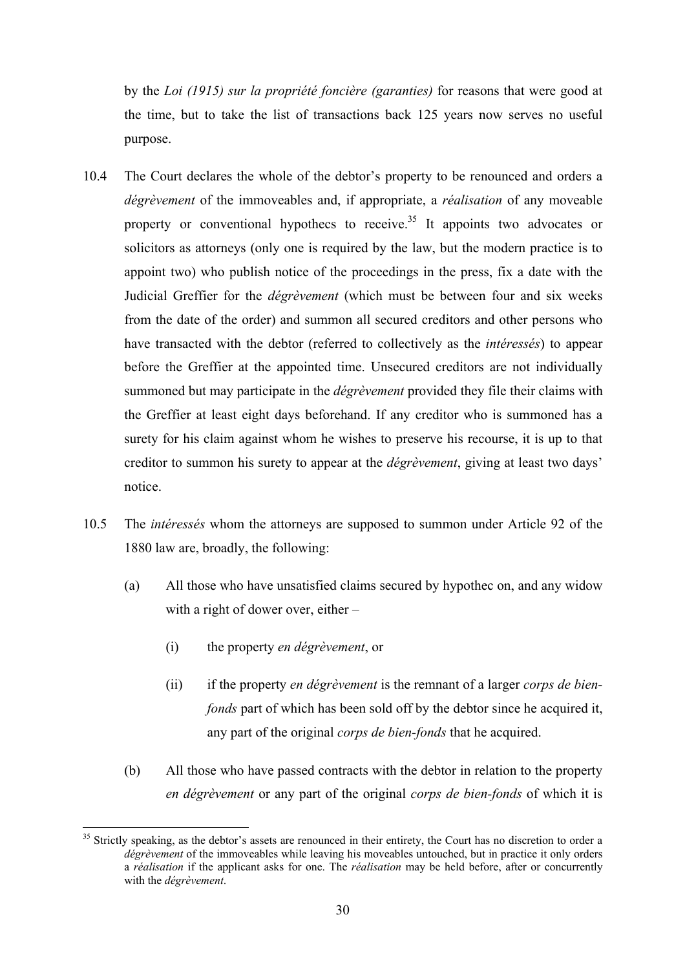by the *Loi (1915) sur la propriété foncière (garanties)* for reasons that were good at the time, but to take the list of transactions back 125 years now serves no useful purpose.

- 10.4 The Court declares the whole of the debtor's property to be renounced and orders a *dégrèvement* of the immoveables and, if appropriate, a *réalisation* of any moveable property or conventional hypothecs to receive.<sup>35</sup> It appoints two advocates or solicitors as attorneys (only one is required by the law, but the modern practice is to appoint two) who publish notice of the proceedings in the press, fix a date with the Judicial Greffier for the *dégrèvement* (which must be between four and six weeks from the date of the order) and summon all secured creditors and other persons who have transacted with the debtor (referred to collectively as the *intéressés*) to appear before the Greffier at the appointed time. Unsecured creditors are not individually summoned but may participate in the *dégrèvement* provided they file their claims with the Greffier at least eight days beforehand. If any creditor who is summoned has a surety for his claim against whom he wishes to preserve his recourse, it is up to that creditor to summon his surety to appear at the *dégrèvement*, giving at least two days' notice.
- 10.5 The *intéressés* whom the attorneys are supposed to summon under Article 92 of the 1880 law are, broadly, the following:
	- (a) All those who have unsatisfied claims secured by hypothec on, and any widow with a right of dower over, either –
		- (i) the property *en dégrèvement*, or
		- (ii) if the property *en dégrèvement* is the remnant of a larger *corps de bienfonds* part of which has been sold off by the debtor since he acquired it, any part of the original *corps de bien-fonds* that he acquired.
	- (b) All those who have passed contracts with the debtor in relation to the property *en dégrèvement* or any part of the original *corps de bien-fonds* of which it is

 $\overline{a}$ <sup>35</sup> Strictly speaking, as the debtor's assets are renounced in their entirety, the Court has no discretion to order a *dégrèvement* of the immoveables while leaving his moveables untouched, but in practice it only orders a *réalisation* if the applicant asks for one. The *réalisation* may be held before, after or concurrently with the *dégrèvement*.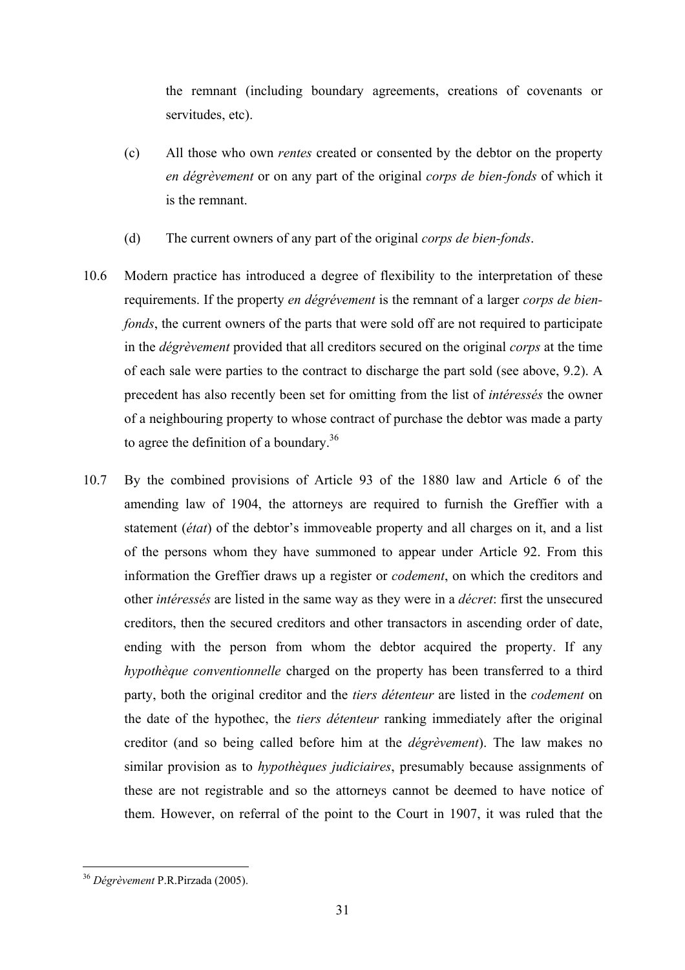the remnant (including boundary agreements, creations of covenants or servitudes, etc).

- (c) All those who own *rentes* created or consented by the debtor on the property *en dégrèvement* or on any part of the original *corps de bien-fonds* of which it is the remnant.
- (d) The current owners of any part of the original *corps de bien-fonds*.
- 10.6 Modern practice has introduced a degree of flexibility to the interpretation of these requirements. If the property *en dégrévement* is the remnant of a larger *corps de bienfonds*, the current owners of the parts that were sold off are not required to participate in the *dégrèvement* provided that all creditors secured on the original *corps* at the time of each sale were parties to the contract to discharge the part sold (see above, 9.2). A precedent has also recently been set for omitting from the list of *intéressés* the owner of a neighbouring property to whose contract of purchase the debtor was made a party to agree the definition of a boundary.36
- 10.7 By the combined provisions of Article 93 of the 1880 law and Article 6 of the amending law of 1904, the attorneys are required to furnish the Greffier with a statement (*état*) of the debtor's immoveable property and all charges on it, and a list of the persons whom they have summoned to appear under Article 92. From this information the Greffier draws up a register or *codement*, on which the creditors and other *intéressés* are listed in the same way as they were in a *décret*: first the unsecured creditors, then the secured creditors and other transactors in ascending order of date, ending with the person from whom the debtor acquired the property. If any *hypothèque conventionnelle* charged on the property has been transferred to a third party, both the original creditor and the *tiers détenteur* are listed in the *codement* on the date of the hypothec, the *tiers détenteur* ranking immediately after the original creditor (and so being called before him at the *dégrèvement*). The law makes no similar provision as to *hypothèques judiciaires*, presumably because assignments of these are not registrable and so the attorneys cannot be deemed to have notice of them. However, on referral of the point to the Court in 1907, it was ruled that the

 $\overline{a}$ <sup>36</sup> *Dégrèvement* P.R.Pirzada (2005).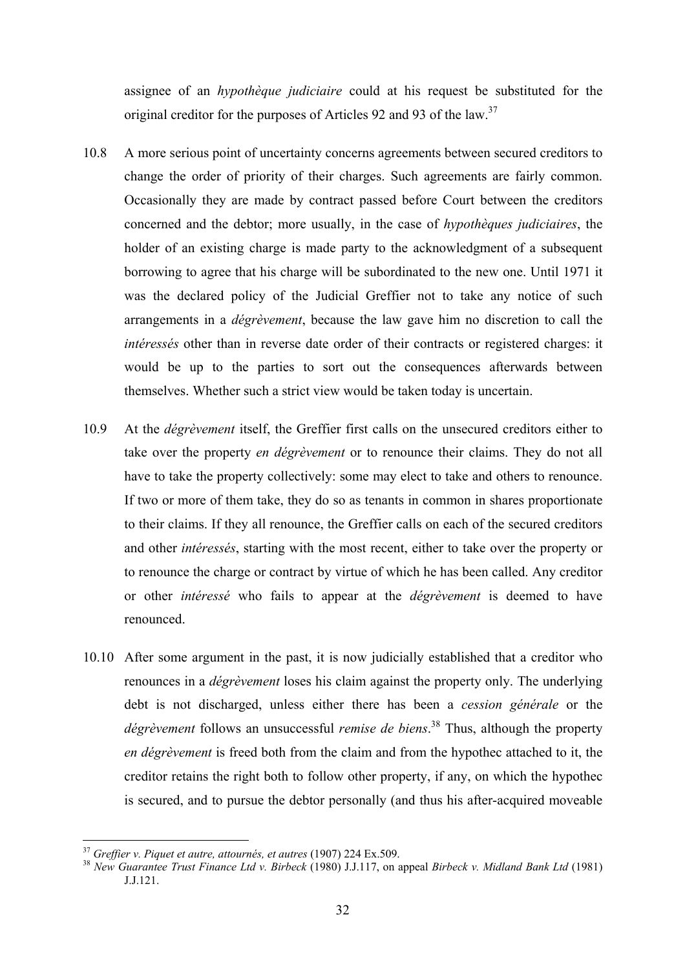assignee of an *hypothèque judiciaire* could at his request be substituted for the original creditor for the purposes of Articles 92 and 93 of the law.<sup>37</sup>

- 10.8 A more serious point of uncertainty concerns agreements between secured creditors to change the order of priority of their charges. Such agreements are fairly common. Occasionally they are made by contract passed before Court between the creditors concerned and the debtor; more usually, in the case of *hypothèques judiciaires*, the holder of an existing charge is made party to the acknowledgment of a subsequent borrowing to agree that his charge will be subordinated to the new one. Until 1971 it was the declared policy of the Judicial Greffier not to take any notice of such arrangements in a *dégrèvement*, because the law gave him no discretion to call the *intéressés* other than in reverse date order of their contracts or registered charges: it would be up to the parties to sort out the consequences afterwards between themselves. Whether such a strict view would be taken today is uncertain.
- 10.9 At the *dégrèvement* itself, the Greffier first calls on the unsecured creditors either to take over the property *en dégrèvement* or to renounce their claims. They do not all have to take the property collectively: some may elect to take and others to renounce. If two or more of them take, they do so as tenants in common in shares proportionate to their claims. If they all renounce, the Greffier calls on each of the secured creditors and other *intéressés*, starting with the most recent, either to take over the property or to renounce the charge or contract by virtue of which he has been called. Any creditor or other *intéressé* who fails to appear at the *dégrèvement* is deemed to have renounced.
- 10.10 After some argument in the past, it is now judicially established that a creditor who renounces in a *dégrèvement* loses his claim against the property only. The underlying debt is not discharged, unless either there has been a *cession générale* or the *dégrèvement* follows an unsuccessful *remise de biens*. 38 Thus, although the property *en dégrèvement* is freed both from the claim and from the hypothec attached to it, the creditor retains the right both to follow other property, if any, on which the hypothec is secured, and to pursue the debtor personally (and thus his after-acquired moveable

<sup>&</sup>lt;sup>37</sup> Greffier v. Piquet et autre, attournés, et autres (1907) 224 Ex.509.

<sup>&</sup>lt;sup>38</sup> *New Guarantee Trust Finance Ltd v. Birbeck* (1980) J.J.117, on appeal *Birbeck v. Midland Bank Ltd* (1981) J.J.121.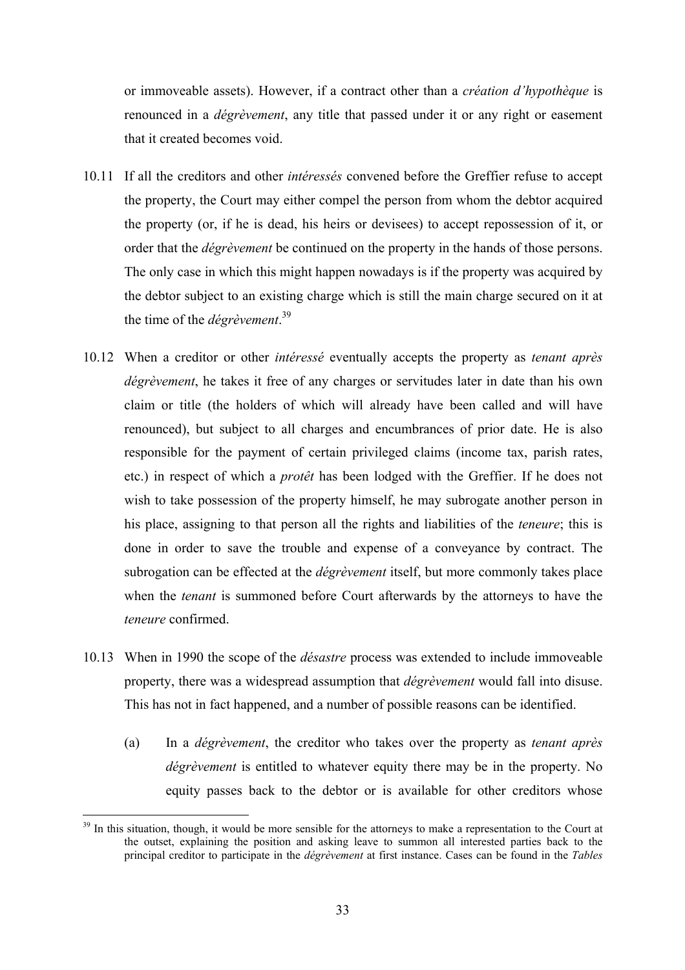or immoveable assets). However, if a contract other than a *création d'hypothèque* is renounced in a *dégrèvement*, any title that passed under it or any right or easement that it created becomes void.

- 10.11 If all the creditors and other *intéressés* convened before the Greffier refuse to accept the property, the Court may either compel the person from whom the debtor acquired the property (or, if he is dead, his heirs or devisees) to accept repossession of it, or order that the *dégrèvement* be continued on the property in the hands of those persons. The only case in which this might happen nowadays is if the property was acquired by the debtor subject to an existing charge which is still the main charge secured on it at the time of the *dégrèvement*. 39
- 10.12 When a creditor or other *intéressé* eventually accepts the property as *tenant après dégrèvement*, he takes it free of any charges or servitudes later in date than his own claim or title (the holders of which will already have been called and will have renounced), but subject to all charges and encumbrances of prior date. He is also responsible for the payment of certain privileged claims (income tax, parish rates, etc.) in respect of which a *protêt* has been lodged with the Greffier. If he does not wish to take possession of the property himself, he may subrogate another person in his place, assigning to that person all the rights and liabilities of the *teneure*; this is done in order to save the trouble and expense of a conveyance by contract. The subrogation can be effected at the *dégrèvement* itself, but more commonly takes place when the *tenant* is summoned before Court afterwards by the attorneys to have the *teneure* confirmed.
- 10.13 When in 1990 the scope of the *désastre* process was extended to include immoveable property, there was a widespread assumption that *dégrèvement* would fall into disuse. This has not in fact happened, and a number of possible reasons can be identified.
	- (a) In a *dégrèvement*, the creditor who takes over the property as *tenant après dégrèvement* is entitled to whatever equity there may be in the property. No equity passes back to the debtor or is available for other creditors whose

<sup>&</sup>lt;sup>39</sup> In this situation, though, it would be more sensible for the attorneys to make a representation to the Court at the outset, explaining the position and asking leave to summon all interested parties back to the principal creditor to participate in the *dégrèvement* at first instance. Cases can be found in the *Tables*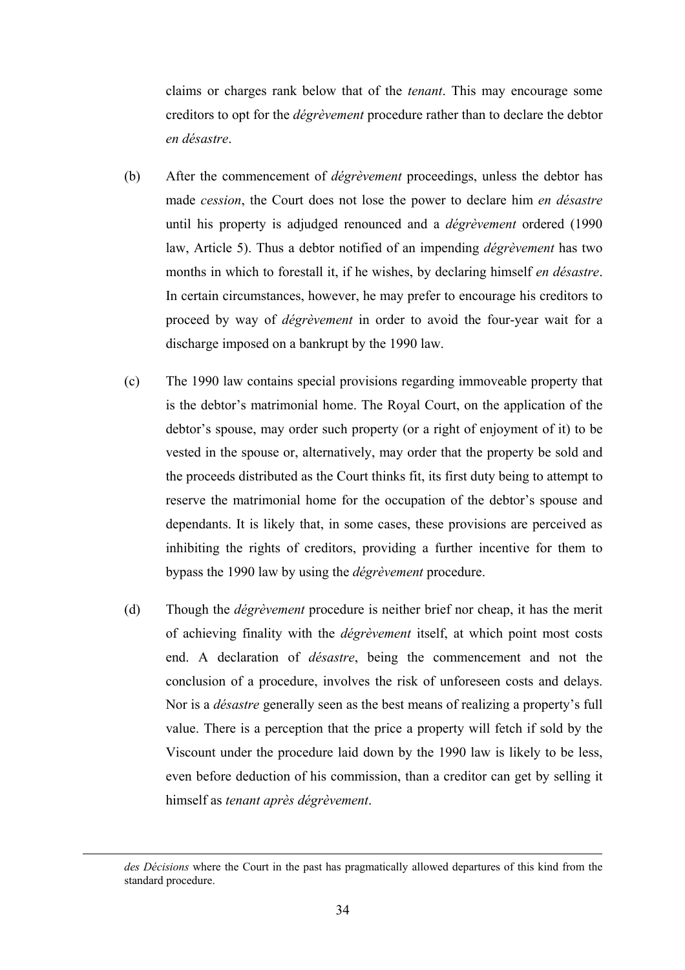claims or charges rank below that of the *tenant*. This may encourage some creditors to opt for the *dégrèvement* procedure rather than to declare the debtor *en désastre*.

- (b) After the commencement of *dégrèvement* proceedings, unless the debtor has made *cession*, the Court does not lose the power to declare him *en désastre* until his property is adjudged renounced and a *dégrèvement* ordered (1990 law, Article 5). Thus a debtor notified of an impending *dégrèvement* has two months in which to forestall it, if he wishes, by declaring himself *en désastre*. In certain circumstances, however, he may prefer to encourage his creditors to proceed by way of *dégrèvement* in order to avoid the four-year wait for a discharge imposed on a bankrupt by the 1990 law.
- (c) The 1990 law contains special provisions regarding immoveable property that is the debtor's matrimonial home. The Royal Court, on the application of the debtor's spouse, may order such property (or a right of enjoyment of it) to be vested in the spouse or, alternatively, may order that the property be sold and the proceeds distributed as the Court thinks fit, its first duty being to attempt to reserve the matrimonial home for the occupation of the debtor's spouse and dependants. It is likely that, in some cases, these provisions are perceived as inhibiting the rights of creditors, providing a further incentive for them to bypass the 1990 law by using the *dégrèvement* procedure.
- (d) Though the *dégrèvement* procedure is neither brief nor cheap, it has the merit of achieving finality with the *dégrèvement* itself, at which point most costs end. A declaration of *désastre*, being the commencement and not the conclusion of a procedure, involves the risk of unforeseen costs and delays. Nor is a *désastre* generally seen as the best means of realizing a property's full value. There is a perception that the price a property will fetch if sold by the Viscount under the procedure laid down by the 1990 law is likely to be less, even before deduction of his commission, than a creditor can get by selling it himself as *tenant après dégrèvement*.

*des Décisions* where the Court in the past has pragmatically allowed departures of this kind from the standard procedure.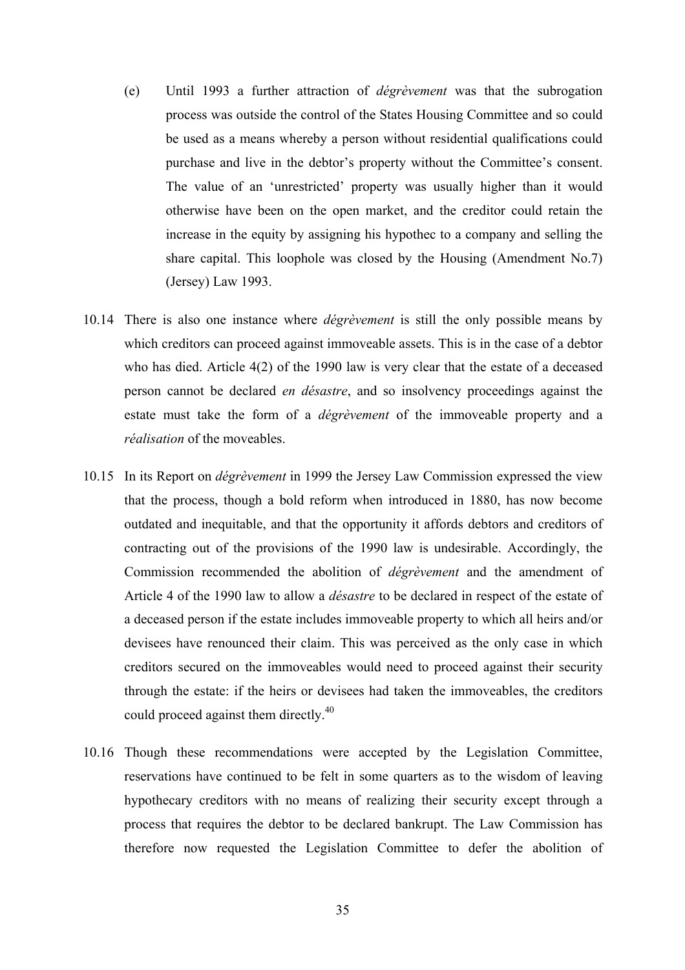- (e) Until 1993 a further attraction of *dégrèvement* was that the subrogation process was outside the control of the States Housing Committee and so could be used as a means whereby a person without residential qualifications could purchase and live in the debtor's property without the Committee's consent. The value of an 'unrestricted' property was usually higher than it would otherwise have been on the open market, and the creditor could retain the increase in the equity by assigning his hypothec to a company and selling the share capital. This loophole was closed by the Housing (Amendment No.7) (Jersey) Law 1993.
- 10.14 There is also one instance where *dégrèvement* is still the only possible means by which creditors can proceed against immoveable assets. This is in the case of a debtor who has died. Article 4(2) of the 1990 law is very clear that the estate of a deceased person cannot be declared *en désastre*, and so insolvency proceedings against the estate must take the form of a *dégrèvement* of the immoveable property and a *réalisation* of the moveables.
- 10.15 In its Report on *dégrèvement* in 1999 the Jersey Law Commission expressed the view that the process, though a bold reform when introduced in 1880, has now become outdated and inequitable, and that the opportunity it affords debtors and creditors of contracting out of the provisions of the 1990 law is undesirable. Accordingly, the Commission recommended the abolition of *dégrèvement* and the amendment of Article 4 of the 1990 law to allow a *désastre* to be declared in respect of the estate of a deceased person if the estate includes immoveable property to which all heirs and/or devisees have renounced their claim. This was perceived as the only case in which creditors secured on the immoveables would need to proceed against their security through the estate: if the heirs or devisees had taken the immoveables, the creditors could proceed against them directly.<sup>40</sup>
- 10.16 Though these recommendations were accepted by the Legislation Committee, reservations have continued to be felt in some quarters as to the wisdom of leaving hypothecary creditors with no means of realizing their security except through a process that requires the debtor to be declared bankrupt. The Law Commission has therefore now requested the Legislation Committee to defer the abolition of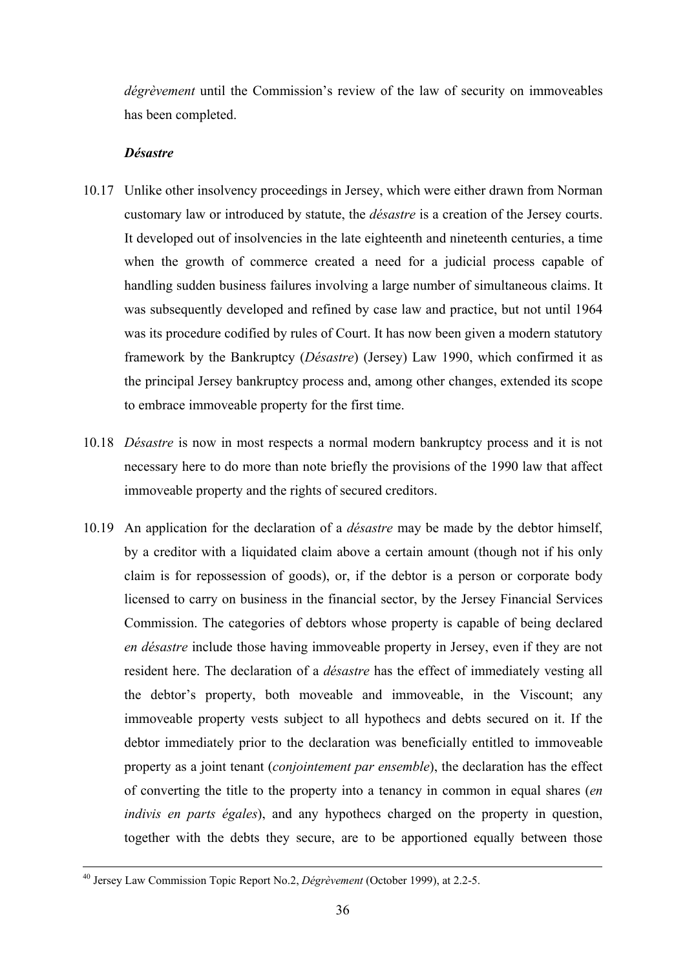*dégrèvement* until the Commission's review of the law of security on immoveables has been completed.

# *Désastre*

- 10.17 Unlike other insolvency proceedings in Jersey, which were either drawn from Norman customary law or introduced by statute, the *désastre* is a creation of the Jersey courts. It developed out of insolvencies in the late eighteenth and nineteenth centuries, a time when the growth of commerce created a need for a judicial process capable of handling sudden business failures involving a large number of simultaneous claims. It was subsequently developed and refined by case law and practice, but not until 1964 was its procedure codified by rules of Court. It has now been given a modern statutory framework by the Bankruptcy (*Désastre*) (Jersey) Law 1990, which confirmed it as the principal Jersey bankruptcy process and, among other changes, extended its scope to embrace immoveable property for the first time.
- 10.18 *Désastre* is now in most respects a normal modern bankruptcy process and it is not necessary here to do more than note briefly the provisions of the 1990 law that affect immoveable property and the rights of secured creditors.
- 10.19 An application for the declaration of a *désastre* may be made by the debtor himself, by a creditor with a liquidated claim above a certain amount (though not if his only claim is for repossession of goods), or, if the debtor is a person or corporate body licensed to carry on business in the financial sector, by the Jersey Financial Services Commission. The categories of debtors whose property is capable of being declared *en désastre* include those having immoveable property in Jersey, even if they are not resident here. The declaration of a *désastre* has the effect of immediately vesting all the debtor's property, both moveable and immoveable, in the Viscount; any immoveable property vests subject to all hypothecs and debts secured on it. If the debtor immediately prior to the declaration was beneficially entitled to immoveable property as a joint tenant (*conjointement par ensemble*), the declaration has the effect of converting the title to the property into a tenancy in common in equal shares (*en indivis en parts égales*), and any hypothecs charged on the property in question, together with the debts they secure, are to be apportioned equally between those

 <sup>40</sup> Jersey Law Commission Topic Report No.2, *Dégrèvement* (October 1999), at 2.2-5.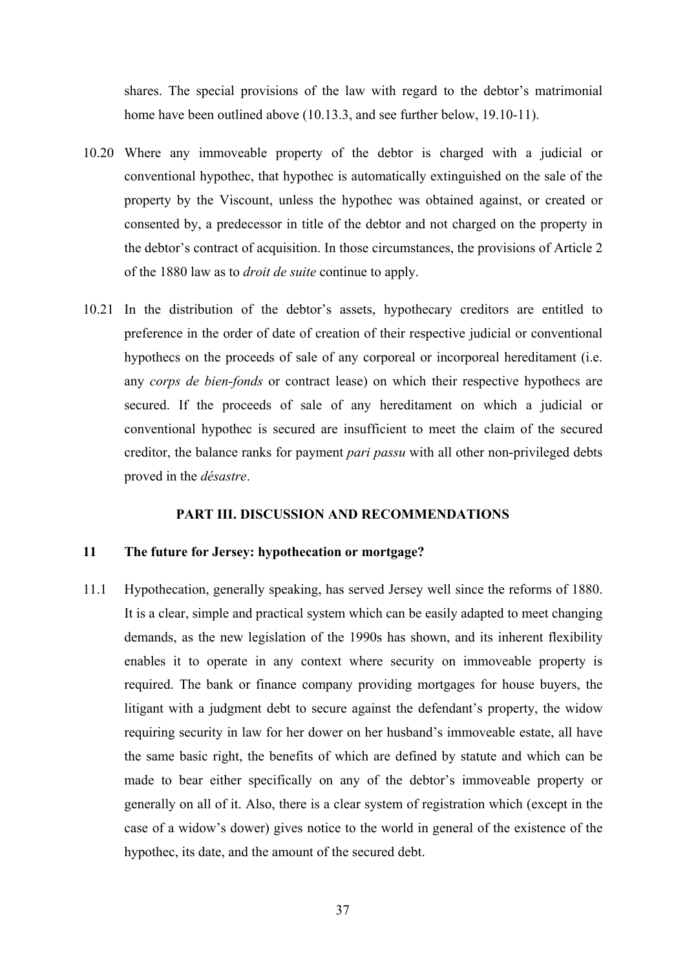shares. The special provisions of the law with regard to the debtor's matrimonial home have been outlined above (10.13.3, and see further below, 19.10-11).

- 10.20 Where any immoveable property of the debtor is charged with a judicial or conventional hypothec, that hypothec is automatically extinguished on the sale of the property by the Viscount, unless the hypothec was obtained against, or created or consented by, a predecessor in title of the debtor and not charged on the property in the debtor's contract of acquisition. In those circumstances, the provisions of Article 2 of the 1880 law as to *droit de suite* continue to apply.
- 10.21 In the distribution of the debtor's assets, hypothecary creditors are entitled to preference in the order of date of creation of their respective judicial or conventional hypothecs on the proceeds of sale of any corporeal or incorporeal hereditament (i.e. any *corps de bien-fonds* or contract lease) on which their respective hypothecs are secured. If the proceeds of sale of any hereditament on which a judicial or conventional hypothec is secured are insufficient to meet the claim of the secured creditor, the balance ranks for payment *pari passu* with all other non-privileged debts proved in the *désastre*.

### **PART III. DISCUSSION AND RECOMMENDATIONS**

## **11 The future for Jersey: hypothecation or mortgage?**

11.1 Hypothecation, generally speaking, has served Jersey well since the reforms of 1880. It is a clear, simple and practical system which can be easily adapted to meet changing demands, as the new legislation of the 1990s has shown, and its inherent flexibility enables it to operate in any context where security on immoveable property is required. The bank or finance company providing mortgages for house buyers, the litigant with a judgment debt to secure against the defendant's property, the widow requiring security in law for her dower on her husband's immoveable estate, all have the same basic right, the benefits of which are defined by statute and which can be made to bear either specifically on any of the debtor's immoveable property or generally on all of it. Also, there is a clear system of registration which (except in the case of a widow's dower) gives notice to the world in general of the existence of the hypothec, its date, and the amount of the secured debt.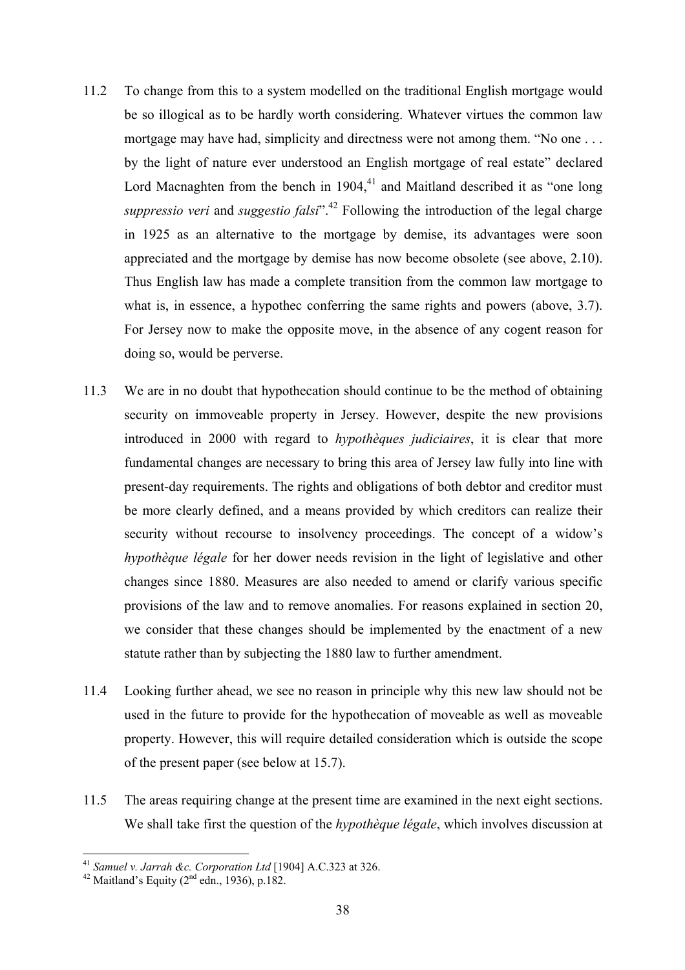- 11.2 To change from this to a system modelled on the traditional English mortgage would be so illogical as to be hardly worth considering. Whatever virtues the common law mortgage may have had, simplicity and directness were not among them. "No one ... by the light of nature ever understood an English mortgage of real estate" declared Lord Macnaghten from the bench in  $1904<sup>41</sup>$  and Maitland described it as "one long *suppressio veri* and *suggestio falsi*".42 Following the introduction of the legal charge in 1925 as an alternative to the mortgage by demise, its advantages were soon appreciated and the mortgage by demise has now become obsolete (see above, 2.10). Thus English law has made a complete transition from the common law mortgage to what is, in essence, a hypothec conferring the same rights and powers (above, 3.7). For Jersey now to make the opposite move, in the absence of any cogent reason for doing so, would be perverse.
- 11.3 We are in no doubt that hypothecation should continue to be the method of obtaining security on immoveable property in Jersey. However, despite the new provisions introduced in 2000 with regard to *hypothèques judiciaires*, it is clear that more fundamental changes are necessary to bring this area of Jersey law fully into line with present-day requirements. The rights and obligations of both debtor and creditor must be more clearly defined, and a means provided by which creditors can realize their security without recourse to insolvency proceedings. The concept of a widow's *hypothèque légale* for her dower needs revision in the light of legislative and other changes since 1880. Measures are also needed to amend or clarify various specific provisions of the law and to remove anomalies. For reasons explained in section 20, we consider that these changes should be implemented by the enactment of a new statute rather than by subjecting the 1880 law to further amendment.
- 11.4 Looking further ahead, we see no reason in principle why this new law should not be used in the future to provide for the hypothecation of moveable as well as moveable property. However, this will require detailed consideration which is outside the scope of the present paper (see below at 15.7).
- 11.5 The areas requiring change at the present time are examined in the next eight sections. We shall take first the question of the *hypothèque légale*, which involves discussion at

<sup>&</sup>lt;sup>41</sup> *Samuel v. Jarrah &c. Corporation Ltd* [1904] A.C.323 at 326.<br><sup>42</sup> Maitland's Equity (2<sup>nd</sup> edn., 1936), p.182.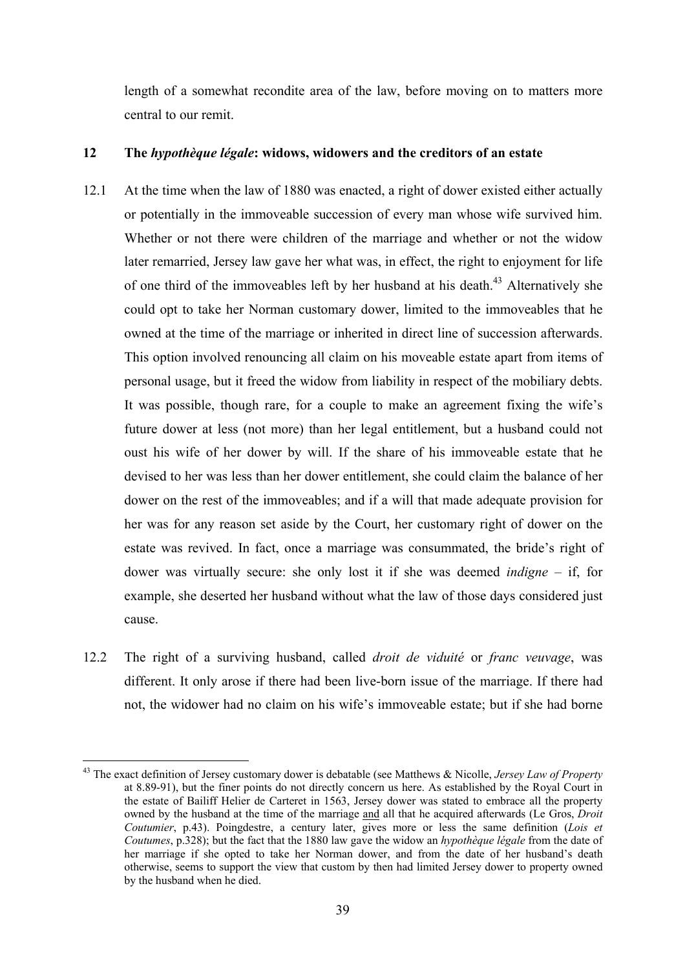length of a somewhat recondite area of the law, before moving on to matters more central to our remit.

## **12 The** *hypothèque légale***: widows, widowers and the creditors of an estate**

- 12.1 At the time when the law of 1880 was enacted, a right of dower existed either actually or potentially in the immoveable succession of every man whose wife survived him. Whether or not there were children of the marriage and whether or not the widow later remarried, Jersey law gave her what was, in effect, the right to enjoyment for life of one third of the immoveables left by her husband at his death.<sup>43</sup> Alternatively she could opt to take her Norman customary dower, limited to the immoveables that he owned at the time of the marriage or inherited in direct line of succession afterwards. This option involved renouncing all claim on his moveable estate apart from items of personal usage, but it freed the widow from liability in respect of the mobiliary debts. It was possible, though rare, for a couple to make an agreement fixing the wife's future dower at less (not more) than her legal entitlement, but a husband could not oust his wife of her dower by will. If the share of his immoveable estate that he devised to her was less than her dower entitlement, she could claim the balance of her dower on the rest of the immoveables; and if a will that made adequate provision for her was for any reason set aside by the Court, her customary right of dower on the estate was revived. In fact, once a marriage was consummated, the bride's right of dower was virtually secure: she only lost it if she was deemed *indigne* – if, for example, she deserted her husband without what the law of those days considered just cause.
- 12.2 The right of a surviving husband, called *droit de viduité* or *franc veuvage*, was different. It only arose if there had been live-born issue of the marriage. If there had not, the widower had no claim on his wife's immoveable estate; but if she had borne

 $\overline{a}$ 43 The exact definition of Jersey customary dower is debatable (see Matthews & Nicolle, *Jersey Law of Property* at 8.89-91), but the finer points do not directly concern us here. As established by the Royal Court in the estate of Bailiff Helier de Carteret in 1563, Jersey dower was stated to embrace all the property owned by the husband at the time of the marriage and all that he acquired afterwards (Le Gros, *Droit Coutumier*, p.43). Poingdestre, a century later, gives more or less the same definition (*Lois et Coutumes*, p.328); but the fact that the 1880 law gave the widow an *hypothèque légale* from the date of her marriage if she opted to take her Norman dower, and from the date of her husband's death otherwise, seems to support the view that custom by then had limited Jersey dower to property owned by the husband when he died.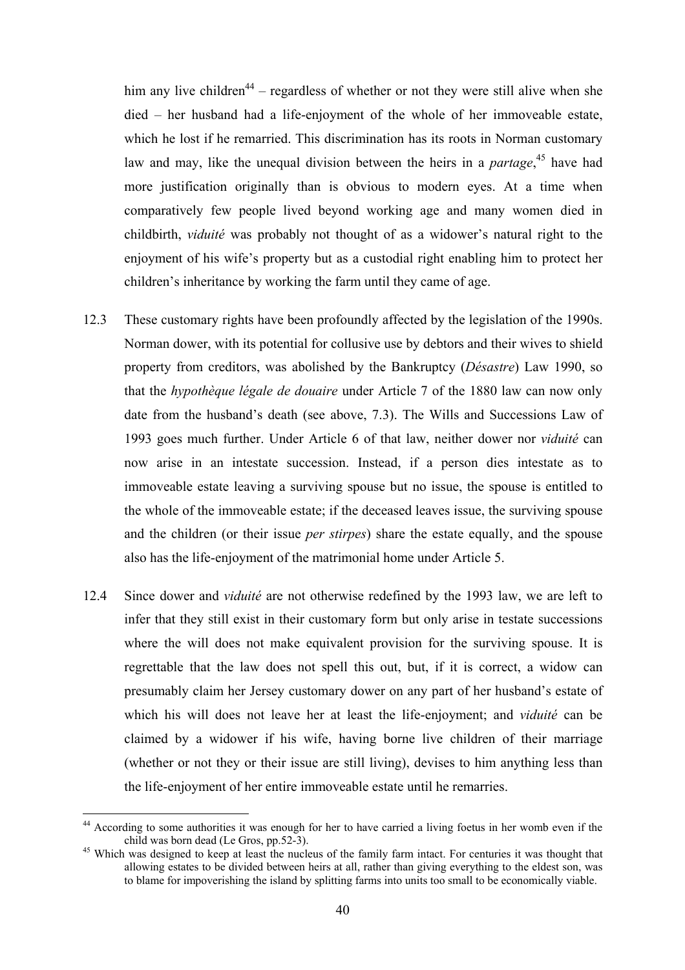him any live children<sup>44</sup> – regardless of whether or not they were still alive when she died – her husband had a life-enjoyment of the whole of her immoveable estate, which he lost if he remarried. This discrimination has its roots in Norman customary law and may, like the unequal division between the heirs in a *partage*, 45 have had more justification originally than is obvious to modern eyes. At a time when comparatively few people lived beyond working age and many women died in childbirth, *viduité* was probably not thought of as a widower's natural right to the enjoyment of his wife's property but as a custodial right enabling him to protect her children's inheritance by working the farm until they came of age.

- 12.3 These customary rights have been profoundly affected by the legislation of the 1990s. Norman dower, with its potential for collusive use by debtors and their wives to shield property from creditors, was abolished by the Bankruptcy (*Désastre*) Law 1990, so that the *hypothèque légale de douaire* under Article 7 of the 1880 law can now only date from the husband's death (see above, 7.3). The Wills and Successions Law of 1993 goes much further. Under Article 6 of that law, neither dower nor *viduité* can now arise in an intestate succession. Instead, if a person dies intestate as to immoveable estate leaving a surviving spouse but no issue, the spouse is entitled to the whole of the immoveable estate; if the deceased leaves issue, the surviving spouse and the children (or their issue *per stirpes*) share the estate equally, and the spouse also has the life-enjoyment of the matrimonial home under Article 5.
- 12.4 Since dower and *viduité* are not otherwise redefined by the 1993 law, we are left to infer that they still exist in their customary form but only arise in testate successions where the will does not make equivalent provision for the surviving spouse. It is regrettable that the law does not spell this out, but, if it is correct, a widow can presumably claim her Jersey customary dower on any part of her husband's estate of which his will does not leave her at least the life-enjoyment; and *viduité* can be claimed by a widower if his wife, having borne live children of their marriage (whether or not they or their issue are still living), devises to him anything less than the life-enjoyment of her entire immoveable estate until he remarries.

<sup>&</sup>lt;sup>44</sup> According to some authorities it was enough for her to have carried a living foetus in her womb even if the child was born dead (Le Gros, pp.52-3).<br><sup>45</sup> Which was designed to keep at least the nucleus of the family farm intact. For centuries it was thought that

allowing estates to be divided between heirs at all, rather than giving everything to the eldest son, was to blame for impoverishing the island by splitting farms into units too small to be economically viable.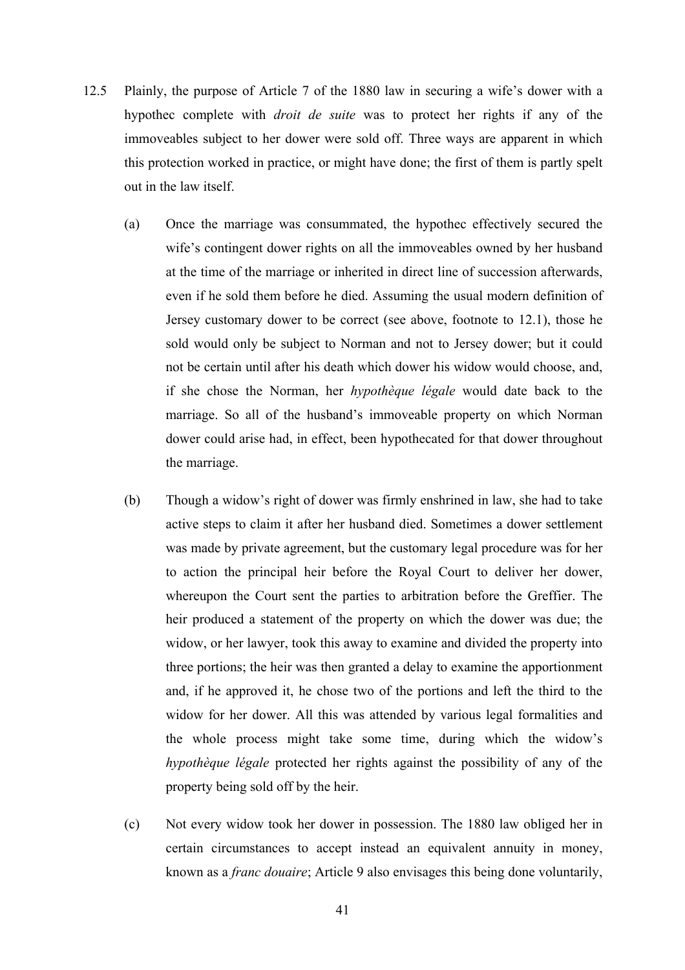- 12.5 Plainly, the purpose of Article 7 of the 1880 law in securing a wife's dower with a hypothec complete with *droit de suite* was to protect her rights if any of the immoveables subject to her dower were sold off. Three ways are apparent in which this protection worked in practice, or might have done; the first of them is partly spelt out in the law itself.
	- (a) Once the marriage was consummated, the hypothec effectively secured the wife's contingent dower rights on all the immoveables owned by her husband at the time of the marriage or inherited in direct line of succession afterwards, even if he sold them before he died. Assuming the usual modern definition of Jersey customary dower to be correct (see above, footnote to 12.1), those he sold would only be subject to Norman and not to Jersey dower; but it could not be certain until after his death which dower his widow would choose, and, if she chose the Norman, her *hypothèque légale* would date back to the marriage. So all of the husband's immoveable property on which Norman dower could arise had, in effect, been hypothecated for that dower throughout the marriage.
	- (b) Though a widow's right of dower was firmly enshrined in law, she had to take active steps to claim it after her husband died. Sometimes a dower settlement was made by private agreement, but the customary legal procedure was for her to action the principal heir before the Royal Court to deliver her dower, whereupon the Court sent the parties to arbitration before the Greffier. The heir produced a statement of the property on which the dower was due; the widow, or her lawyer, took this away to examine and divided the property into three portions; the heir was then granted a delay to examine the apportionment and, if he approved it, he chose two of the portions and left the third to the widow for her dower. All this was attended by various legal formalities and the whole process might take some time, during which the widow's *hypothèque légale* protected her rights against the possibility of any of the property being sold off by the heir.
	- (c) Not every widow took her dower in possession. The 1880 law obliged her in certain circumstances to accept instead an equivalent annuity in money, known as a *franc douaire*; Article 9 also envisages this being done voluntarily,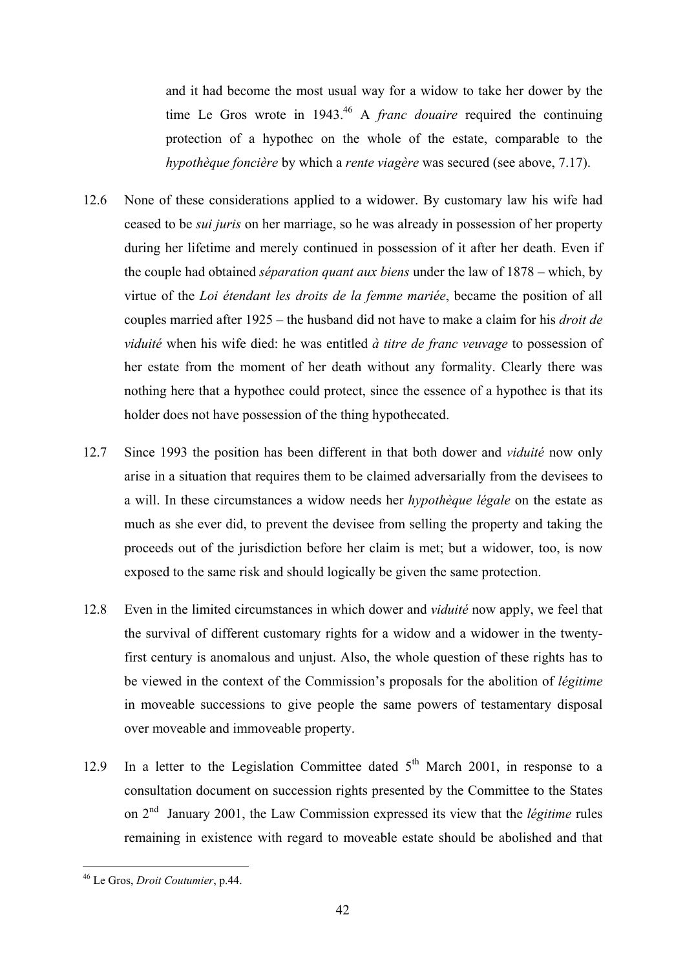and it had become the most usual way for a widow to take her dower by the time Le Gros wrote in 1943.<sup>46</sup> A *franc douaire* required the continuing protection of a hypothec on the whole of the estate, comparable to the *hypothèque foncière* by which a *rente viagère* was secured (see above, 7.17).

- 12.6 None of these considerations applied to a widower. By customary law his wife had ceased to be *sui juris* on her marriage, so he was already in possession of her property during her lifetime and merely continued in possession of it after her death. Even if the couple had obtained *séparation quant aux biens* under the law of 1878 – which, by virtue of the *Loi étendant les droits de la femme mariée*, became the position of all couples married after 1925 – the husband did not have to make a claim for his *droit de viduité* when his wife died: he was entitled *à titre de franc veuvage* to possession of her estate from the moment of her death without any formality. Clearly there was nothing here that a hypothec could protect, since the essence of a hypothec is that its holder does not have possession of the thing hypothecated.
- 12.7 Since 1993 the position has been different in that both dower and *viduité* now only arise in a situation that requires them to be claimed adversarially from the devisees to a will. In these circumstances a widow needs her *hypothèque légale* on the estate as much as she ever did, to prevent the devisee from selling the property and taking the proceeds out of the jurisdiction before her claim is met; but a widower, too, is now exposed to the same risk and should logically be given the same protection.
- 12.8 Even in the limited circumstances in which dower and *viduité* now apply, we feel that the survival of different customary rights for a widow and a widower in the twentyfirst century is anomalous and unjust. Also, the whole question of these rights has to be viewed in the context of the Commission's proposals for the abolition of *légitime* in moveable successions to give people the same powers of testamentary disposal over moveable and immoveable property.
- 12.9 In a letter to the Legislation Committee dated  $5<sup>th</sup>$  March 2001, in response to a consultation document on succession rights presented by the Committee to the States on 2nd January 2001, the Law Commission expressed its view that the *légitime* rules remaining in existence with regard to moveable estate should be abolished and that

<sup>46</sup> Le Gros, *Droit Coutumier*, p.44.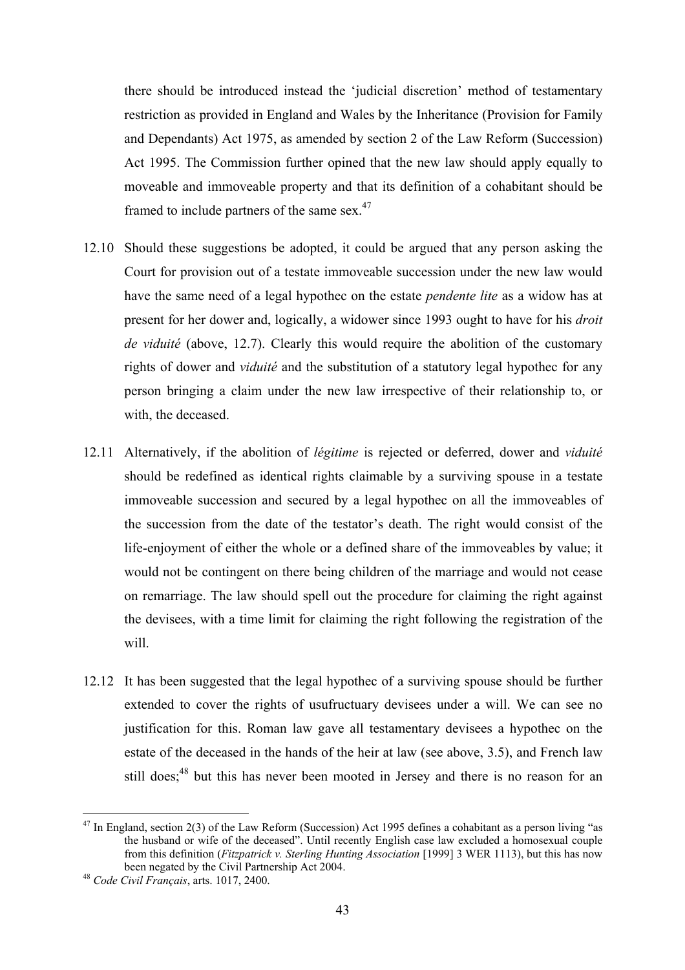there should be introduced instead the 'judicial discretion' method of testamentary restriction as provided in England and Wales by the Inheritance (Provision for Family and Dependants) Act 1975, as amended by section 2 of the Law Reform (Succession) Act 1995. The Commission further opined that the new law should apply equally to moveable and immoveable property and that its definition of a cohabitant should be framed to include partners of the same sex.<sup>47</sup>

- 12.10 Should these suggestions be adopted, it could be argued that any person asking the Court for provision out of a testate immoveable succession under the new law would have the same need of a legal hypothec on the estate *pendente lite* as a widow has at present for her dower and, logically, a widower since 1993 ought to have for his *droit de viduité* (above, 12.7). Clearly this would require the abolition of the customary rights of dower and *viduité* and the substitution of a statutory legal hypothec for any person bringing a claim under the new law irrespective of their relationship to, or with, the deceased.
- 12.11 Alternatively, if the abolition of *légitime* is rejected or deferred, dower and *viduité* should be redefined as identical rights claimable by a surviving spouse in a testate immoveable succession and secured by a legal hypothec on all the immoveables of the succession from the date of the testator's death. The right would consist of the life-enjoyment of either the whole or a defined share of the immoveables by value; it would not be contingent on there being children of the marriage and would not cease on remarriage. The law should spell out the procedure for claiming the right against the devisees, with a time limit for claiming the right following the registration of the will.
- 12.12 It has been suggested that the legal hypothec of a surviving spouse should be further extended to cover the rights of usufructuary devisees under a will. We can see no justification for this. Roman law gave all testamentary devisees a hypothec on the estate of the deceased in the hands of the heir at law (see above, 3.5), and French law still does;<sup>48</sup> but this has never been mooted in Jersey and there is no reason for an

 $47$  In England, section 2(3) of the Law Reform (Succession) Act 1995 defines a cohabitant as a person living "as the husband or wife of the deceased". Until recently English case law excluded a homosexual couple from this definition (*Fitzpatrick v. Sterling Hunting Association* [1999] 3 WER 1113), but this has now

<sup>&</sup>lt;sup>48</sup> Code Civil Français, arts. 1017, 2400.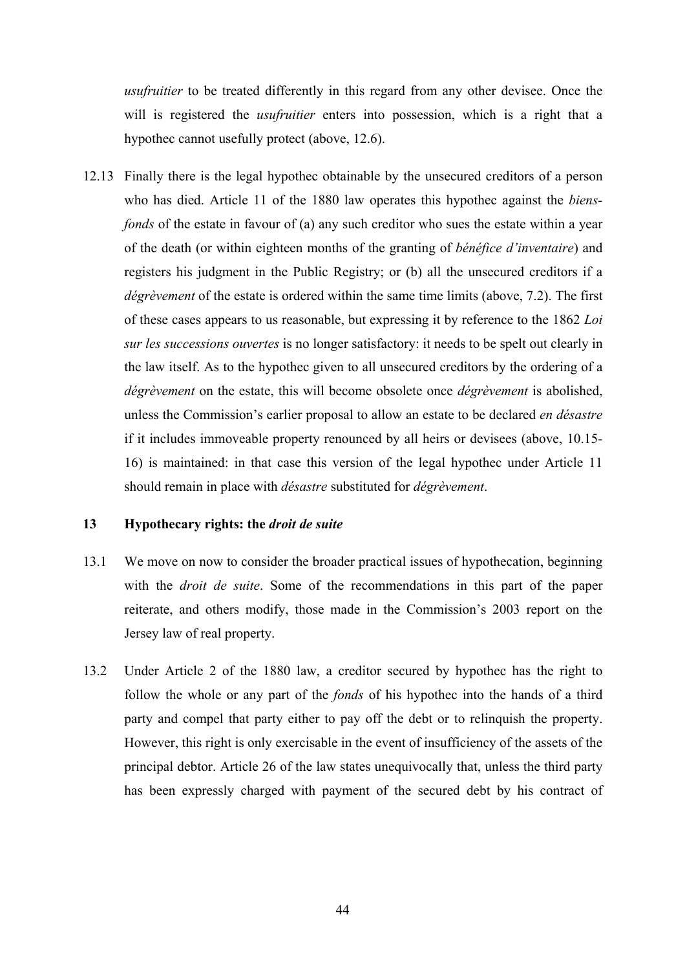*usufruitier* to be treated differently in this regard from any other devisee. Once the will is registered the *usufruitier* enters into possession, which is a right that a hypothec cannot usefully protect (above, 12.6).

12.13 Finally there is the legal hypothec obtainable by the unsecured creditors of a person who has died. Article 11 of the 1880 law operates this hypothec against the *biensfonds* of the estate in favour of (a) any such creditor who sues the estate within a year of the death (or within eighteen months of the granting of *bénéfice d'inventaire*) and registers his judgment in the Public Registry; or (b) all the unsecured creditors if a *dégrèvement* of the estate is ordered within the same time limits (above, 7.2). The first of these cases appears to us reasonable, but expressing it by reference to the 1862 *Loi sur les successions ouvertes* is no longer satisfactory: it needs to be spelt out clearly in the law itself. As to the hypothec given to all unsecured creditors by the ordering of a *dégrèvement* on the estate, this will become obsolete once *dégrèvement* is abolished, unless the Commission's earlier proposal to allow an estate to be declared *en désastre* if it includes immoveable property renounced by all heirs or devisees (above, 10.15- 16) is maintained: in that case this version of the legal hypothec under Article 11 should remain in place with *désastre* substituted for *dégrèvement*.

## **13 Hypothecary rights: the** *droit de suite*

- 13.1 We move on now to consider the broader practical issues of hypothecation, beginning with the *droit de suite*. Some of the recommendations in this part of the paper reiterate, and others modify, those made in the Commission's 2003 report on the Jersey law of real property.
- 13.2 Under Article 2 of the 1880 law, a creditor secured by hypothec has the right to follow the whole or any part of the *fonds* of his hypothec into the hands of a third party and compel that party either to pay off the debt or to relinquish the property. However, this right is only exercisable in the event of insufficiency of the assets of the principal debtor. Article 26 of the law states unequivocally that, unless the third party has been expressly charged with payment of the secured debt by his contract of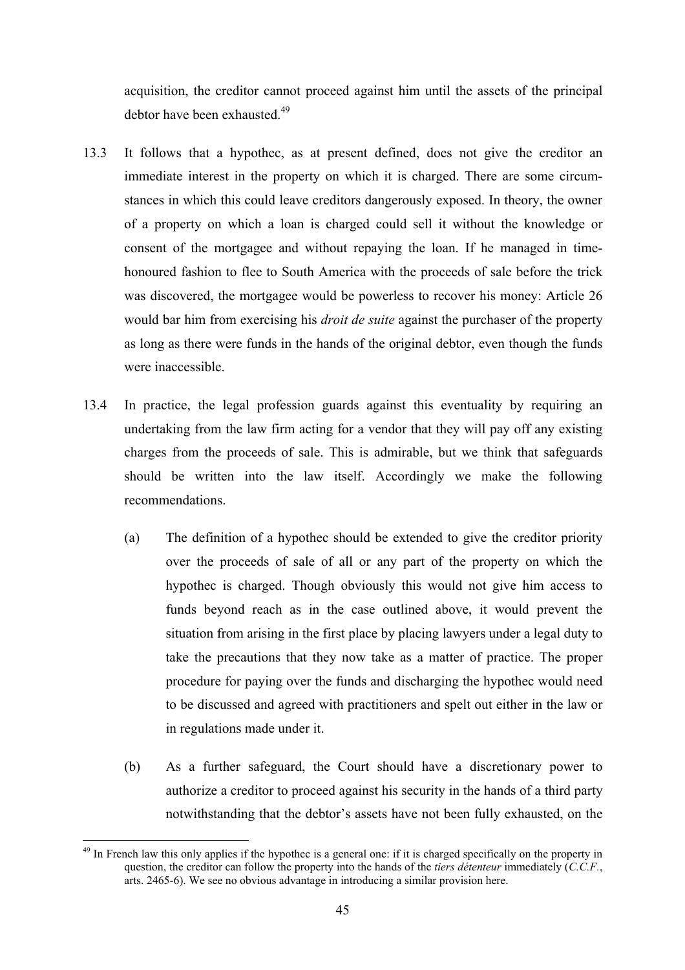acquisition, the creditor cannot proceed against him until the assets of the principal debtor have been exhausted  $49$ 

- 13.3 It follows that a hypothec, as at present defined, does not give the creditor an immediate interest in the property on which it is charged. There are some circumstances in which this could leave creditors dangerously exposed. In theory, the owner of a property on which a loan is charged could sell it without the knowledge or consent of the mortgagee and without repaying the loan. If he managed in timehonoured fashion to flee to South America with the proceeds of sale before the trick was discovered, the mortgagee would be powerless to recover his money: Article 26 would bar him from exercising his *droit de suite* against the purchaser of the property as long as there were funds in the hands of the original debtor, even though the funds were inaccessible.
- 13.4 In practice, the legal profession guards against this eventuality by requiring an undertaking from the law firm acting for a vendor that they will pay off any existing charges from the proceeds of sale. This is admirable, but we think that safeguards should be written into the law itself. Accordingly we make the following recommendations.
	- (a) The definition of a hypothec should be extended to give the creditor priority over the proceeds of sale of all or any part of the property on which the hypothec is charged. Though obviously this would not give him access to funds beyond reach as in the case outlined above, it would prevent the situation from arising in the first place by placing lawyers under a legal duty to take the precautions that they now take as a matter of practice. The proper procedure for paying over the funds and discharging the hypothec would need to be discussed and agreed with practitioners and spelt out either in the law or in regulations made under it.
	- (b) As a further safeguard, the Court should have a discretionary power to authorize a creditor to proceed against his security in the hands of a third party notwithstanding that the debtor's assets have not been fully exhausted, on the

 $\overline{a}$  $49$  In French law this only applies if the hypothec is a general one: if it is charged specifically on the property in question, the creditor can follow the property into the hands of the *tiers détenteur* immediately (*C.C.F.*, arts. 2465-6). We see no obvious advantage in introducing a similar provision here.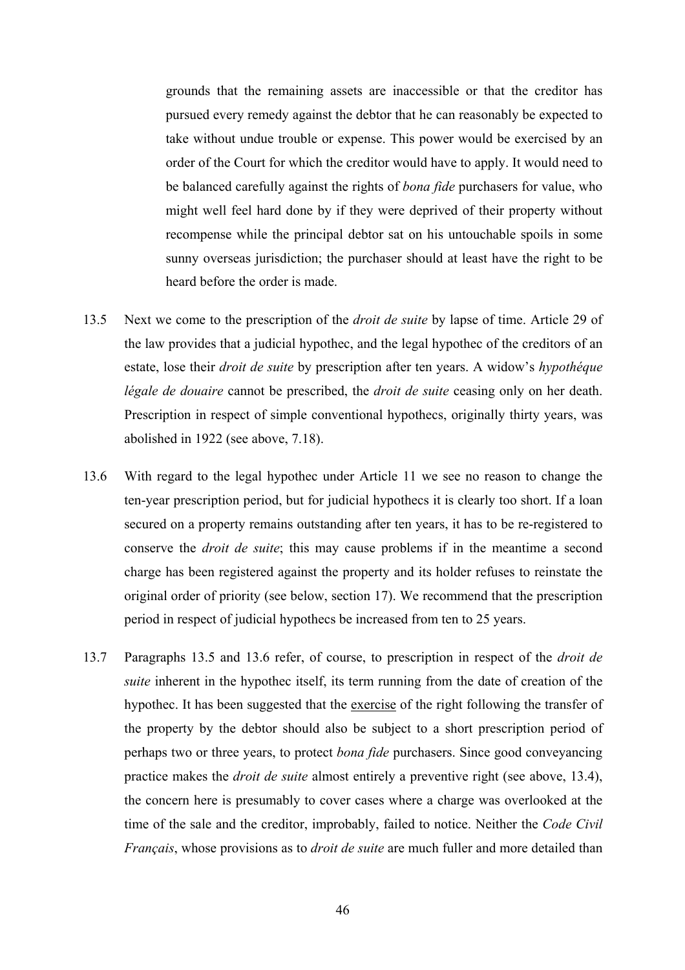grounds that the remaining assets are inaccessible or that the creditor has pursued every remedy against the debtor that he can reasonably be expected to take without undue trouble or expense. This power would be exercised by an order of the Court for which the creditor would have to apply. It would need to be balanced carefully against the rights of *bona fide* purchasers for value, who might well feel hard done by if they were deprived of their property without recompense while the principal debtor sat on his untouchable spoils in some sunny overseas jurisdiction; the purchaser should at least have the right to be heard before the order is made.

- 13.5 Next we come to the prescription of the *droit de suite* by lapse of time. Article 29 of the law provides that a judicial hypothec, and the legal hypothec of the creditors of an estate, lose their *droit de suite* by prescription after ten years. A widow's *hypothéque légale de douaire* cannot be prescribed, the *droit de suite* ceasing only on her death. Prescription in respect of simple conventional hypothecs, originally thirty years, was abolished in 1922 (see above, 7.18).
- 13.6 With regard to the legal hypothec under Article 11 we see no reason to change the ten-year prescription period, but for judicial hypothecs it is clearly too short. If a loan secured on a property remains outstanding after ten years, it has to be re-registered to conserve the *droit de suite*; this may cause problems if in the meantime a second charge has been registered against the property and its holder refuses to reinstate the original order of priority (see below, section 17). We recommend that the prescription period in respect of judicial hypothecs be increased from ten to 25 years.
- 13.7 Paragraphs 13.5 and 13.6 refer, of course, to prescription in respect of the *droit de suite* inherent in the hypothec itself, its term running from the date of creation of the hypothec. It has been suggested that the exercise of the right following the transfer of the property by the debtor should also be subject to a short prescription period of perhaps two or three years, to protect *bona fide* purchasers. Since good conveyancing practice makes the *droit de suite* almost entirely a preventive right (see above, 13.4), the concern here is presumably to cover cases where a charge was overlooked at the time of the sale and the creditor, improbably, failed to notice. Neither the *Code Civil Français*, whose provisions as to *droit de suite* are much fuller and more detailed than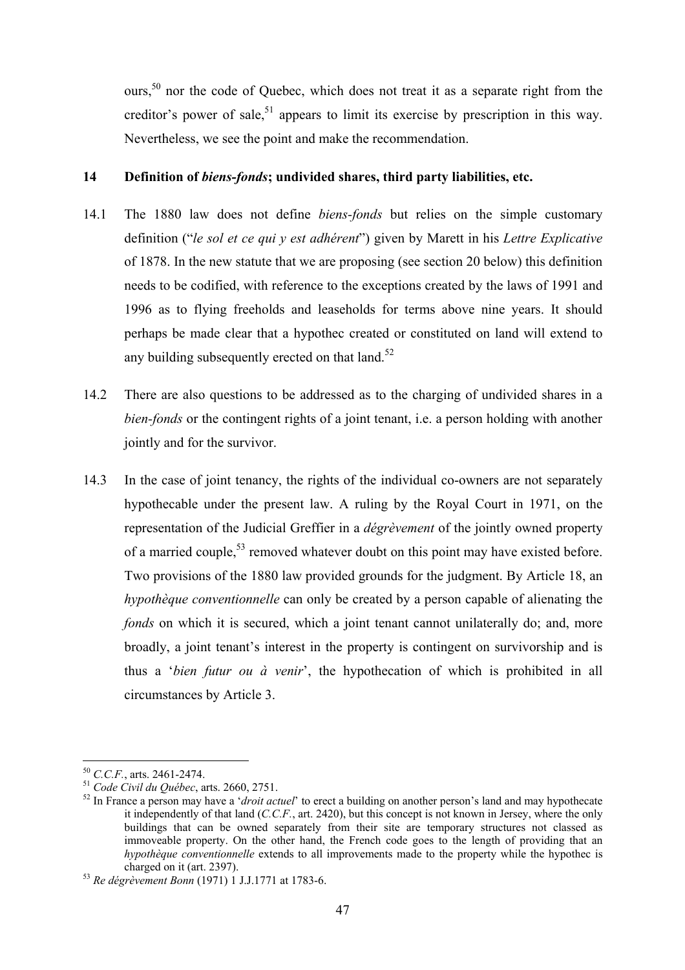$ours<sub>0</sub>$ <sup>50</sup> nor the code of Ouebec, which does not treat it as a separate right from the creditor's power of sale,  $51$  appears to limit its exercise by prescription in this way. Nevertheless, we see the point and make the recommendation.

## **14 Definition of** *biens-fonds***; undivided shares, third party liabilities, etc.**

- 14.1 The 1880 law does not define *biens-fonds* but relies on the simple customary definition ("*le sol et ce qui y est adhérent*") given by Marett in his *Lettre Explicative* of 1878. In the new statute that we are proposing (see section 20 below) this definition needs to be codified, with reference to the exceptions created by the laws of 1991 and 1996 as to flying freeholds and leaseholds for terms above nine years. It should perhaps be made clear that a hypothec created or constituted on land will extend to any building subsequently erected on that land.<sup>52</sup>
- 14.2 There are also questions to be addressed as to the charging of undivided shares in a *bien-fonds* or the contingent rights of a joint tenant, i.e. a person holding with another jointly and for the survivor.
- 14.3 In the case of joint tenancy, the rights of the individual co-owners are not separately hypothecable under the present law. A ruling by the Royal Court in 1971, on the representation of the Judicial Greffier in a *dégrèvement* of the jointly owned property of a married couple,<sup>53</sup> removed whatever doubt on this point may have existed before. Two provisions of the 1880 law provided grounds for the judgment. By Article 18, an *hypothèque conventionnelle* can only be created by a person capable of alienating the *fonds* on which it is secured, which a joint tenant cannot unilaterally do; and, more broadly, a joint tenant's interest in the property is contingent on survivorship and is thus a '*bien futur ou à venir*', the hypothecation of which is prohibited in all circumstances by Article 3.

<sup>50</sup> *C.C.F.*, arts. 2461-2474. 51 *Code Civil du Québec*, arts. 2660, 2751. 52 In France a person may have a '*droit actuel*' to erect a building on another person's land and may hypothecate it independently of that land (*C.C.F.*, art. 2420), but this concept is not known in Jersey, where the only buildings that can be owned separately from their site are temporary structures not classed as immoveable property. On the other hand, the French code goes to the length of providing that an *hypothèque conventionnelle* extends to all improvements made to the property while the hypothec is charged on it (art. 2397). 53 *Re dégrèvement Bonn* (1971) 1 J.J.1771 at 1783-6.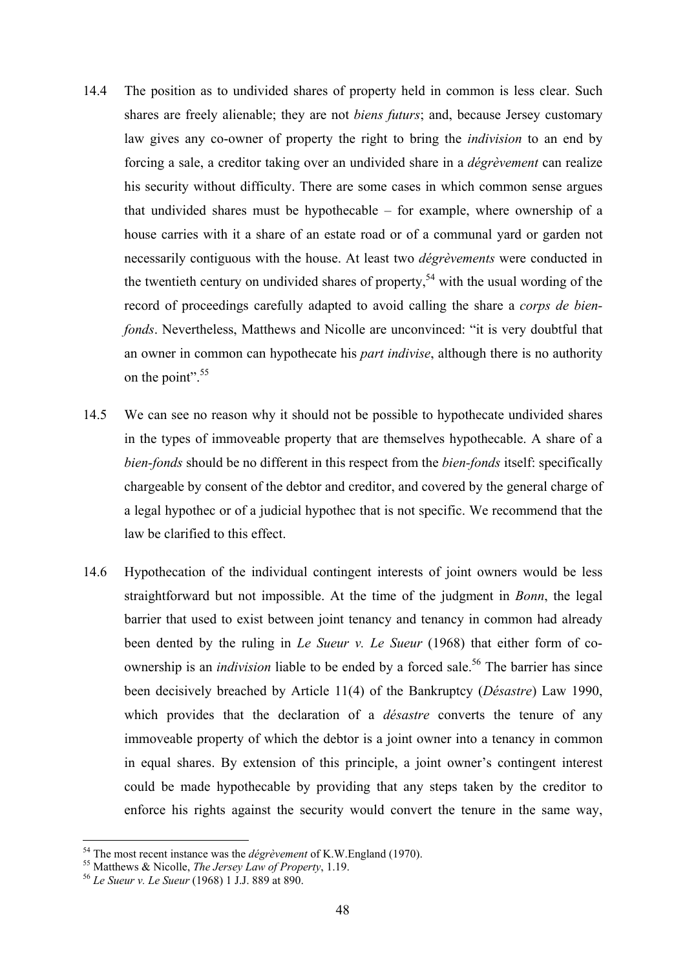- 14.4 The position as to undivided shares of property held in common is less clear. Such shares are freely alienable; they are not *biens futurs*; and, because Jersey customary law gives any co-owner of property the right to bring the *indivision* to an end by forcing a sale, a creditor taking over an undivided share in a *dégrèvement* can realize his security without difficulty. There are some cases in which common sense argues that undivided shares must be hypothecable – for example, where ownership of a house carries with it a share of an estate road or of a communal yard or garden not necessarily contiguous with the house. At least two *dégrèvements* were conducted in the twentieth century on undivided shares of property,<sup>54</sup> with the usual wording of the record of proceedings carefully adapted to avoid calling the share a *corps de bienfonds*. Nevertheless, Matthews and Nicolle are unconvinced: "it is very doubtful that an owner in common can hypothecate his *part indivise*, although there is no authority on the point".<sup>55</sup>
- 14.5 We can see no reason why it should not be possible to hypothecate undivided shares in the types of immoveable property that are themselves hypothecable. A share of a *bien-fonds* should be no different in this respect from the *bien-fonds* itself: specifically chargeable by consent of the debtor and creditor, and covered by the general charge of a legal hypothec or of a judicial hypothec that is not specific. We recommend that the law be clarified to this effect.
- 14.6 Hypothecation of the individual contingent interests of joint owners would be less straightforward but not impossible. At the time of the judgment in *Bonn*, the legal barrier that used to exist between joint tenancy and tenancy in common had already been dented by the ruling in *Le Sueur v. Le Sueur* (1968) that either form of coownership is an *indivision* liable to be ended by a forced sale.<sup>56</sup> The barrier has since been decisively breached by Article 11(4) of the Bankruptcy (*Désastre*) Law 1990, which provides that the declaration of a *désastre* converts the tenure of any immoveable property of which the debtor is a joint owner into a tenancy in common in equal shares. By extension of this principle, a joint owner's contingent interest could be made hypothecable by providing that any steps taken by the creditor to enforce his rights against the security would convert the tenure in the same way,

<sup>54</sup> The most recent instance was the *dégrèvement* of K.W.England (1970). 55 Matthews & Nicolle, *The Jersey Law of Property*, 1.19. 56 *Le Sueur v. Le Sueur* (1968) 1 J.J. 889 at 890.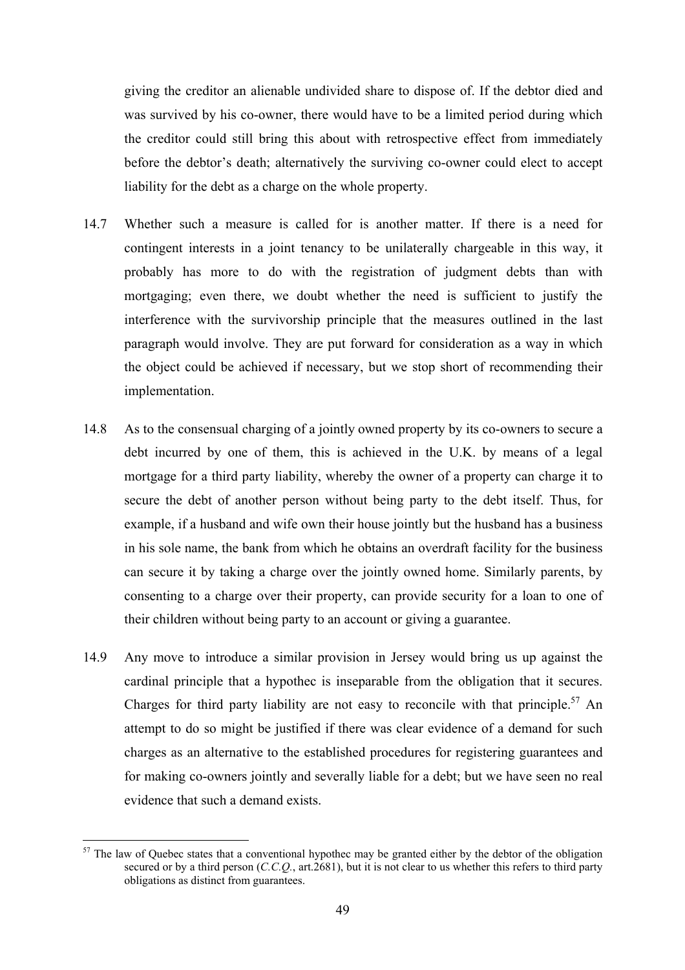giving the creditor an alienable undivided share to dispose of. If the debtor died and was survived by his co-owner, there would have to be a limited period during which the creditor could still bring this about with retrospective effect from immediately before the debtor's death; alternatively the surviving co-owner could elect to accept liability for the debt as a charge on the whole property.

- 14.7 Whether such a measure is called for is another matter. If there is a need for contingent interests in a joint tenancy to be unilaterally chargeable in this way, it probably has more to do with the registration of judgment debts than with mortgaging; even there, we doubt whether the need is sufficient to justify the interference with the survivorship principle that the measures outlined in the last paragraph would involve. They are put forward for consideration as a way in which the object could be achieved if necessary, but we stop short of recommending their implementation.
- 14.8 As to the consensual charging of a jointly owned property by its co-owners to secure a debt incurred by one of them, this is achieved in the U.K. by means of a legal mortgage for a third party liability, whereby the owner of a property can charge it to secure the debt of another person without being party to the debt itself. Thus, for example, if a husband and wife own their house jointly but the husband has a business in his sole name, the bank from which he obtains an overdraft facility for the business can secure it by taking a charge over the jointly owned home. Similarly parents, by consenting to a charge over their property, can provide security for a loan to one of their children without being party to an account or giving a guarantee.
- 14.9 Any move to introduce a similar provision in Jersey would bring us up against the cardinal principle that a hypothec is inseparable from the obligation that it secures. Charges for third party liability are not easy to reconcile with that principle.<sup>57</sup> An attempt to do so might be justified if there was clear evidence of a demand for such charges as an alternative to the established procedures for registering guarantees and for making co-owners jointly and severally liable for a debt; but we have seen no real evidence that such a demand exists.

 $57$  The law of Quebec states that a conventional hypothec may be granted either by the debtor of the obligation secured or by a third person (*C.C.Q.*, art.2681), but it is not clear to us whether this refers to third party obligations as distinct from guarantees.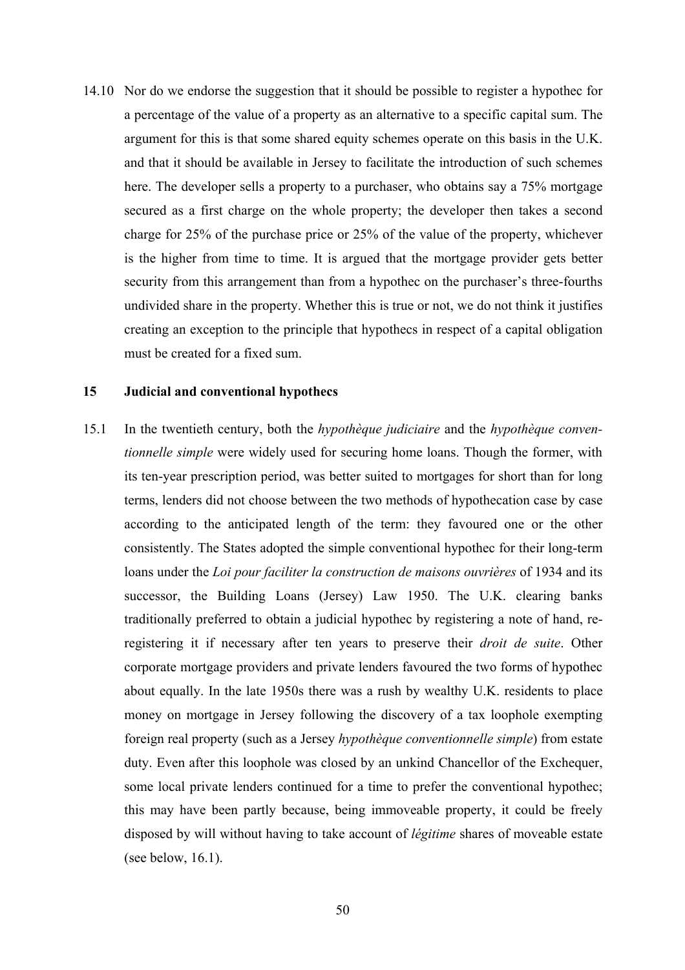14.10 Nor do we endorse the suggestion that it should be possible to register a hypothec for a percentage of the value of a property as an alternative to a specific capital sum. The argument for this is that some shared equity schemes operate on this basis in the U.K. and that it should be available in Jersey to facilitate the introduction of such schemes here. The developer sells a property to a purchaser, who obtains say a 75% mortgage secured as a first charge on the whole property; the developer then takes a second charge for 25% of the purchase price or 25% of the value of the property, whichever is the higher from time to time. It is argued that the mortgage provider gets better security from this arrangement than from a hypothec on the purchaser's three-fourths undivided share in the property. Whether this is true or not, we do not think it justifies creating an exception to the principle that hypothecs in respect of a capital obligation must be created for a fixed sum.

#### **15 Judicial and conventional hypothecs**

15.1 In the twentieth century, both the *hypothèque judiciaire* and the *hypothèque conventionnelle simple* were widely used for securing home loans. Though the former, with its ten-year prescription period, was better suited to mortgages for short than for long terms, lenders did not choose between the two methods of hypothecation case by case according to the anticipated length of the term: they favoured one or the other consistently. The States adopted the simple conventional hypothec for their long-term loans under the *Loi pour faciliter la construction de maisons ouvrières* of 1934 and its successor, the Building Loans (Jersey) Law 1950. The U.K. clearing banks traditionally preferred to obtain a judicial hypothec by registering a note of hand, reregistering it if necessary after ten years to preserve their *droit de suite*. Other corporate mortgage providers and private lenders favoured the two forms of hypothec about equally. In the late 1950s there was a rush by wealthy U.K. residents to place money on mortgage in Jersey following the discovery of a tax loophole exempting foreign real property (such as a Jersey *hypothèque conventionnelle simple*) from estate duty. Even after this loophole was closed by an unkind Chancellor of the Exchequer, some local private lenders continued for a time to prefer the conventional hypothec; this may have been partly because, being immoveable property, it could be freely disposed by will without having to take account of *légitime* shares of moveable estate (see below, 16.1).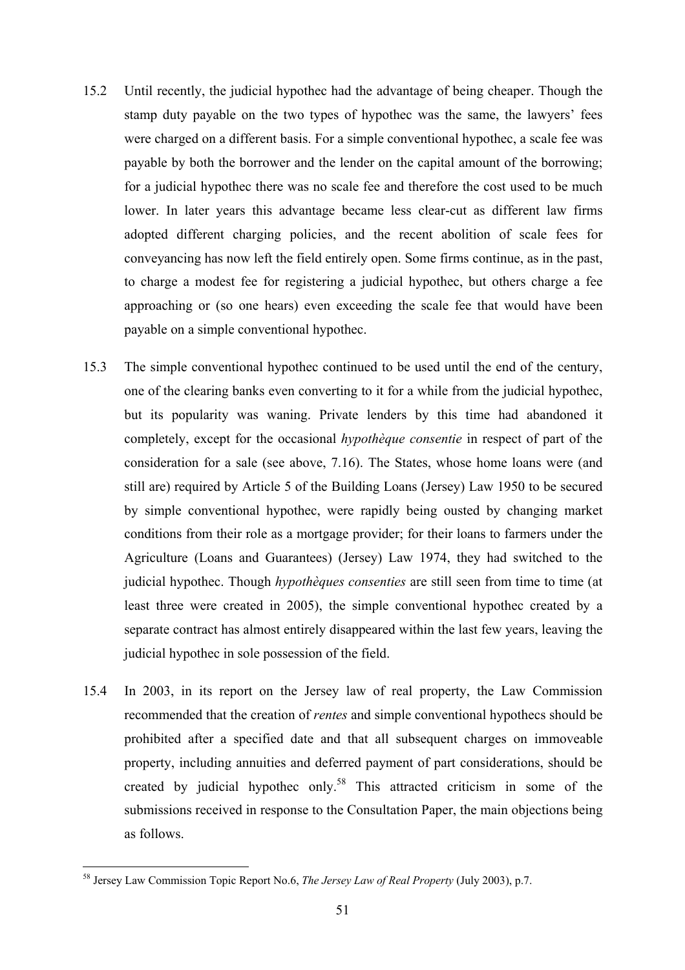- 15.2 Until recently, the judicial hypothec had the advantage of being cheaper. Though the stamp duty payable on the two types of hypothec was the same, the lawyers' fees were charged on a different basis. For a simple conventional hypothec, a scale fee was payable by both the borrower and the lender on the capital amount of the borrowing; for a judicial hypothec there was no scale fee and therefore the cost used to be much lower. In later years this advantage became less clear-cut as different law firms adopted different charging policies, and the recent abolition of scale fees for conveyancing has now left the field entirely open. Some firms continue, as in the past, to charge a modest fee for registering a judicial hypothec, but others charge a fee approaching or (so one hears) even exceeding the scale fee that would have been payable on a simple conventional hypothec.
- 15.3 The simple conventional hypothec continued to be used until the end of the century, one of the clearing banks even converting to it for a while from the judicial hypothec, but its popularity was waning. Private lenders by this time had abandoned it completely, except for the occasional *hypothèque consentie* in respect of part of the consideration for a sale (see above, 7.16). The States, whose home loans were (and still are) required by Article 5 of the Building Loans (Jersey) Law 1950 to be secured by simple conventional hypothec, were rapidly being ousted by changing market conditions from their role as a mortgage provider; for their loans to farmers under the Agriculture (Loans and Guarantees) (Jersey) Law 1974, they had switched to the judicial hypothec. Though *hypothèques consenties* are still seen from time to time (at least three were created in 2005), the simple conventional hypothec created by a separate contract has almost entirely disappeared within the last few years, leaving the judicial hypothec in sole possession of the field.
- 15.4 In 2003, in its report on the Jersey law of real property, the Law Commission recommended that the creation of *rentes* and simple conventional hypothecs should be prohibited after a specified date and that all subsequent charges on immoveable property, including annuities and deferred payment of part considerations, should be created by judicial hypothec only.<sup>58</sup> This attracted criticism in some of the submissions received in response to the Consultation Paper, the main objections being as follows.

<sup>58</sup> Jersey Law Commission Topic Report No.6, *The Jersey Law of Real Property* (July 2003), p.7.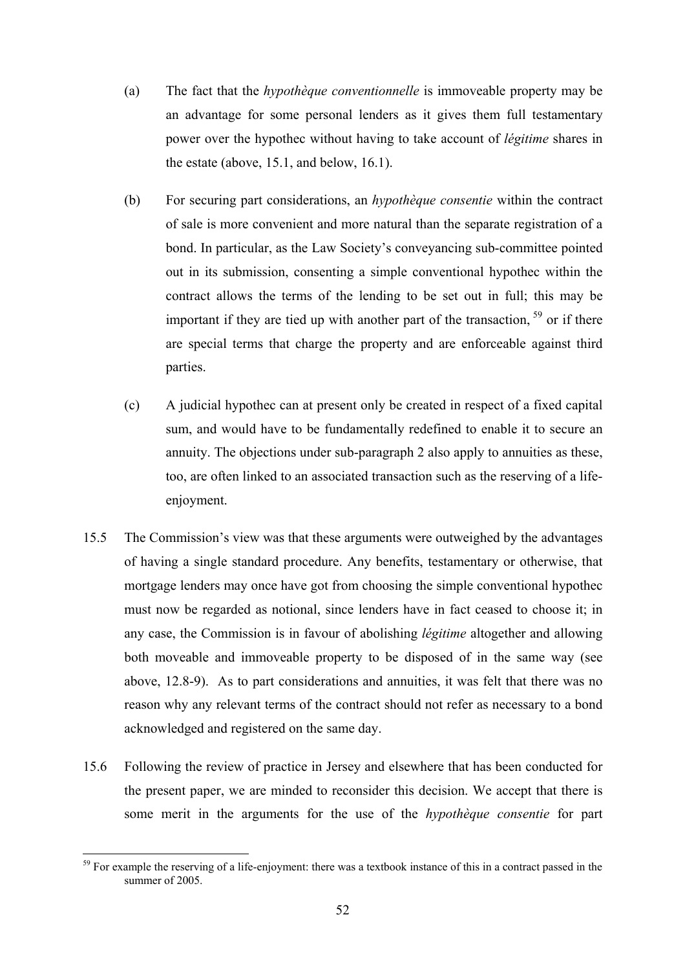- (a) The fact that the *hypothèque conventionnelle* is immoveable property may be an advantage for some personal lenders as it gives them full testamentary power over the hypothec without having to take account of *légitime* shares in the estate (above, 15.1, and below, 16.1).
- (b) For securing part considerations, an *hypothèque consentie* within the contract of sale is more convenient and more natural than the separate registration of a bond. In particular, as the Law Society's conveyancing sub-committee pointed out in its submission, consenting a simple conventional hypothec within the contract allows the terms of the lending to be set out in full; this may be important if they are tied up with another part of the transaction.<sup>59</sup> or if there are special terms that charge the property and are enforceable against third parties.
- (c) A judicial hypothec can at present only be created in respect of a fixed capital sum, and would have to be fundamentally redefined to enable it to secure an annuity. The objections under sub-paragraph 2 also apply to annuities as these, too, are often linked to an associated transaction such as the reserving of a lifeenjoyment.
- 15.5 The Commission's view was that these arguments were outweighed by the advantages of having a single standard procedure. Any benefits, testamentary or otherwise, that mortgage lenders may once have got from choosing the simple conventional hypothec must now be regarded as notional, since lenders have in fact ceased to choose it; in any case, the Commission is in favour of abolishing *légitime* altogether and allowing both moveable and immoveable property to be disposed of in the same way (see above, 12.8-9). As to part considerations and annuities, it was felt that there was no reason why any relevant terms of the contract should not refer as necessary to a bond acknowledged and registered on the same day.
- 15.6 Following the review of practice in Jersey and elsewhere that has been conducted for the present paper, we are minded to reconsider this decision. We accept that there is some merit in the arguments for the use of the *hypothèque consentie* for part

 $\overline{a}$  $59$  For example the reserving of a life-enjoyment: there was a textbook instance of this in a contract passed in the summer of 2005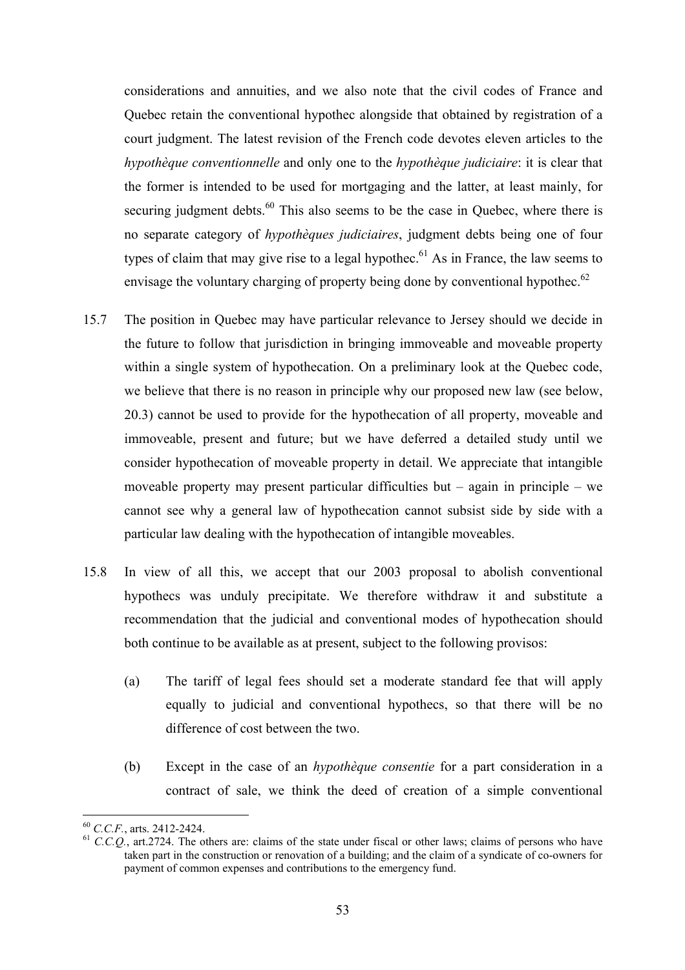considerations and annuities, and we also note that the civil codes of France and Quebec retain the conventional hypothec alongside that obtained by registration of a court judgment. The latest revision of the French code devotes eleven articles to the *hypothèque conventionnelle* and only one to the *hypothèque judiciaire*: it is clear that the former is intended to be used for mortgaging and the latter, at least mainly, for securing judgment debts. $60$  This also seems to be the case in Ouebec, where there is no separate category of *hypothèques judiciaires*, judgment debts being one of four types of claim that may give rise to a legal hypothec.<sup>61</sup> As in France, the law seems to envisage the voluntary charging of property being done by conventional hypothec.<sup>62</sup>

- 15.7 The position in Quebec may have particular relevance to Jersey should we decide in the future to follow that jurisdiction in bringing immoveable and moveable property within a single system of hypothecation. On a preliminary look at the Quebec code, we believe that there is no reason in principle why our proposed new law (see below, 20.3) cannot be used to provide for the hypothecation of all property, moveable and immoveable, present and future; but we have deferred a detailed study until we consider hypothecation of moveable property in detail. We appreciate that intangible moveable property may present particular difficulties but – again in principle – we cannot see why a general law of hypothecation cannot subsist side by side with a particular law dealing with the hypothecation of intangible moveables.
- 15.8 In view of all this, we accept that our 2003 proposal to abolish conventional hypothecs was unduly precipitate. We therefore withdraw it and substitute a recommendation that the judicial and conventional modes of hypothecation should both continue to be available as at present, subject to the following provisos:
	- (a) The tariff of legal fees should set a moderate standard fee that will apply equally to judicial and conventional hypothecs, so that there will be no difference of cost between the two.
	- (b) Except in the case of an *hypothèque consentie* for a part consideration in a contract of sale, we think the deed of creation of a simple conventional

<sup>&</sup>lt;sup>60</sup> *C.C.F.*, arts. 2412-2424.<br><sup>61</sup> *C.C.Q.*, art.2724. The others are: claims of the state under fiscal or other laws; claims of persons who have taken part in the construction or renovation of a building; and the claim of a syndicate of co-owners for payment of common expenses and contributions to the emergency fund.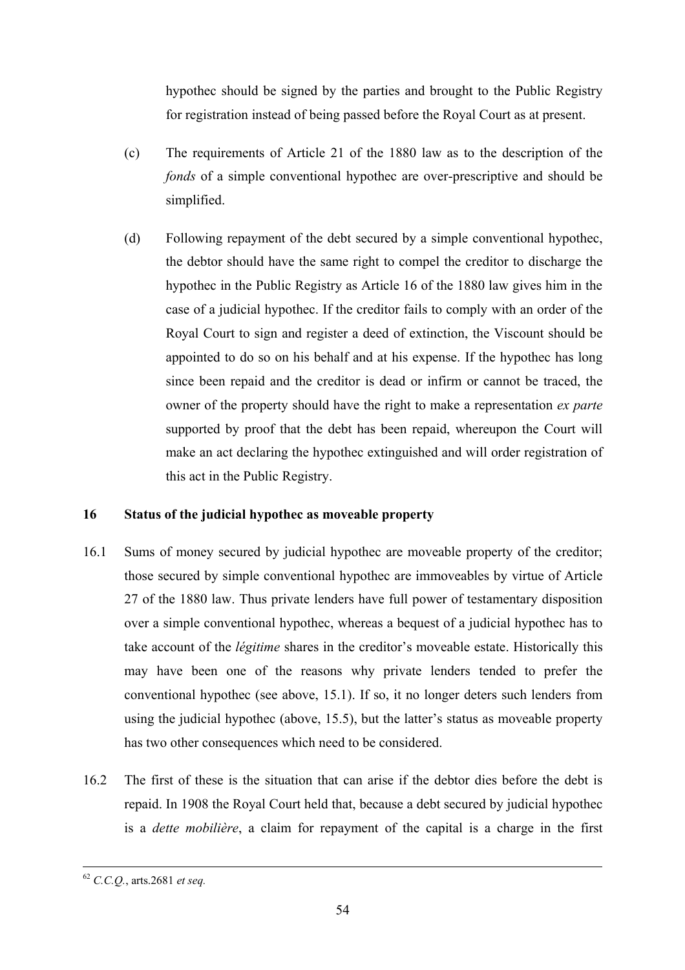hypothec should be signed by the parties and brought to the Public Registry for registration instead of being passed before the Royal Court as at present.

- (c) The requirements of Article 21 of the 1880 law as to the description of the *fonds* of a simple conventional hypothec are over-prescriptive and should be simplified.
- (d) Following repayment of the debt secured by a simple conventional hypothec, the debtor should have the same right to compel the creditor to discharge the hypothec in the Public Registry as Article 16 of the 1880 law gives him in the case of a judicial hypothec. If the creditor fails to comply with an order of the Royal Court to sign and register a deed of extinction, the Viscount should be appointed to do so on his behalf and at his expense. If the hypothec has long since been repaid and the creditor is dead or infirm or cannot be traced, the owner of the property should have the right to make a representation *ex parte* supported by proof that the debt has been repaid, whereupon the Court will make an act declaring the hypothec extinguished and will order registration of this act in the Public Registry.

# **16 Status of the judicial hypothec as moveable property**

- 16.1 Sums of money secured by judicial hypothec are moveable property of the creditor; those secured by simple conventional hypothec are immoveables by virtue of Article 27 of the 1880 law. Thus private lenders have full power of testamentary disposition over a simple conventional hypothec, whereas a bequest of a judicial hypothec has to take account of the *légitime* shares in the creditor's moveable estate. Historically this may have been one of the reasons why private lenders tended to prefer the conventional hypothec (see above, 15.1). If so, it no longer deters such lenders from using the judicial hypothec (above, 15.5), but the latter's status as moveable property has two other consequences which need to be considered.
- 16.2 The first of these is the situation that can arise if the debtor dies before the debt is repaid. In 1908 the Royal Court held that, because a debt secured by judicial hypothec is a *dette mobilière*, a claim for repayment of the capital is a charge in the first

 <sup>62</sup> *C.C.Q.*, arts.2681 *et seq.*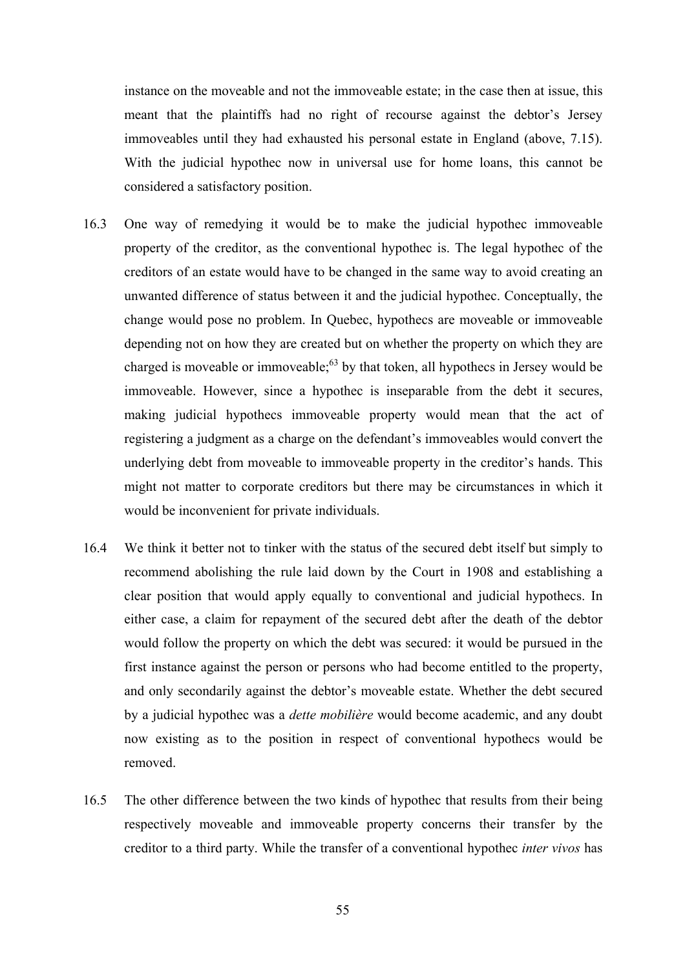instance on the moveable and not the immoveable estate; in the case then at issue, this meant that the plaintiffs had no right of recourse against the debtor's Jersey immoveables until they had exhausted his personal estate in England (above, 7.15). With the judicial hypothec now in universal use for home loans, this cannot be considered a satisfactory position.

- 16.3 One way of remedying it would be to make the judicial hypothec immoveable property of the creditor, as the conventional hypothec is. The legal hypothec of the creditors of an estate would have to be changed in the same way to avoid creating an unwanted difference of status between it and the judicial hypothec. Conceptually, the change would pose no problem. In Quebec, hypothecs are moveable or immoveable depending not on how they are created but on whether the property on which they are charged is moveable or immoveable; $^{63}$  by that token, all hypothecs in Jersey would be immoveable. However, since a hypothec is inseparable from the debt it secures, making judicial hypothecs immoveable property would mean that the act of registering a judgment as a charge on the defendant's immoveables would convert the underlying debt from moveable to immoveable property in the creditor's hands. This might not matter to corporate creditors but there may be circumstances in which it would be inconvenient for private individuals.
- 16.4 We think it better not to tinker with the status of the secured debt itself but simply to recommend abolishing the rule laid down by the Court in 1908 and establishing a clear position that would apply equally to conventional and judicial hypothecs. In either case, a claim for repayment of the secured debt after the death of the debtor would follow the property on which the debt was secured: it would be pursued in the first instance against the person or persons who had become entitled to the property, and only secondarily against the debtor's moveable estate. Whether the debt secured by a judicial hypothec was a *dette mobilière* would become academic, and any doubt now existing as to the position in respect of conventional hypothecs would be removed.
- 16.5 The other difference between the two kinds of hypothec that results from their being respectively moveable and immoveable property concerns their transfer by the creditor to a third party. While the transfer of a conventional hypothec *inter vivos* has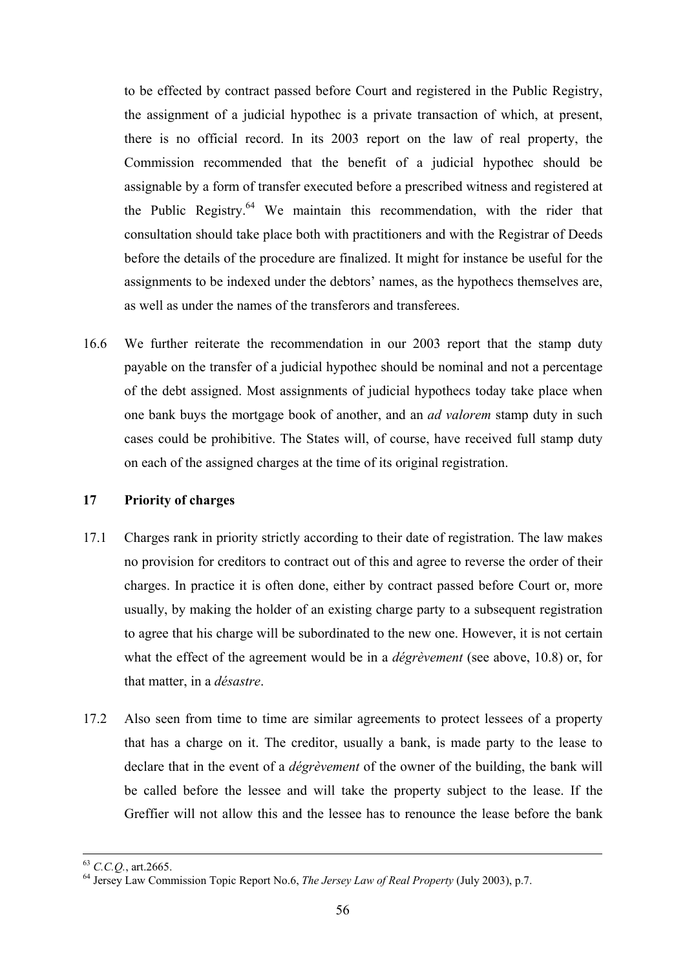to be effected by contract passed before Court and registered in the Public Registry, the assignment of a judicial hypothec is a private transaction of which, at present, there is no official record. In its 2003 report on the law of real property, the Commission recommended that the benefit of a judicial hypothec should be assignable by a form of transfer executed before a prescribed witness and registered at the Public Registry. $64$  We maintain this recommendation, with the rider that consultation should take place both with practitioners and with the Registrar of Deeds before the details of the procedure are finalized. It might for instance be useful for the assignments to be indexed under the debtors' names, as the hypothecs themselves are, as well as under the names of the transferors and transferees.

16.6 We further reiterate the recommendation in our 2003 report that the stamp duty payable on the transfer of a judicial hypothec should be nominal and not a percentage of the debt assigned. Most assignments of judicial hypothecs today take place when one bank buys the mortgage book of another, and an *ad valorem* stamp duty in such cases could be prohibitive. The States will, of course, have received full stamp duty on each of the assigned charges at the time of its original registration.

## **17 Priority of charges**

- 17.1 Charges rank in priority strictly according to their date of registration. The law makes no provision for creditors to contract out of this and agree to reverse the order of their charges. In practice it is often done, either by contract passed before Court or, more usually, by making the holder of an existing charge party to a subsequent registration to agree that his charge will be subordinated to the new one. However, it is not certain what the effect of the agreement would be in a *dégrèvement* (see above, 10.8) or, for that matter, in a *désastre*.
- 17.2 Also seen from time to time are similar agreements to protect lessees of a property that has a charge on it. The creditor, usually a bank, is made party to the lease to declare that in the event of a *dégrèvement* of the owner of the building, the bank will be called before the lessee and will take the property subject to the lease. If the Greffier will not allow this and the lessee has to renounce the lease before the bank

<sup>63</sup> *C.C.Q.*, art.2665. 64 Jersey Law Commission Topic Report No.6, *The Jersey Law of Real Property* (July 2003), p.7.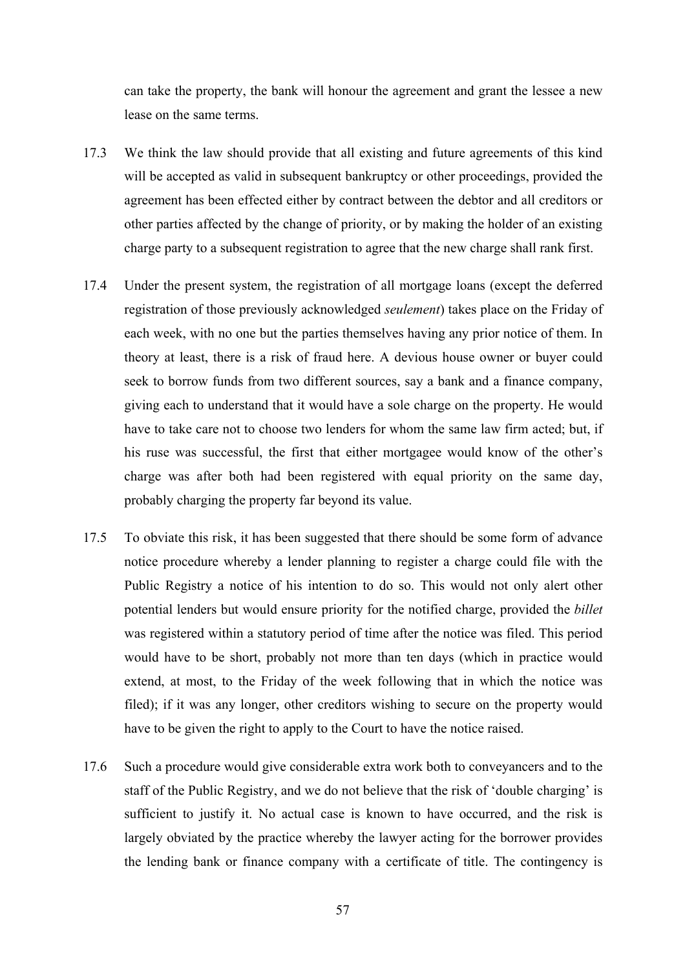can take the property, the bank will honour the agreement and grant the lessee a new lease on the same terms.

- 17.3 We think the law should provide that all existing and future agreements of this kind will be accepted as valid in subsequent bankruptcy or other proceedings, provided the agreement has been effected either by contract between the debtor and all creditors or other parties affected by the change of priority, or by making the holder of an existing charge party to a subsequent registration to agree that the new charge shall rank first.
- 17.4 Under the present system, the registration of all mortgage loans (except the deferred registration of those previously acknowledged *seulement*) takes place on the Friday of each week, with no one but the parties themselves having any prior notice of them. In theory at least, there is a risk of fraud here. A devious house owner or buyer could seek to borrow funds from two different sources, say a bank and a finance company, giving each to understand that it would have a sole charge on the property. He would have to take care not to choose two lenders for whom the same law firm acted; but, if his ruse was successful, the first that either mortgagee would know of the other's charge was after both had been registered with equal priority on the same day, probably charging the property far beyond its value.
- 17.5 To obviate this risk, it has been suggested that there should be some form of advance notice procedure whereby a lender planning to register a charge could file with the Public Registry a notice of his intention to do so. This would not only alert other potential lenders but would ensure priority for the notified charge, provided the *billet* was registered within a statutory period of time after the notice was filed. This period would have to be short, probably not more than ten days (which in practice would extend, at most, to the Friday of the week following that in which the notice was filed); if it was any longer, other creditors wishing to secure on the property would have to be given the right to apply to the Court to have the notice raised.
- 17.6 Such a procedure would give considerable extra work both to conveyancers and to the staff of the Public Registry, and we do not believe that the risk of 'double charging' is sufficient to justify it. No actual case is known to have occurred, and the risk is largely obviated by the practice whereby the lawyer acting for the borrower provides the lending bank or finance company with a certificate of title. The contingency is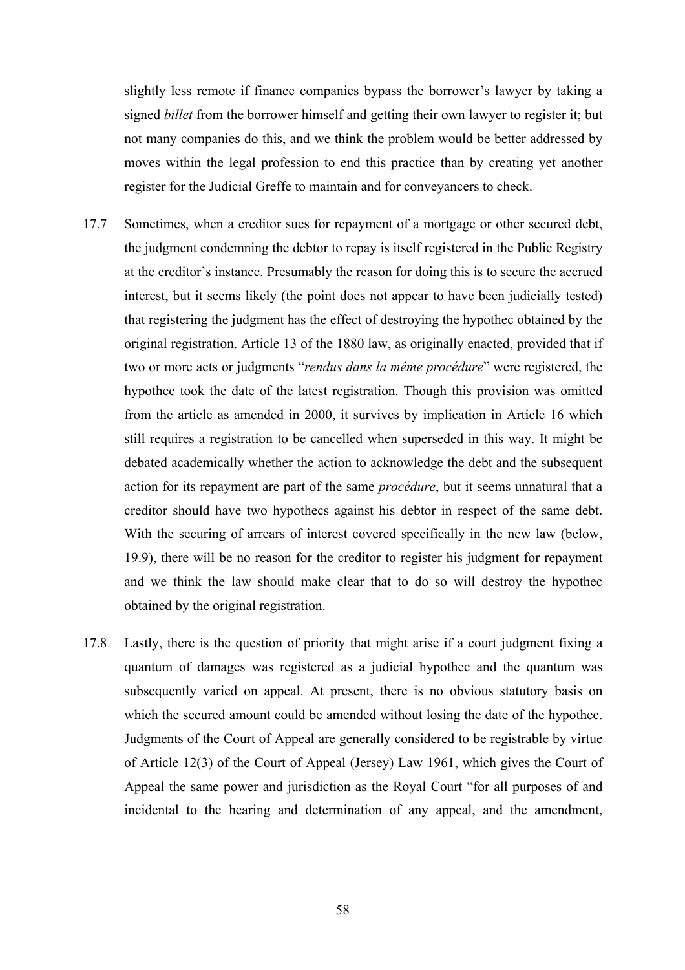slightly less remote if finance companies bypass the borrower's lawyer by taking a signed *billet* from the borrower himself and getting their own lawyer to register it; but not many companies do this, and we think the problem would be better addressed by moves within the legal profession to end this practice than by creating yet another register for the Judicial Greffe to maintain and for conveyancers to check.

- 17.7 Sometimes, when a creditor sues for repayment of a mortgage or other secured debt, the judgment condemning the debtor to repay is itself registered in the Public Registry at the creditor's instance. Presumably the reason for doing this is to secure the accrued interest, but it seems likely (the point does not appear to have been judicially tested) that registering the judgment has the effect of destroying the hypothec obtained by the original registration. Article 13 of the 1880 law, as originally enacted, provided that if two or more acts or judgments "*rendus dans la même procédure*" were registered, the hypothec took the date of the latest registration. Though this provision was omitted from the article as amended in 2000, it survives by implication in Article 16 which still requires a registration to be cancelled when superseded in this way. It might be debated academically whether the action to acknowledge the debt and the subsequent action for its repayment are part of the same *procédure*, but it seems unnatural that a creditor should have two hypothecs against his debtor in respect of the same debt. With the securing of arrears of interest covered specifically in the new law (below, 19.9), there will be no reason for the creditor to register his judgment for repayment and we think the law should make clear that to do so will destroy the hypothec obtained by the original registration.
- 17.8 Lastly, there is the question of priority that might arise if a court judgment fixing a quantum of damages was registered as a judicial hypothec and the quantum was subsequently varied on appeal. At present, there is no obvious statutory basis on which the secured amount could be amended without losing the date of the hypothec. Judgments of the Court of Appeal are generally considered to be registrable by virtue of Article 12(3) of the Court of Appeal (Jersey) Law 1961, which gives the Court of Appeal the same power and jurisdiction as the Royal Court "for all purposes of and incidental to the hearing and determination of any appeal, and the amendment,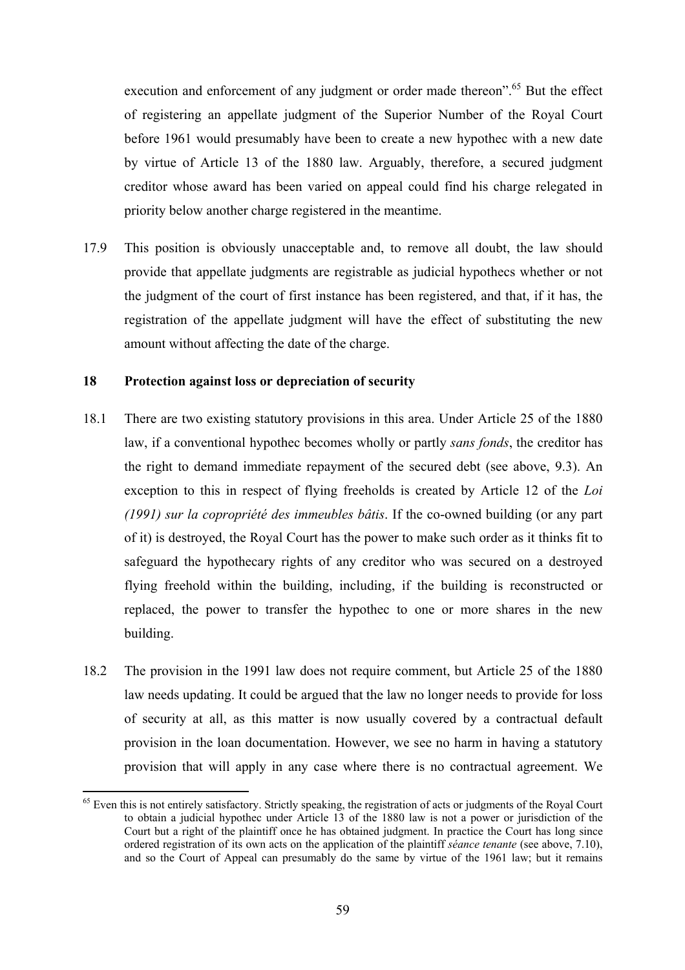execution and enforcement of any judgment or order made thereon".<sup>65</sup> But the effect of registering an appellate judgment of the Superior Number of the Royal Court before 1961 would presumably have been to create a new hypothec with a new date by virtue of Article 13 of the 1880 law. Arguably, therefore, a secured judgment creditor whose award has been varied on appeal could find his charge relegated in priority below another charge registered in the meantime.

17.9 This position is obviously unacceptable and, to remove all doubt, the law should provide that appellate judgments are registrable as judicial hypothecs whether or not the judgment of the court of first instance has been registered, and that, if it has, the registration of the appellate judgment will have the effect of substituting the new amount without affecting the date of the charge.

## **18 Protection against loss or depreciation of security**

- 18.1 There are two existing statutory provisions in this area. Under Article 25 of the 1880 law, if a conventional hypothec becomes wholly or partly *sans fonds*, the creditor has the right to demand immediate repayment of the secured debt (see above, 9.3). An exception to this in respect of flying freeholds is created by Article 12 of the *Loi (1991) sur la copropriété des immeubles bâtis*. If the co-owned building (or any part of it) is destroyed, the Royal Court has the power to make such order as it thinks fit to safeguard the hypothecary rights of any creditor who was secured on a destroyed flying freehold within the building, including, if the building is reconstructed or replaced, the power to transfer the hypothec to one or more shares in the new building.
- 18.2 The provision in the 1991 law does not require comment, but Article 25 of the 1880 law needs updating. It could be argued that the law no longer needs to provide for loss of security at all, as this matter is now usually covered by a contractual default provision in the loan documentation. However, we see no harm in having a statutory provision that will apply in any case where there is no contractual agreement. We

 $65$  Even this is not entirely satisfactory. Strictly speaking, the registration of acts or judgments of the Royal Court to obtain a judicial hypothec under Article 13 of the 1880 law is not a power or jurisdiction of the Court but a right of the plaintiff once he has obtained judgment. In practice the Court has long since ordered registration of its own acts on the application of the plaintiff *séance tenante* (see above, 7.10), and so the Court of Appeal can presumably do the same by virtue of the 1961 law; but it remains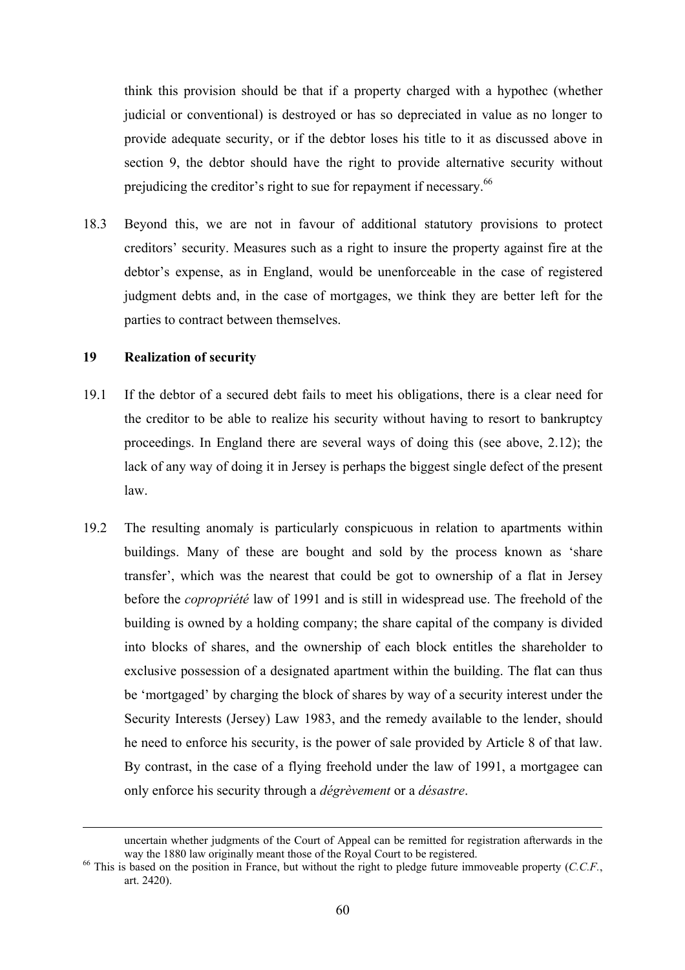think this provision should be that if a property charged with a hypothec (whether judicial or conventional) is destroyed or has so depreciated in value as no longer to provide adequate security, or if the debtor loses his title to it as discussed above in section 9, the debtor should have the right to provide alternative security without prejudicing the creditor's right to sue for repayment if necessary.<sup>66</sup>

18.3 Beyond this, we are not in favour of additional statutory provisions to protect creditors' security. Measures such as a right to insure the property against fire at the debtor's expense, as in England, would be unenforceable in the case of registered judgment debts and, in the case of mortgages, we think they are better left for the parties to contract between themselves.

## **19 Realization of security**

- 19.1 If the debtor of a secured debt fails to meet his obligations, there is a clear need for the creditor to be able to realize his security without having to resort to bankruptcy proceedings. In England there are several ways of doing this (see above, 2.12); the lack of any way of doing it in Jersey is perhaps the biggest single defect of the present law.
- 19.2 The resulting anomaly is particularly conspicuous in relation to apartments within buildings. Many of these are bought and sold by the process known as 'share transfer', which was the nearest that could be got to ownership of a flat in Jersey before the *copropriété* law of 1991 and is still in widespread use. The freehold of the building is owned by a holding company; the share capital of the company is divided into blocks of shares, and the ownership of each block entitles the shareholder to exclusive possession of a designated apartment within the building. The flat can thus be 'mortgaged' by charging the block of shares by way of a security interest under the Security Interests (Jersey) Law 1983, and the remedy available to the lender, should he need to enforce his security, is the power of sale provided by Article 8 of that law. By contrast, in the case of a flying freehold under the law of 1991, a mortgagee can only enforce his security through a *dégrèvement* or a *désastre*.

uncertain whether judgments of the Court of Appeal can be remitted for registration afterwards in the

 $^{66}$  This is based on the position in France, but without the right to pledge future immoveable property (*C.C.F.*, art. 2420).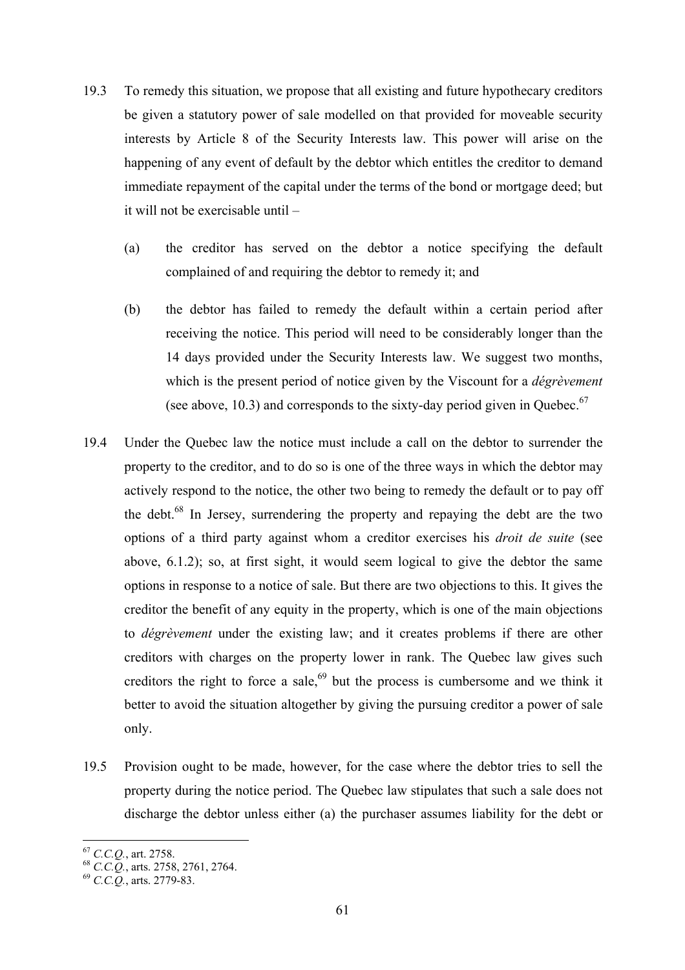- 19.3 To remedy this situation, we propose that all existing and future hypothecary creditors be given a statutory power of sale modelled on that provided for moveable security interests by Article 8 of the Security Interests law. This power will arise on the happening of any event of default by the debtor which entitles the creditor to demand immediate repayment of the capital under the terms of the bond or mortgage deed; but it will not be exercisable until –
	- (a) the creditor has served on the debtor a notice specifying the default complained of and requiring the debtor to remedy it; and
	- (b) the debtor has failed to remedy the default within a certain period after receiving the notice. This period will need to be considerably longer than the 14 days provided under the Security Interests law. We suggest two months, which is the present period of notice given by the Viscount for a *dégrèvement* (see above, 10.3) and corresponds to the sixty-day period given in Quebec. $67$
- 19.4 Under the Quebec law the notice must include a call on the debtor to surrender the property to the creditor, and to do so is one of the three ways in which the debtor may actively respond to the notice, the other two being to remedy the default or to pay off the debt.68 In Jersey, surrendering the property and repaying the debt are the two options of a third party against whom a creditor exercises his *droit de suite* (see above, 6.1.2); so, at first sight, it would seem logical to give the debtor the same options in response to a notice of sale. But there are two objections to this. It gives the creditor the benefit of any equity in the property, which is one of the main objections to *dégrèvement* under the existing law; and it creates problems if there are other creditors with charges on the property lower in rank. The Quebec law gives such creditors the right to force a sale,<sup>69</sup> but the process is cumbersome and we think it better to avoid the situation altogether by giving the pursuing creditor a power of sale only.
- 19.5 Provision ought to be made, however, for the case where the debtor tries to sell the property during the notice period. The Quebec law stipulates that such a sale does not discharge the debtor unless either (a) the purchaser assumes liability for the debt or

<sup>67</sup> *C.C.Q.*, art. 2758. 68 *C.C.Q.*, arts. 2758, 2761, 2764. 69 *C.C.Q.*, arts. 2779-83.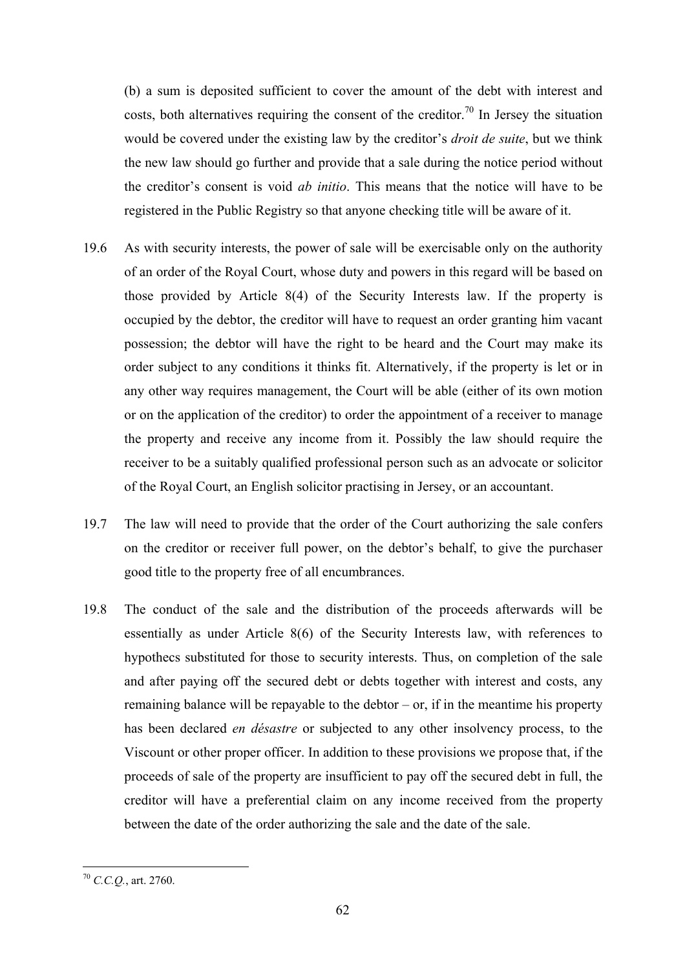(b) a sum is deposited sufficient to cover the amount of the debt with interest and costs, both alternatives requiring the consent of the creditor.<sup>70</sup> In Jersey the situation would be covered under the existing law by the creditor's *droit de suite*, but we think the new law should go further and provide that a sale during the notice period without the creditor's consent is void *ab initio*. This means that the notice will have to be registered in the Public Registry so that anyone checking title will be aware of it.

- 19.6 As with security interests, the power of sale will be exercisable only on the authority of an order of the Royal Court, whose duty and powers in this regard will be based on those provided by Article 8(4) of the Security Interests law. If the property is occupied by the debtor, the creditor will have to request an order granting him vacant possession; the debtor will have the right to be heard and the Court may make its order subject to any conditions it thinks fit. Alternatively, if the property is let or in any other way requires management, the Court will be able (either of its own motion or on the application of the creditor) to order the appointment of a receiver to manage the property and receive any income from it. Possibly the law should require the receiver to be a suitably qualified professional person such as an advocate or solicitor of the Royal Court, an English solicitor practising in Jersey, or an accountant.
- 19.7 The law will need to provide that the order of the Court authorizing the sale confers on the creditor or receiver full power, on the debtor's behalf, to give the purchaser good title to the property free of all encumbrances.
- 19.8 The conduct of the sale and the distribution of the proceeds afterwards will be essentially as under Article 8(6) of the Security Interests law, with references to hypothecs substituted for those to security interests. Thus, on completion of the sale and after paying off the secured debt or debts together with interest and costs, any remaining balance will be repayable to the debtor – or, if in the meantime his property has been declared *en désastre* or subjected to any other insolvency process, to the Viscount or other proper officer. In addition to these provisions we propose that, if the proceeds of sale of the property are insufficient to pay off the secured debt in full, the creditor will have a preferential claim on any income received from the property between the date of the order authorizing the sale and the date of the sale.

<sup>70</sup> *C.C.Q.*, art. 2760.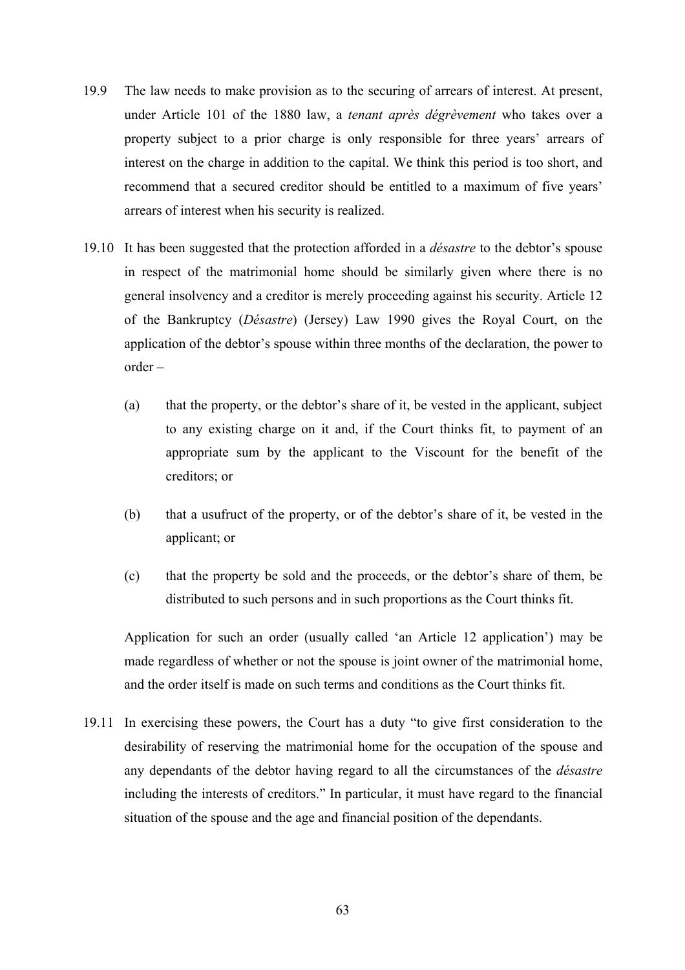- 19.9 The law needs to make provision as to the securing of arrears of interest. At present, under Article 101 of the 1880 law, a *tenant après dégrèvement* who takes over a property subject to a prior charge is only responsible for three years' arrears of interest on the charge in addition to the capital. We think this period is too short, and recommend that a secured creditor should be entitled to a maximum of five years' arrears of interest when his security is realized.
- 19.10 It has been suggested that the protection afforded in a *désastre* to the debtor's spouse in respect of the matrimonial home should be similarly given where there is no general insolvency and a creditor is merely proceeding against his security. Article 12 of the Bankruptcy (*Désastre*) (Jersey) Law 1990 gives the Royal Court, on the application of the debtor's spouse within three months of the declaration, the power to order –
	- (a) that the property, or the debtor's share of it, be vested in the applicant, subject to any existing charge on it and, if the Court thinks fit, to payment of an appropriate sum by the applicant to the Viscount for the benefit of the creditors; or
	- (b) that a usufruct of the property, or of the debtor's share of it, be vested in the applicant; or
	- (c) that the property be sold and the proceeds, or the debtor's share of them, be distributed to such persons and in such proportions as the Court thinks fit.

Application for such an order (usually called 'an Article 12 application') may be made regardless of whether or not the spouse is joint owner of the matrimonial home, and the order itself is made on such terms and conditions as the Court thinks fit.

19.11 In exercising these powers, the Court has a duty "to give first consideration to the desirability of reserving the matrimonial home for the occupation of the spouse and any dependants of the debtor having regard to all the circumstances of the *désastre* including the interests of creditors." In particular, it must have regard to the financial situation of the spouse and the age and financial position of the dependants.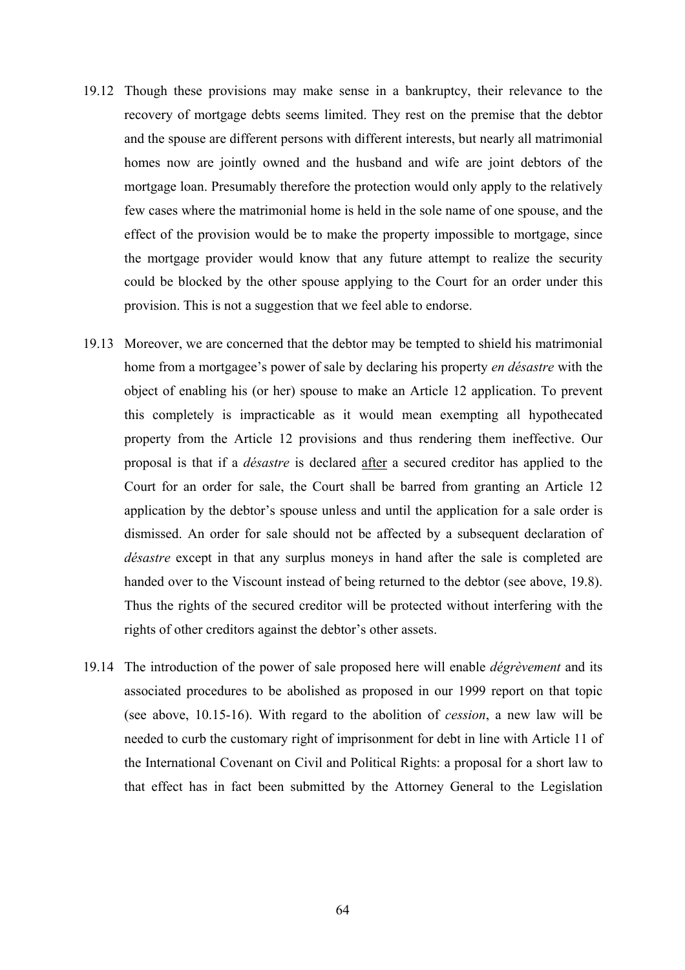- 19.12 Though these provisions may make sense in a bankruptcy, their relevance to the recovery of mortgage debts seems limited. They rest on the premise that the debtor and the spouse are different persons with different interests, but nearly all matrimonial homes now are jointly owned and the husband and wife are joint debtors of the mortgage loan. Presumably therefore the protection would only apply to the relatively few cases where the matrimonial home is held in the sole name of one spouse, and the effect of the provision would be to make the property impossible to mortgage, since the mortgage provider would know that any future attempt to realize the security could be blocked by the other spouse applying to the Court for an order under this provision. This is not a suggestion that we feel able to endorse.
- 19.13 Moreover, we are concerned that the debtor may be tempted to shield his matrimonial home from a mortgagee's power of sale by declaring his property *en désastre* with the object of enabling his (or her) spouse to make an Article 12 application. To prevent this completely is impracticable as it would mean exempting all hypothecated property from the Article 12 provisions and thus rendering them ineffective. Our proposal is that if a *désastre* is declared after a secured creditor has applied to the Court for an order for sale, the Court shall be barred from granting an Article 12 application by the debtor's spouse unless and until the application for a sale order is dismissed. An order for sale should not be affected by a subsequent declaration of *désastre* except in that any surplus moneys in hand after the sale is completed are handed over to the Viscount instead of being returned to the debtor (see above, 19.8). Thus the rights of the secured creditor will be protected without interfering with the rights of other creditors against the debtor's other assets.
- 19.14 The introduction of the power of sale proposed here will enable *dégrèvement* and its associated procedures to be abolished as proposed in our 1999 report on that topic (see above, 10.15-16). With regard to the abolition of *cession*, a new law will be needed to curb the customary right of imprisonment for debt in line with Article 11 of the International Covenant on Civil and Political Rights: a proposal for a short law to that effect has in fact been submitted by the Attorney General to the Legislation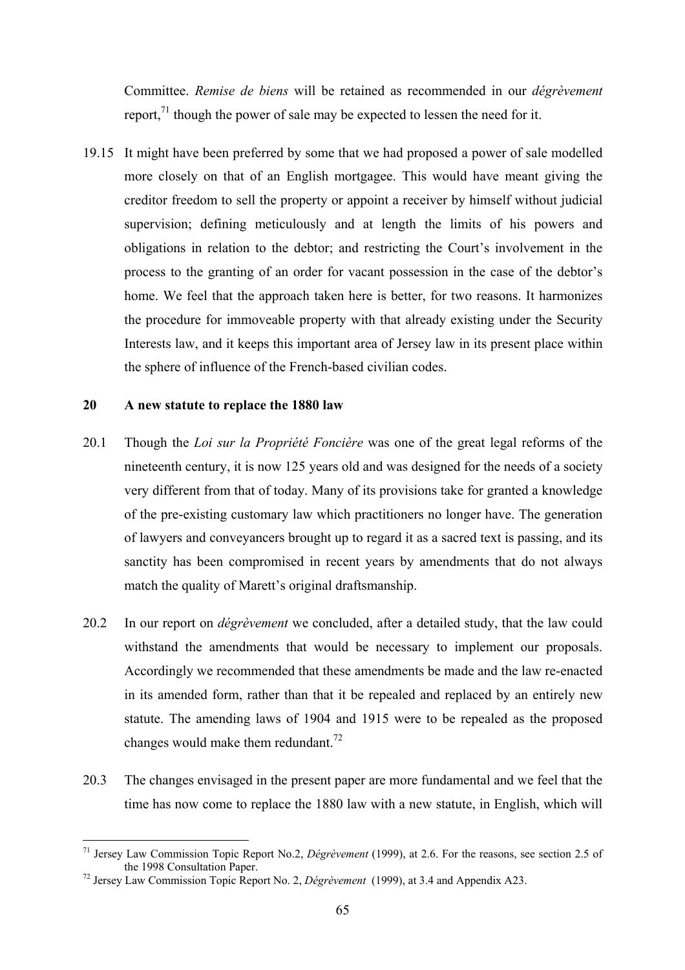Committee. *Remise de biens* will be retained as recommended in our *dégrèvement* report, $^{71}$  though the power of sale may be expected to lessen the need for it.

19.15 It might have been preferred by some that we had proposed a power of sale modelled more closely on that of an English mortgagee. This would have meant giving the creditor freedom to sell the property or appoint a receiver by himself without judicial supervision; defining meticulously and at length the limits of his powers and obligations in relation to the debtor; and restricting the Court's involvement in the process to the granting of an order for vacant possession in the case of the debtor's home. We feel that the approach taken here is better, for two reasons. It harmonizes the procedure for immoveable property with that already existing under the Security Interests law, and it keeps this important area of Jersey law in its present place within the sphere of influence of the French-based civilian codes.

### **20 A new statute to replace the 1880 law**

- 20.1 Though the *Loi sur la Propriété Foncière* was one of the great legal reforms of the nineteenth century, it is now 125 years old and was designed for the needs of a society very different from that of today. Many of its provisions take for granted a knowledge of the pre-existing customary law which practitioners no longer have. The generation of lawyers and conveyancers brought up to regard it as a sacred text is passing, and its sanctity has been compromised in recent years by amendments that do not always match the quality of Marett's original draftsmanship.
- 20.2 In our report on *dégrèvement* we concluded, after a detailed study, that the law could withstand the amendments that would be necessary to implement our proposals. Accordingly we recommended that these amendments be made and the law re-enacted in its amended form, rather than that it be repealed and replaced by an entirely new statute. The amending laws of 1904 and 1915 were to be repealed as the proposed changes would make them redundant.<sup>72</sup>
- 20.3 The changes envisaged in the present paper are more fundamental and we feel that the time has now come to replace the 1880 law with a new statute, in English, which will

<sup>71</sup> Jersey Law Commission Topic Report No.2, *Dégrèvement* (1999), at 2.6. For the reasons, see section 2.5 of

<sup>&</sup>lt;sup>72</sup> Jersey Law Commission Topic Report No. 2, *Dégrèvement* (1999), at 3.4 and Appendix A23.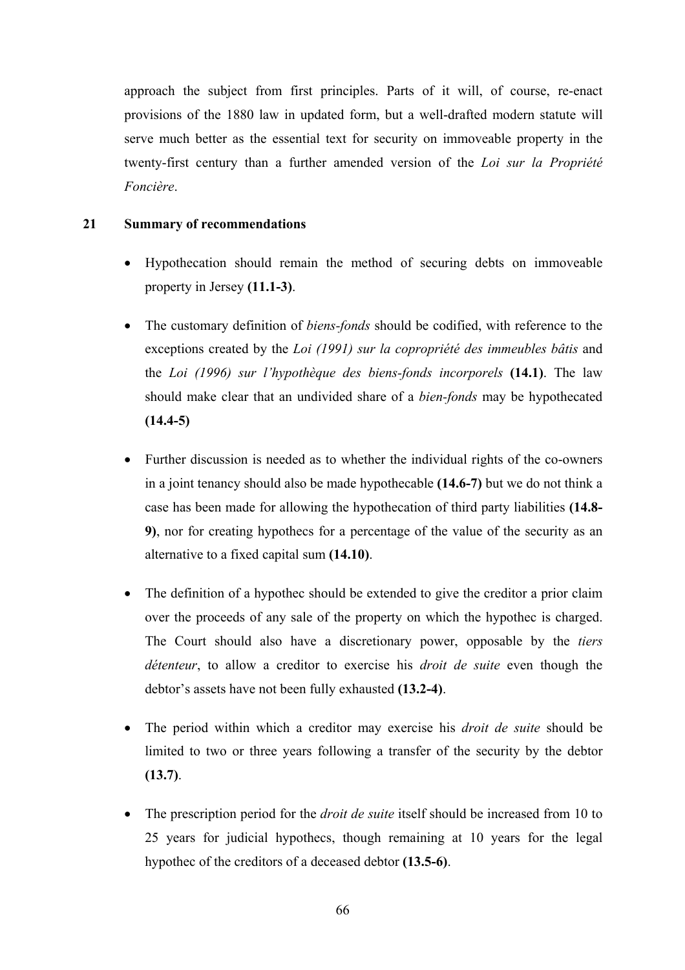approach the subject from first principles. Parts of it will, of course, re-enact provisions of the 1880 law in updated form, but a well-drafted modern statute will serve much better as the essential text for security on immoveable property in the twenty-first century than a further amended version of the *Loi sur la Propriété Foncière*.

# **21 Summary of recommendations**

- Hypothecation should remain the method of securing debts on immoveable property in Jersey **(11.1-3)**.
- The customary definition of *biens-fonds* should be codified, with reference to the exceptions created by the *Loi (1991) sur la copropriété des immeubles bâtis* and the *Loi (1996) sur l'hypothèque des biens-fonds incorporels* **(14.1)**. The law should make clear that an undivided share of a *bien-fonds* may be hypothecated **(14.4-5)**
- Further discussion is needed as to whether the individual rights of the co-owners in a joint tenancy should also be made hypothecable **(14.6-7)** but we do not think a case has been made for allowing the hypothecation of third party liabilities **(14.8- 9)**, nor for creating hypothecs for a percentage of the value of the security as an alternative to a fixed capital sum **(14.10)**.
- The definition of a hypothec should be extended to give the creditor a prior claim over the proceeds of any sale of the property on which the hypothec is charged. The Court should also have a discretionary power, opposable by the *tiers détenteur*, to allow a creditor to exercise his *droit de suite* even though the debtor's assets have not been fully exhausted **(13.2-4)**.
- The period within which a creditor may exercise his *droit de suite* should be limited to two or three years following a transfer of the security by the debtor **(13.7)**.
- The prescription period for the *droit de suite* itself should be increased from 10 to 25 years for judicial hypothecs, though remaining at 10 years for the legal hypothec of the creditors of a deceased debtor **(13.5-6)**.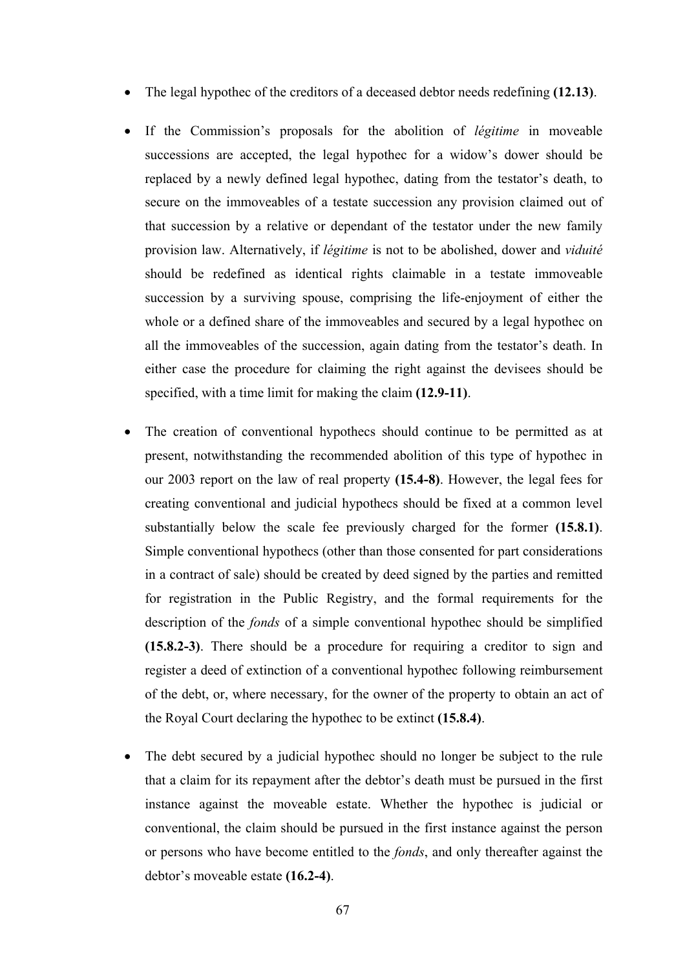- The legal hypothec of the creditors of a deceased debtor needs redefining **(12.13)**.
- If the Commission's proposals for the abolition of *légitime* in moveable successions are accepted, the legal hypothec for a widow's dower should be replaced by a newly defined legal hypothec, dating from the testator's death, to secure on the immoveables of a testate succession any provision claimed out of that succession by a relative or dependant of the testator under the new family provision law. Alternatively, if *légitime* is not to be abolished, dower and *viduité* should be redefined as identical rights claimable in a testate immoveable succession by a surviving spouse, comprising the life-enjoyment of either the whole or a defined share of the immoveables and secured by a legal hypothec on all the immoveables of the succession, again dating from the testator's death. In either case the procedure for claiming the right against the devisees should be specified, with a time limit for making the claim **(12.9-11)**.
- The creation of conventional hypothecs should continue to be permitted as at present, notwithstanding the recommended abolition of this type of hypothec in our 2003 report on the law of real property **(15.4-8)**. However, the legal fees for creating conventional and judicial hypothecs should be fixed at a common level substantially below the scale fee previously charged for the former **(15.8.1)**. Simple conventional hypothecs (other than those consented for part considerations in a contract of sale) should be created by deed signed by the parties and remitted for registration in the Public Registry, and the formal requirements for the description of the *fonds* of a simple conventional hypothec should be simplified **(15.8.2-3)**. There should be a procedure for requiring a creditor to sign and register a deed of extinction of a conventional hypothec following reimbursement of the debt, or, where necessary, for the owner of the property to obtain an act of the Royal Court declaring the hypothec to be extinct **(15.8.4)**.
- The debt secured by a judicial hypothec should no longer be subject to the rule that a claim for its repayment after the debtor's death must be pursued in the first instance against the moveable estate. Whether the hypothec is judicial or conventional, the claim should be pursued in the first instance against the person or persons who have become entitled to the *fonds*, and only thereafter against the debtor's moveable estate **(16.2-4)**.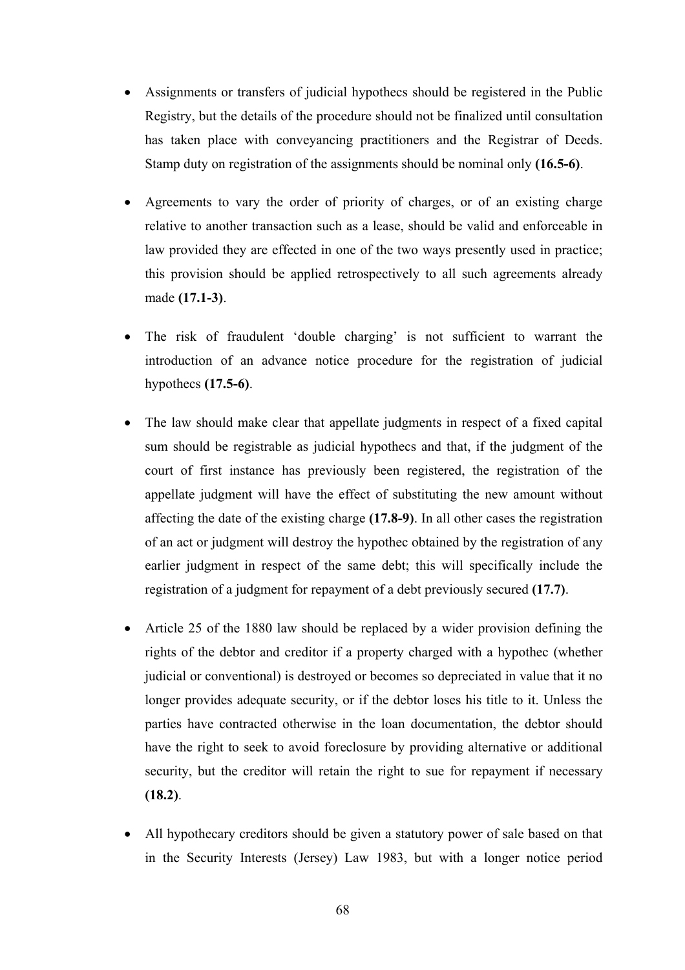- Assignments or transfers of judicial hypothecs should be registered in the Public Registry, but the details of the procedure should not be finalized until consultation has taken place with conveyancing practitioners and the Registrar of Deeds. Stamp duty on registration of the assignments should be nominal only **(16.5-6)**.
- Agreements to vary the order of priority of charges, or of an existing charge relative to another transaction such as a lease, should be valid and enforceable in law provided they are effected in one of the two ways presently used in practice; this provision should be applied retrospectively to all such agreements already made **(17.1-3)**.
- The risk of fraudulent 'double charging' is not sufficient to warrant the introduction of an advance notice procedure for the registration of judicial hypothecs **(17.5-6)**.
- The law should make clear that appellate judgments in respect of a fixed capital sum should be registrable as judicial hypothecs and that, if the judgment of the court of first instance has previously been registered, the registration of the appellate judgment will have the effect of substituting the new amount without affecting the date of the existing charge **(17.8-9)**. In all other cases the registration of an act or judgment will destroy the hypothec obtained by the registration of any earlier judgment in respect of the same debt; this will specifically include the registration of a judgment for repayment of a debt previously secured **(17.7)**.
- Article 25 of the 1880 law should be replaced by a wider provision defining the rights of the debtor and creditor if a property charged with a hypothec (whether judicial or conventional) is destroyed or becomes so depreciated in value that it no longer provides adequate security, or if the debtor loses his title to it. Unless the parties have contracted otherwise in the loan documentation, the debtor should have the right to seek to avoid foreclosure by providing alternative or additional security, but the creditor will retain the right to sue for repayment if necessary **(18.2)**.
- All hypothecary creditors should be given a statutory power of sale based on that in the Security Interests (Jersey) Law 1983, but with a longer notice period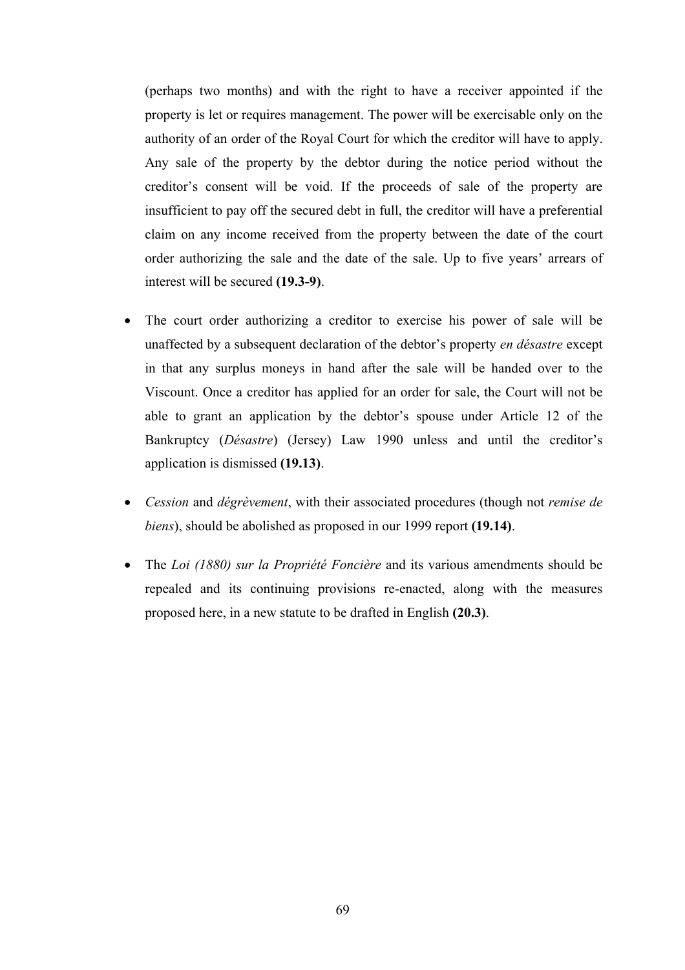(perhaps two months) and with the right to have a receiver appointed if the property is let or requires management. The power will be exercisable only on the authority of an order of the Royal Court for which the creditor will have to apply. Any sale of the property by the debtor during the notice period without the creditor's consent will be void. If the proceeds of sale of the property are insufficient to pay off the secured debt in full, the creditor will have a preferential claim on any income received from the property between the date of the court order authorizing the sale and the date of the sale. Up to five years' arrears of interest will be secured **(19.3-9)**.

- The court order authorizing a creditor to exercise his power of sale will be unaffected by a subsequent declaration of the debtor's property *en désastre* except in that any surplus moneys in hand after the sale will be handed over to the Viscount. Once a creditor has applied for an order for sale, the Court will not be able to grant an application by the debtor's spouse under Article 12 of the Bankruptcy (*Désastre*) (Jersey) Law 1990 unless and until the creditor's application is dismissed **(19.13)**.
- *Cession* and *dégrèvement*, with their associated procedures (though not *remise de biens*), should be abolished as proposed in our 1999 report **(19.14)**.
- The *Loi (1880) sur la Propriété Foncière* and its various amendments should be repealed and its continuing provisions re-enacted, along with the measures proposed here, in a new statute to be drafted in English **(20.3)**.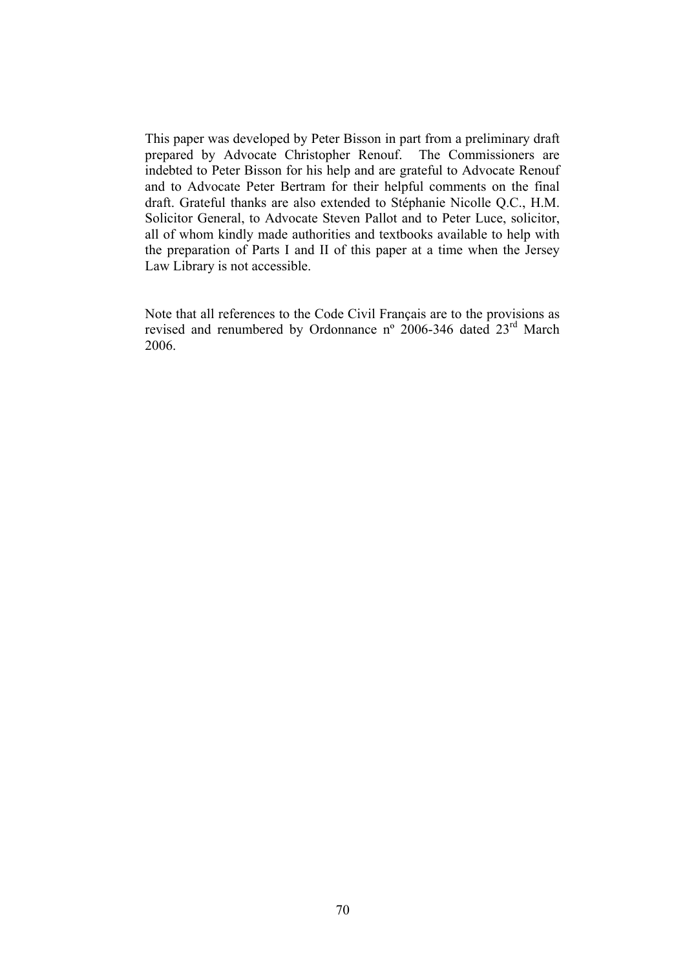This paper was developed by Peter Bisson in part from a preliminary draft prepared by Advocate Christopher Renouf. The Commissioners are indebted to Peter Bisson for his help and are grateful to Advocate Renouf and to Advocate Peter Bertram for their helpful comments on the final draft. Grateful thanks are also extended to Stéphanie Nicolle Q.C., H.M. Solicitor General, to Advocate Steven Pallot and to Peter Luce, solicitor, all of whom kindly made authorities and textbooks available to help with the preparation of Parts I and II of this paper at a time when the Jersey Law Library is not accessible.

 Note that all references to the Code Civil Français are to the provisions as revised and renumbered by Ordonnance nº 2006-346 dated 23rd March 2006.